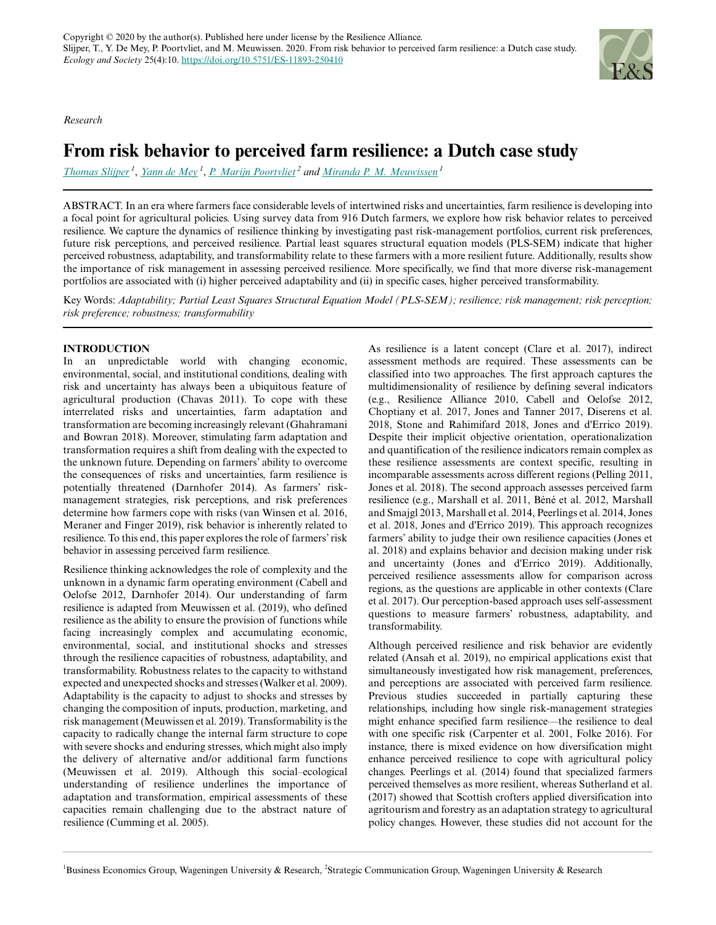*Research*



# **From risk behavior to perceived farm resilience: a Dutch case study**

*[Thomas Slijper](mailto:thomas.slijper@wur.nl)<sup>1</sup>* , *[Yann de Mey](mailto:yann.demey@wur.nl)<sup>1</sup>* , *[P. Marijn Poortvliet](mailto:marijn.poortvliet@wur.nl)<sup>2</sup> and [Miranda P. M. Meuwissen](mailto:miranda.meuwissen@wur.nl)<sup>1</sup>*

ABSTRACT. In an era where farmers face considerable levels of intertwined risks and uncertainties, farm resilience is developing into a focal point for agricultural policies. Using survey data from 916 Dutch farmers, we explore how risk behavior relates to perceived resilience. We capture the dynamics of resilience thinking by investigating past risk-management portfolios, current risk preferences, future risk perceptions, and perceived resilience. Partial least squares structural equation models (PLS-SEM) indicate that higher perceived robustness, adaptability, and transformability relate to these farmers with a more resilient future. Additionally, results show the importance of risk management in assessing perceived resilience. More specifically, we find that more diverse risk-management portfolios are associated with (i) higher perceived adaptability and (ii) in specific cases, higher perceived transformability.

Key Words: *Adaptability; Partial Least Squares Structural Equation Model (PLS-SEM); resilience; risk management; risk perception; risk preference; robustness; transformability*

### **INTRODUCTION**

In an unpredictable world with changing economic, environmental, social, and institutional conditions, dealing with risk and uncertainty has always been a ubiquitous feature of agricultural production (Chavas 2011). To cope with these interrelated risks and uncertainties, farm adaptation and transformation are becoming increasingly relevant (Ghahramani and Bowran 2018). Moreover, stimulating farm adaptation and transformation requires a shift from dealing with the expected to the unknown future. Depending on farmers' ability to overcome the consequences of risks and uncertainties, farm resilience is potentially threatened (Darnhofer 2014). As farmers' riskmanagement strategies, risk perceptions, and risk preferences determine how farmers cope with risks (van Winsen et al. 2016, Meraner and Finger 2019), risk behavior is inherently related to resilience. To this end, this paper explores the role of farmers' risk behavior in assessing perceived farm resilience.

Resilience thinking acknowledges the role of complexity and the unknown in a dynamic farm operating environment (Cabell and Oelofse 2012, Darnhofer 2014). Our understanding of farm resilience is adapted from Meuwissen et al. (2019), who defined resilience as the ability to ensure the provision of functions while facing increasingly complex and accumulating economic, environmental, social, and institutional shocks and stresses through the resilience capacities of robustness, adaptability, and transformability. Robustness relates to the capacity to withstand expected and unexpected shocks and stresses (Walker et al. 2009). Adaptability is the capacity to adjust to shocks and stresses by changing the composition of inputs, production, marketing, and risk management (Meuwissen et al. 2019). Transformability is the capacity to radically change the internal farm structure to cope with severe shocks and enduring stresses, which might also imply the delivery of alternative and/or additional farm functions (Meuwissen et al. 2019). Although this social–ecological understanding of resilience underlines the importance of adaptation and transformation, empirical assessments of these capacities remain challenging due to the abstract nature of resilience (Cumming et al. 2005).

As resilience is a latent concept (Clare et al. 2017), indirect assessment methods are required. These assessments can be classified into two approaches. The first approach captures the multidimensionality of resilience by defining several indicators (e.g., Resilience Alliance 2010, Cabell and Oelofse 2012, Choptiany et al. 2017, Jones and Tanner 2017, Diserens et al. 2018, Stone and Rahimifard 2018, Jones and d'Errico 2019). Despite their implicit objective orientation, operationalization and quantification of the resilience indicators remain complex as these resilience assessments are context specific, resulting in incomparable assessments across different regions (Pelling 2011, Jones et al. 2018). The second approach assesses perceived farm resilience (e.g., Marshall et al. 2011, Béné et al. 2012, Marshall and Smajgl 2013, Marshall et al. 2014, Peerlings et al. 2014, Jones et al. 2018, Jones and d'Errico 2019). This approach recognizes farmers' ability to judge their own resilience capacities (Jones et al. 2018) and explains behavior and decision making under risk and uncertainty (Jones and d'Errico 2019). Additionally, perceived resilience assessments allow for comparison across regions, as the questions are applicable in other contexts (Clare et al. 2017). Our perception-based approach uses self-assessment questions to measure farmers' robustness, adaptability, and transformability.

Although perceived resilience and risk behavior are evidently related (Ansah et al. 2019), no empirical applications exist that simultaneously investigated how risk management, preferences, and perceptions are associated with perceived farm resilience. Previous studies succeeded in partially capturing these relationships, including how single risk-management strategies might enhance specified farm resilience—the resilience to deal with one specific risk (Carpenter et al. 2001, Folke 2016). For instance, there is mixed evidence on how diversification might enhance perceived resilience to cope with agricultural policy changes. Peerlings et al. (2014) found that specialized farmers perceived themselves as more resilient, whereas Sutherland et al. (2017) showed that Scottish crofters applied diversification into agritourism and forestry as an adaptation strategy to agricultural policy changes. However, these studies did not account for the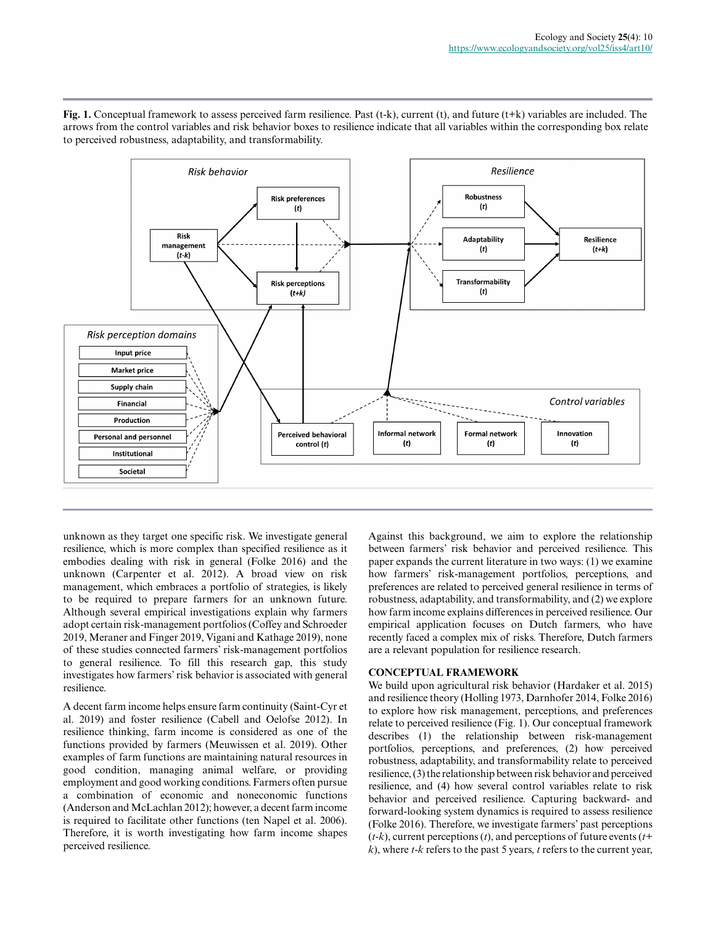Resilience **Risk behavior** Robustness **Risk preferences**  $(t)$  $(t)$ Risk **Adaptability** Resilience management  $(t)$  $(t+k)$  $(t-k)$ Transformability **Risk perceptions**  $(f)$  $(t+k)$ Risk perception domains Input price **Market price** Supply chain Control variables **Financial** Production Informal network Formal network Innovation Perceived behavioral **Personal and personnel**  $(t)$ control (t)  $(t)$  $(t)$ Institutional Societal

**Fig. 1.** Conceptual framework to assess perceived farm resilience. Past (t-k), current (t), and future (t+k) variables are included. The arrows from the control variables and risk behavior boxes to resilience indicate that all variables within the corresponding box relate to perceived robustness, adaptability, and transformability.

unknown as they target one specific risk. We investigate general resilience, which is more complex than specified resilience as it embodies dealing with risk in general (Folke 2016) and the unknown (Carpenter et al. 2012). A broad view on risk management, which embraces a portfolio of strategies, is likely to be required to prepare farmers for an unknown future. Although several empirical investigations explain why farmers adopt certain risk-management portfolios (Coffey and Schroeder 2019, Meraner and Finger 2019, Vigani and Kathage 2019), none of these studies connected farmers' risk-management portfolios to general resilience. To fill this research gap, this study investigates how farmers' risk behavior is associated with general resilience.

A decent farm income helps ensure farm continuity (Saint-Cyr et al. 2019) and foster resilience (Cabell and Oelofse 2012). In resilience thinking, farm income is considered as one of the functions provided by farmers (Meuwissen et al. 2019). Other examples of farm functions are maintaining natural resources in good condition, managing animal welfare, or providing employment and good working conditions. Farmers often pursue a combination of economic and noneconomic functions (Anderson and McLachlan 2012); however, a decent farm income is required to facilitate other functions (ten Napel et al. 2006). Therefore, it is worth investigating how farm income shapes perceived resilience.

Against this background, we aim to explore the relationship between farmers' risk behavior and perceived resilience. This paper expands the current literature in two ways: (1) we examine how farmers' risk-management portfolios, perceptions, and preferences are related to perceived general resilience in terms of robustness, adaptability, and transformability, and (2) we explore how farm income explains differences in perceived resilience. Our empirical application focuses on Dutch farmers, who have recently faced a complex mix of risks. Therefore, Dutch farmers are a relevant population for resilience research.

### **CONCEPTUAL FRAMEWORK**

We build upon agricultural risk behavior (Hardaker et al. 2015) and resilience theory (Holling 1973, Darnhofer 2014, Folke 2016) to explore how risk management, perceptions, and preferences relate to perceived resilience (Fig. 1). Our conceptual framework describes (1) the relationship between risk-management portfolios, perceptions, and preferences, (2) how perceived robustness, adaptability, and transformability relate to perceived resilience, (3) the relationship between risk behavior and perceived resilience, and (4) how several control variables relate to risk behavior and perceived resilience. Capturing backward- and forward-looking system dynamics is required to assess resilience (Folke 2016). Therefore, we investigate farmers' past perceptions (*t-k*), current perceptions (*t*), and perceptions of future events (*t+ k*), where *t*-*k* refers to the past 5 years, *t* refers to the current year,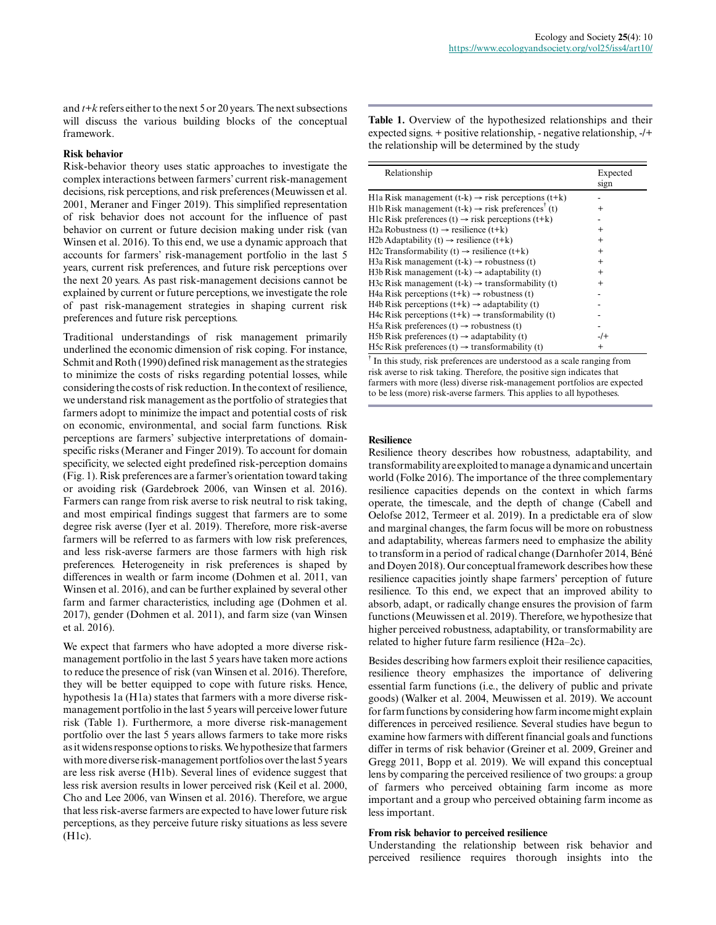and *t+k* refers either to the next 5 or 20 years. The next subsections will discuss the various building blocks of the conceptual framework.

### **Risk behavior**

Risk-behavior theory uses static approaches to investigate the complex interactions between farmers' current risk-management decisions, risk perceptions, and risk preferences (Meuwissen et al. 2001, Meraner and Finger 2019). This simplified representation of risk behavior does not account for the influence of past behavior on current or future decision making under risk (van Winsen et al. 2016). To this end, we use a dynamic approach that accounts for farmers' risk-management portfolio in the last 5 years, current risk preferences, and future risk perceptions over the next 20 years. As past risk-management decisions cannot be explained by current or future perceptions, we investigate the role of past risk-management strategies in shaping current risk preferences and future risk perceptions.

Traditional understandings of risk management primarily underlined the economic dimension of risk coping. For instance, Schmit and Roth (1990) defined risk management as the strategies to minimize the costs of risks regarding potential losses, while considering the costs of risk reduction. In the context of resilience, we understand risk management as the portfolio of strategies that farmers adopt to minimize the impact and potential costs of risk on economic, environmental, and social farm functions. Risk perceptions are farmers' subjective interpretations of domainspecific risks (Meraner and Finger 2019). To account for domain specificity, we selected eight predefined risk-perception domains (Fig. 1). Risk preferences are a farmer's orientation toward taking or avoiding risk (Gardebroek 2006, van Winsen et al. 2016). Farmers can range from risk averse to risk neutral to risk taking, and most empirical findings suggest that farmers are to some degree risk averse (Iyer et al. 2019). Therefore, more risk-averse farmers will be referred to as farmers with low risk preferences, and less risk-averse farmers are those farmers with high risk preferences. Heterogeneity in risk preferences is shaped by differences in wealth or farm income (Dohmen et al. 2011, van Winsen et al. 2016), and can be further explained by several other farm and farmer characteristics, including age (Dohmen et al. 2017), gender (Dohmen et al. 2011), and farm size (van Winsen et al. 2016).

We expect that farmers who have adopted a more diverse riskmanagement portfolio in the last 5 years have taken more actions to reduce the presence of risk (van Winsen et al. 2016). Therefore, they will be better equipped to cope with future risks. Hence, hypothesis 1a (H1a) states that farmers with a more diverse riskmanagement portfolio in the last 5 years will perceive lower future risk (Table 1). Furthermore, a more diverse risk-management portfolio over the last 5 years allows farmers to take more risks as it widens response options to risks. We hypothesize that farmers with more diverse risk-management portfolios over the last 5 years are less risk averse (H1b). Several lines of evidence suggest that less risk aversion results in lower perceived risk (Keil et al. 2000, Cho and Lee 2006, van Winsen et al. 2016). Therefore, we argue that less risk-averse farmers are expected to have lower future risk perceptions, as they perceive future risky situations as less severe (H1c).

**Table 1.** Overview of the hypothesized relationships and their expected signs. + positive relationship, - negative relationship, -/+ the relationship will be determined by the study

| Relationship                                                                | Expected<br>sign |
|-----------------------------------------------------------------------------|------------------|
| H <sub>1</sub> a Risk management (t-k) $\rightarrow$ risk perceptions (t+k) |                  |
| H1b Risk management (t-k) $\rightarrow$ risk preferences <sup>†</sup> (t)   |                  |
| H1c Risk preferences (t) $\rightarrow$ risk perceptions (t+k)               |                  |
| H <sub>2</sub> a Robustness (t) $\rightarrow$ resilience (t+k)              | $\pm$            |
| H <sub>2</sub> b Adaptability (t) $\rightarrow$ resilience (t+k)            | $\pm$            |
| H2c Transformability (t) $\rightarrow$ resilience (t+k)                     | $\pm$            |
| H3a Risk management (t-k) $\rightarrow$ robustness (t)                      | $\pm$            |
| H3b Risk management (t-k) $\rightarrow$ adaptability (t)                    | $\pm$            |
| H3c Risk management $(t-k) \rightarrow$ transformability (t)                | $\pm$            |
| H4a Risk perceptions $(t+k) \rightarrow$ robustness (t)                     |                  |
| H4b Risk perceptions $(t+k) \rightarrow$ adaptability (t)                   |                  |
| H4c Risk perceptions $(t+k) \rightarrow$ transformability (t)               |                  |
| H5a Risk preferences (t) $\rightarrow$ robustness (t)                       |                  |
| H5b Risk preferences (t) $\rightarrow$ adaptability (t)                     | $-1+$            |
| H5c Risk preferences (t) $\rightarrow$ transformability (t)                 |                  |

† In this study, risk preferences are understood as a scale ranging from risk averse to risk taking. Therefore, the positive sign indicates that farmers with more (less) diverse risk-management portfolios are expected to be less (more) risk-averse farmers. This applies to all hypotheses.

### **Resilience**

Resilience theory describes how robustness, adaptability, and transformability are exploited to manage a dynamic and uncertain world (Folke 2016). The importance of the three complementary resilience capacities depends on the context in which farms operate, the timescale, and the depth of change (Cabell and Oelofse 2012, Termeer et al. 2019). In a predictable era of slow and marginal changes, the farm focus will be more on robustness and adaptability, whereas farmers need to emphasize the ability to transform in a period of radical change (Darnhofer 2014, Béné and Doyen 2018). Our conceptual framework describes how these resilience capacities jointly shape farmers' perception of future resilience. To this end, we expect that an improved ability to absorb, adapt, or radically change ensures the provision of farm functions (Meuwissen et al. 2019). Therefore, we hypothesize that higher perceived robustness, adaptability, or transformability are related to higher future farm resilience (H2a–2c).

Besides describing how farmers exploit their resilience capacities, resilience theory emphasizes the importance of delivering essential farm functions (i.e., the delivery of public and private goods) (Walker et al. 2004, Meuwissen et al. 2019). We account for farm functions by considering how farm income might explain differences in perceived resilience. Several studies have begun to examine how farmers with different financial goals and functions differ in terms of risk behavior (Greiner et al. 2009, Greiner and Gregg 2011, Bopp et al. 2019). We will expand this conceptual lens by comparing the perceived resilience of two groups: a group of farmers who perceived obtaining farm income as more important and a group who perceived obtaining farm income as less important.

### **From risk behavior to perceived resilience**

Understanding the relationship between risk behavior and perceived resilience requires thorough insights into the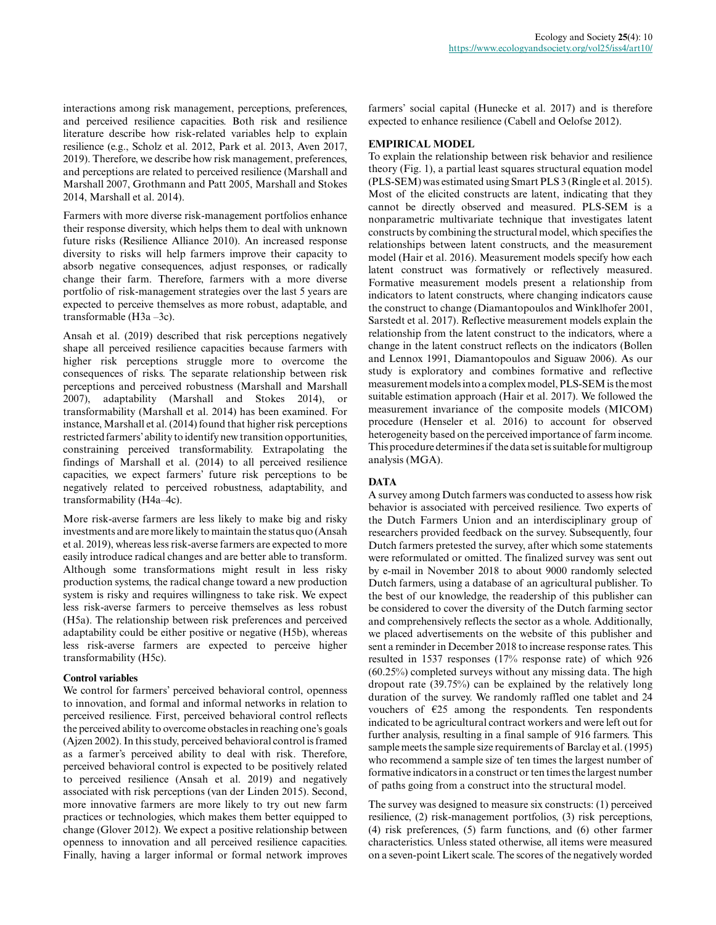interactions among risk management, perceptions, preferences, and perceived resilience capacities. Both risk and resilience literature describe how risk-related variables help to explain resilience (e.g., Scholz et al. 2012, Park et al. 2013, Aven 2017, 2019). Therefore, we describe how risk management, preferences, and perceptions are related to perceived resilience (Marshall and Marshall 2007, Grothmann and Patt 2005, Marshall and Stokes 2014, Marshall et al. 2014).

Farmers with more diverse risk-management portfolios enhance their response diversity, which helps them to deal with unknown future risks (Resilience Alliance 2010). An increased response diversity to risks will help farmers improve their capacity to absorb negative consequences, adjust responses, or radically change their farm. Therefore, farmers with a more diverse portfolio of risk-management strategies over the last 5 years are expected to perceive themselves as more robust, adaptable, and transformable (H3a –3c).

Ansah et al. (2019) described that risk perceptions negatively shape all perceived resilience capacities because farmers with higher risk perceptions struggle more to overcome the consequences of risks. The separate relationship between risk perceptions and perceived robustness (Marshall and Marshall 2007), adaptability (Marshall and Stokes 2014), or transformability (Marshall et al. 2014) has been examined. For instance, Marshall et al. (2014) found that higher risk perceptions restricted farmers' ability to identify new transition opportunities, constraining perceived transformability. Extrapolating the findings of Marshall et al. (2014) to all perceived resilience capacities, we expect farmers' future risk perceptions to be negatively related to perceived robustness, adaptability, and transformability (H4a–4c).

More risk-averse farmers are less likely to make big and risky investments and are more likely to maintain the status quo (Ansah et al. 2019), whereas less risk-averse farmers are expected to more easily introduce radical changes and are better able to transform. Although some transformations might result in less risky production systems, the radical change toward a new production system is risky and requires willingness to take risk. We expect less risk-averse farmers to perceive themselves as less robust (H5a). The relationship between risk preferences and perceived adaptability could be either positive or negative (H5b), whereas less risk-averse farmers are expected to perceive higher transformability (H5c).

### **Control variables**

We control for farmers' perceived behavioral control, openness to innovation, and formal and informal networks in relation to perceived resilience. First, perceived behavioral control reflects the perceived ability to overcome obstacles in reaching one's goals (Ajzen 2002). In this study, perceived behavioral control is framed as a farmer's perceived ability to deal with risk. Therefore, perceived behavioral control is expected to be positively related to perceived resilience (Ansah et al. 2019) and negatively associated with risk perceptions (van der Linden 2015). Second, more innovative farmers are more likely to try out new farm practices or technologies, which makes them better equipped to change (Glover 2012). We expect a positive relationship between openness to innovation and all perceived resilience capacities. Finally, having a larger informal or formal network improves farmers' social capital (Hunecke et al. 2017) and is therefore expected to enhance resilience (Cabell and Oelofse 2012).

### **EMPIRICAL MODEL**

To explain the relationship between risk behavior and resilience theory (Fig. 1), a partial least squares structural equation model (PLS-SEM) was estimated using Smart PLS 3 (Ringle et al. 2015). Most of the elicited constructs are latent, indicating that they cannot be directly observed and measured. PLS-SEM is a nonparametric multivariate technique that investigates latent constructs by combining the structural model, which specifies the relationships between latent constructs, and the measurement model (Hair et al. 2016). Measurement models specify how each latent construct was formatively or reflectively measured. Formative measurement models present a relationship from indicators to latent constructs, where changing indicators cause the construct to change (Diamantopoulos and Winklhofer 2001, Sarstedt et al. 2017). Reflective measurement models explain the relationship from the latent construct to the indicators, where a change in the latent construct reflects on the indicators (Bollen and Lennox 1991, Diamantopoulos and Siguaw 2006). As our study is exploratory and combines formative and reflective measurement models into a complex model, PLS-SEM is the most suitable estimation approach (Hair et al. 2017). We followed the measurement invariance of the composite models (MICOM) procedure (Henseler et al. 2016) to account for observed heterogeneity based on the perceived importance of farm income. This procedure determines if the data set is suitable for multigroup analysis (MGA).

### **DATA**

A survey among Dutch farmers was conducted to assess how risk behavior is associated with perceived resilience. Two experts of the Dutch Farmers Union and an interdisciplinary group of researchers provided feedback on the survey. Subsequently, four Dutch farmers pretested the survey, after which some statements were reformulated or omitted. The finalized survey was sent out by e-mail in November 2018 to about 9000 randomly selected Dutch farmers, using a database of an agricultural publisher. To the best of our knowledge, the readership of this publisher can be considered to cover the diversity of the Dutch farming sector and comprehensively reflects the sector as a whole. Additionally, we placed advertisements on the website of this publisher and sent a reminder in December 2018 to increase response rates. This resulted in 1537 responses (17% response rate) of which 926 (60.25%) completed surveys without any missing data. The high dropout rate (39.75%) can be explained by the relatively long duration of the survey. We randomly raffled one tablet and 24 vouchers of  $E25$  among the respondents. Ten respondents indicated to be agricultural contract workers and were left out for further analysis, resulting in a final sample of 916 farmers. This sample meets the sample size requirements of Barclay et al. (1995) who recommend a sample size of ten times the largest number of formative indicators in a construct or ten times the largest number of paths going from a construct into the structural model.

The survey was designed to measure six constructs: (1) perceived resilience, (2) risk-management portfolios, (3) risk perceptions, (4) risk preferences, (5) farm functions, and (6) other farmer characteristics. Unless stated otherwise, all items were measured on a seven-point Likert scale. The scores of the negatively worded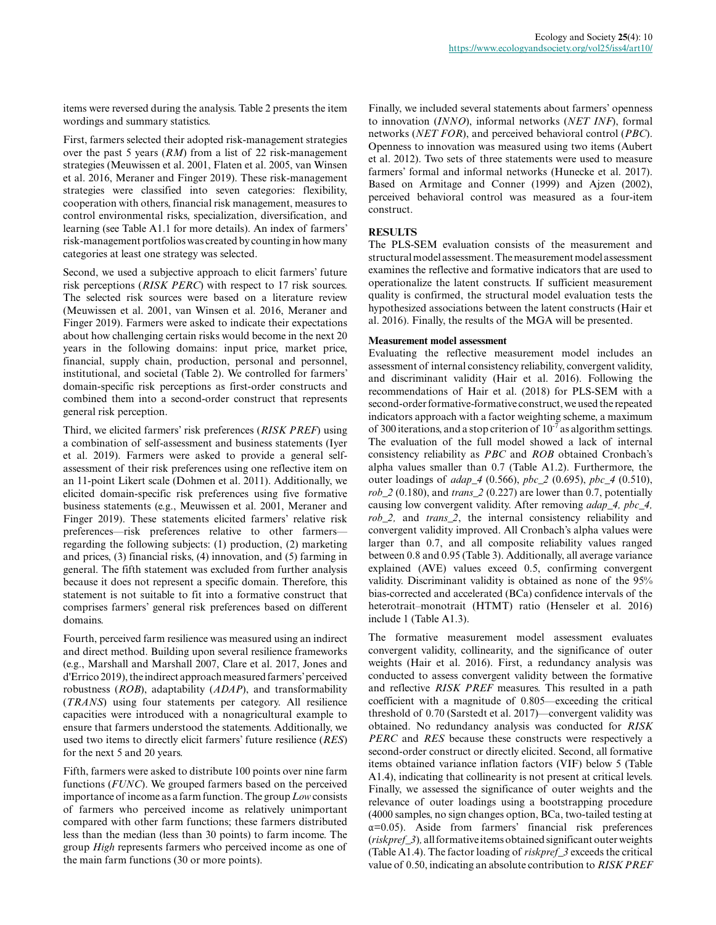items were reversed during the analysis. Table 2 presents the item wordings and summary statistics.

First, farmers selected their adopted risk-management strategies over the past 5 years (*RM*) from a list of 22 risk-management strategies (Meuwissen et al. 2001, Flaten et al. 2005, van Winsen et al. 2016, Meraner and Finger 2019). These risk-management strategies were classified into seven categories: flexibility, cooperation with others, financial risk management, measures to control environmental risks, specialization, diversification, and learning (see Table A1.1 for more details). An index of farmers' risk-management portfolios was created by counting in how many categories at least one strategy was selected.

Second, we used a subjective approach to elicit farmers' future risk perceptions (*RISK PERC*) with respect to 17 risk sources. The selected risk sources were based on a literature review (Meuwissen et al. 2001, van Winsen et al. 2016, Meraner and Finger 2019). Farmers were asked to indicate their expectations about how challenging certain risks would become in the next 20 years in the following domains: input price, market price, financial, supply chain, production, personal and personnel, institutional, and societal (Table 2). We controlled for farmers' domain-specific risk perceptions as first-order constructs and combined them into a second-order construct that represents general risk perception.

Third, we elicited farmers' risk preferences (*RISK PREF*) using a combination of self-assessment and business statements (Iyer et al. 2019). Farmers were asked to provide a general selfassessment of their risk preferences using one reflective item on an 11-point Likert scale (Dohmen et al. 2011). Additionally, we elicited domain-specific risk preferences using five formative business statements (e.g., Meuwissen et al. 2001, Meraner and Finger 2019). These statements elicited farmers' relative risk preferences—risk preferences relative to other farmers regarding the following subjects: (1) production, (2) marketing and prices, (3) financial risks, (4) innovation, and (5) farming in general. The fifth statement was excluded from further analysis because it does not represent a specific domain. Therefore, this statement is not suitable to fit into a formative construct that comprises farmers' general risk preferences based on different domains.

Fourth, perceived farm resilience was measured using an indirect and direct method. Building upon several resilience frameworks (e.g., Marshall and Marshall 2007, Clare et al. 2017, Jones and d'Errico 2019), the indirect approach measured farmers' perceived robustness (*ROB*), adaptability (*ADAP*), and transformability (*TRANS*) using four statements per category. All resilience capacities were introduced with a nonagricultural example to ensure that farmers understood the statements. Additionally, we used two items to directly elicit farmers' future resilience (*RES*) for the next 5 and 20 years.

Fifth, farmers were asked to distribute 100 points over nine farm functions (*FUNC*). We grouped farmers based on the perceived importance of income as a farm function. The group *Low* consists of farmers who perceived income as relatively unimportant compared with other farm functions; these farmers distributed less than the median (less than 30 points) to farm income. The group *High* represents farmers who perceived income as one of the main farm functions (30 or more points).

Finally, we included several statements about farmers' openness to innovation (*INNO*), informal networks (*NET INF*), formal networks (*NET FOR*), and perceived behavioral control (*PBC*). Openness to innovation was measured using two items (Aubert et al. 2012). Two sets of three statements were used to measure farmers' formal and informal networks (Hunecke et al. 2017). Based on Armitage and Conner (1999) and Ajzen (2002), perceived behavioral control was measured as a four-item construct.

### **RESULTS**

The PLS-SEM evaluation consists of the measurement and structural model assessment. The measurement model assessment examines the reflective and formative indicators that are used to operationalize the latent constructs. If sufficient measurement quality is confirmed, the structural model evaluation tests the hypothesized associations between the latent constructs (Hair et al. 2016). Finally, the results of the MGA will be presented.

### **Measurement model assessment**

Evaluating the reflective measurement model includes an assessment of internal consistency reliability, convergent validity, and discriminant validity (Hair et al. 2016). Following the recommendations of Hair et al. (2018) for PLS-SEM with a second-order formative-formative construct, we used the repeated indicators approach with a factor weighting scheme, a maximum of 300 iterations, and a stop criterion of  $10^{-7}$  as algorithm settings. The evaluation of the full model showed a lack of internal consistency reliability as *PBC* and *ROB* obtained Cronbach's alpha values smaller than 0.7 (Table A1.2). Furthermore, the outer loadings of *adap\_4* (0.566), *pbc\_2* (0.695), *pbc\_4* (0.510), *rob\_2* (0.180), and *trans\_2* (0.227) are lower than 0.7, potentially causing low convergent validity. After removing *adap\_4, pbc\_4, rob\_2,* and *trans\_2*, the internal consistency reliability and convergent validity improved. All Cronbach's alpha values were larger than 0.7, and all composite reliability values ranged between 0.8 and 0.95 (Table 3). Additionally, all average variance explained (AVE) values exceed 0.5, confirming convergent validity. Discriminant validity is obtained as none of the 95% bias-corrected and accelerated (BCa) confidence intervals of the heterotrait–monotrait (HTMT) ratio (Henseler et al. 2016) include 1 (Table A1.3).

The formative measurement model assessment evaluates convergent validity, collinearity, and the significance of outer weights (Hair et al. 2016). First, a redundancy analysis was conducted to assess convergent validity between the formative and reflective *RISK PREF* measures. This resulted in a path coefficient with a magnitude of 0.805—exceeding the critical threshold of 0.70 (Sarstedt et al. 2017)—convergent validity was obtained. No redundancy analysis was conducted for *RISK PERC* and *RES* because these constructs were respectively a second-order construct or directly elicited. Second, all formative items obtained variance inflation factors (VIF) below 5 (Table A1.4), indicating that collinearity is not present at critical levels. Finally, we assessed the significance of outer weights and the relevance of outer loadings using a bootstrapping procedure (4000 samples, no sign changes option, BCa, two-tailed testing at α=0.05). Aside from farmers' financial risk preferences (*riskpref\_3*)*,* all formative items obtained significant outer weights (Table A1.4). The factor loading of *riskpref\_3* exceeds the critical value of 0.50, indicating an absolute contribution to *RISK PREF*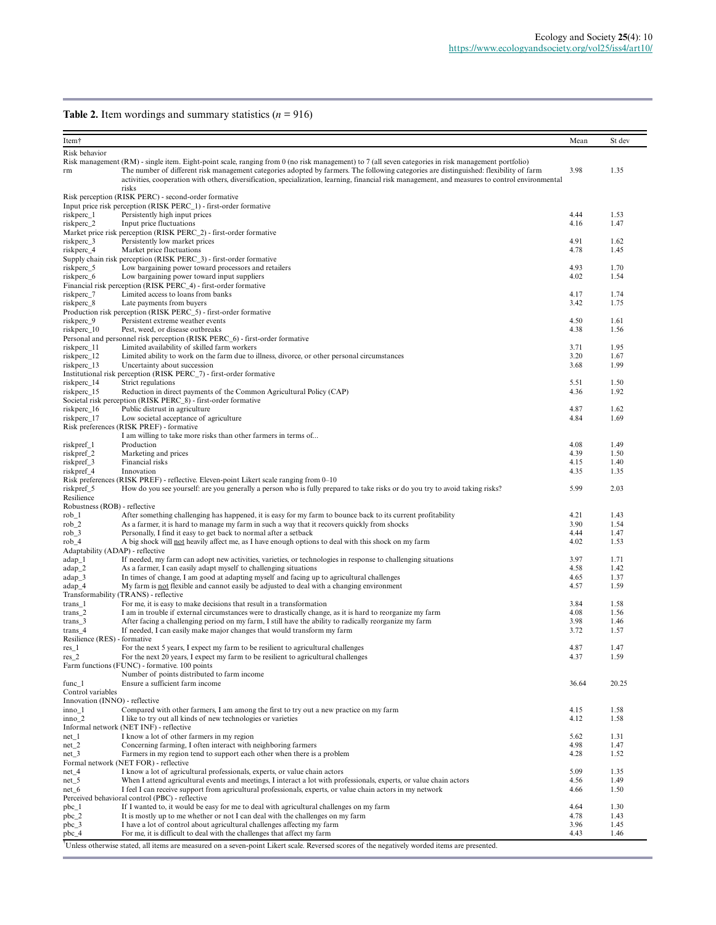## **Table 2.** Item wordings and summary statistics  $(n = 916)$

| Item†                                       |                                                                                                                                                                                                                                                                                                                                                                                                                                                   | Mean         | St dev       |
|---------------------------------------------|---------------------------------------------------------------------------------------------------------------------------------------------------------------------------------------------------------------------------------------------------------------------------------------------------------------------------------------------------------------------------------------------------------------------------------------------------|--------------|--------------|
| Risk behavior                               |                                                                                                                                                                                                                                                                                                                                                                                                                                                   |              |              |
| rm                                          | Risk management (RM) - single item. Eight-point scale, ranging from 0 (no risk management) to 7 (all seven categories in risk management portfolio)<br>The number of different risk management categories adopted by farmers. The following categories are distinguished: flexibility of farm<br>activities, cooperation with others, diversification, specialization, learning, financial risk management, and measures to control environmental | 3.98         | 1.35         |
|                                             | risks                                                                                                                                                                                                                                                                                                                                                                                                                                             |              |              |
|                                             | Risk perception (RISK PERC) - second-order formative                                                                                                                                                                                                                                                                                                                                                                                              |              |              |
|                                             | Input price risk perception (RISK PERC_1) - first-order formative                                                                                                                                                                                                                                                                                                                                                                                 |              |              |
| riskperc_1<br>riskperc_2                    | Persistently high input prices<br>Input price fluctuations                                                                                                                                                                                                                                                                                                                                                                                        | 4.44<br>4.16 | 1.53<br>1.47 |
|                                             | Market price risk perception (RISK PERC_2) - first-order formative                                                                                                                                                                                                                                                                                                                                                                                |              |              |
| riskperc_3                                  | Persistently low market prices                                                                                                                                                                                                                                                                                                                                                                                                                    | 4.91         | 1.62         |
| riskperc_4                                  | Market price fluctuations                                                                                                                                                                                                                                                                                                                                                                                                                         | 4.78         | 1.45         |
|                                             | Supply chain risk perception (RISK PERC_3) - first-order formative                                                                                                                                                                                                                                                                                                                                                                                | 4.93         | 1.70         |
| riskperc_5<br>riskperc_6                    | Low bargaining power toward processors and retailers<br>Low bargaining power toward input suppliers                                                                                                                                                                                                                                                                                                                                               | 4.02         | 1.54         |
|                                             | Financial risk perception (RISK PERC_4) - first-order formative                                                                                                                                                                                                                                                                                                                                                                                   |              |              |
| riskperc_7                                  | Limited access to loans from banks                                                                                                                                                                                                                                                                                                                                                                                                                | 4.17         | 1.74         |
| riskperc_8                                  | Late payments from buyers                                                                                                                                                                                                                                                                                                                                                                                                                         | 3.42         | 1.75         |
| riskperc_9                                  | Production risk perception (RISK PERC_5) - first-order formative<br>Persistent extreme weather events                                                                                                                                                                                                                                                                                                                                             | 4.50         | 1.61         |
| riskperc_10                                 | Pest, weed, or disease outbreaks                                                                                                                                                                                                                                                                                                                                                                                                                  | 4.38         | 1.56         |
|                                             | Personal and personnel risk perception (RISK PERC_6) - first-order formative                                                                                                                                                                                                                                                                                                                                                                      |              |              |
| riskperc_11                                 | Limited availability of skilled farm workers                                                                                                                                                                                                                                                                                                                                                                                                      | 3.71         | 1.95         |
| riskperc_12<br>riskperc_13                  | Limited ability to work on the farm due to illness, divorce, or other personal circumstances<br>Uncertainty about succession                                                                                                                                                                                                                                                                                                                      | 3.20<br>3.68 | 1.67<br>1.99 |
|                                             | Institutional risk perception (RISK PERC_7) - first-order formative                                                                                                                                                                                                                                                                                                                                                                               |              |              |
| riskperc_14                                 | Strict regulations                                                                                                                                                                                                                                                                                                                                                                                                                                | 5.51         | 1.50         |
| riskperc 15                                 | Reduction in direct payments of the Common Agricultural Policy (CAP)                                                                                                                                                                                                                                                                                                                                                                              | 4.36         | 1.92         |
| riskperc_16                                 | Societal risk perception (RISK PERC_8) - first-order formative<br>Public distrust in agriculture                                                                                                                                                                                                                                                                                                                                                  | 4.87         | 1.62         |
| riskperc 17                                 | Low societal acceptance of agriculture                                                                                                                                                                                                                                                                                                                                                                                                            | 4.84         | 1.69         |
|                                             | Risk preferences (RISK PREF) - formative                                                                                                                                                                                                                                                                                                                                                                                                          |              |              |
|                                             | I am willing to take more risks than other farmers in terms of                                                                                                                                                                                                                                                                                                                                                                                    |              |              |
| riskpref_1                                  | Production                                                                                                                                                                                                                                                                                                                                                                                                                                        | 4.08<br>4.39 | 1.49<br>1.50 |
| riskpref_2<br>riskpref_3                    | Marketing and prices<br>Financial risks                                                                                                                                                                                                                                                                                                                                                                                                           | 4.15         | 1.40         |
| riskpref_4                                  | Innovation                                                                                                                                                                                                                                                                                                                                                                                                                                        | 4.35         | 1.35         |
|                                             | Risk preferences (RISK PREF) - reflective. Eleven-point Likert scale ranging from 0–10                                                                                                                                                                                                                                                                                                                                                            |              |              |
| riskpref_5                                  | How do you see yourself: are you generally a person who is fully prepared to take risks or do you try to avoid taking risks?                                                                                                                                                                                                                                                                                                                      | 5.99         | 2.03         |
| Resilience<br>Robustness (ROB) - reflective |                                                                                                                                                                                                                                                                                                                                                                                                                                                   |              |              |
| $rob_1$                                     | After something challenging has happened, it is easy for my farm to bounce back to its current profitability                                                                                                                                                                                                                                                                                                                                      | 4.21         | 1.43         |
| $rob_2$                                     | As a farmer, it is hard to manage my farm in such a way that it recovers quickly from shocks                                                                                                                                                                                                                                                                                                                                                      | 3.90         | 1.54         |
| $rob_3$                                     | Personally, I find it easy to get back to normal after a setback                                                                                                                                                                                                                                                                                                                                                                                  | 4.44         | 1.47         |
| $rob_4$<br>Adaptability (ADAP) - reflective | A big shock will not heavily affect me, as I have enough options to deal with this shock on my farm                                                                                                                                                                                                                                                                                                                                               | 4.02         | 1.53         |
| adap_1                                      | If needed, my farm can adopt new activities, varieties, or technologies in response to challenging situations                                                                                                                                                                                                                                                                                                                                     | 3.97         | 1.71         |
| adap_2                                      | As a farmer, I can easily adapt myself to challenging situations                                                                                                                                                                                                                                                                                                                                                                                  | 4.58         | 1.42         |
| adap_3                                      | In times of change, I am good at adapting myself and facing up to agricultural challenges                                                                                                                                                                                                                                                                                                                                                         | 4.65         | 1.37         |
| adap_4                                      | My farm is not flexible and cannot easily be adjusted to deal with a changing environment<br>Transformability (TRANS) - reflective                                                                                                                                                                                                                                                                                                                | 4.57         | 1.59         |
| $trans_1$                                   | For me, it is easy to make decisions that result in a transformation                                                                                                                                                                                                                                                                                                                                                                              | 3.84         | 1.58         |
| trans 2                                     | I am in trouble if external circumstances were to drastically change, as it is hard to reorganize my farm                                                                                                                                                                                                                                                                                                                                         | 4.08         | 1.56         |
| $trans_3$                                   | After facing a challenging period on my farm, I still have the ability to radically reorganize my farm                                                                                                                                                                                                                                                                                                                                            | 3.98         | 1.46         |
| trans_4                                     | If needed, I can easily make major changes that would transform my farm                                                                                                                                                                                                                                                                                                                                                                           | 3.72         | 1.57         |
| Resilience (RES) - formative<br>$res_1$     | For the next 5 years, I expect my farm to be resilient to agricultural challenges                                                                                                                                                                                                                                                                                                                                                                 | 4.87         | 1.47         |
| $res_2$                                     | For the next 20 years, I expect my farm to be resilient to agricultural challenges                                                                                                                                                                                                                                                                                                                                                                | 4.37         | 1.59         |
|                                             | Farm functions (FUNC) - formative. 100 points                                                                                                                                                                                                                                                                                                                                                                                                     |              |              |
|                                             | Number of points distributed to farm income                                                                                                                                                                                                                                                                                                                                                                                                       |              |              |
| func 1<br>Control variables                 | Ensure a sufficient farm income                                                                                                                                                                                                                                                                                                                                                                                                                   | 36.64        | 20.25        |
| Innovation (INNO) - reflective              |                                                                                                                                                                                                                                                                                                                                                                                                                                                   |              |              |
| inno 1                                      | Compared with other farmers, I am among the first to try out a new practice on my farm                                                                                                                                                                                                                                                                                                                                                            | 4.15         | 1.58         |
| $inno_2$                                    | I like to try out all kinds of new technologies or varieties                                                                                                                                                                                                                                                                                                                                                                                      | 4.12         | 1.58         |
|                                             | Informal network (NET INF) - reflective                                                                                                                                                                                                                                                                                                                                                                                                           |              |              |
| $net_1$<br>$net_2$                          | I know a lot of other farmers in my region<br>Concerning farming, I often interact with neighboring farmers                                                                                                                                                                                                                                                                                                                                       | 5.62<br>4.98 | 1.31<br>1.47 |
| $net_3$                                     | Farmers in my region tend to support each other when there is a problem                                                                                                                                                                                                                                                                                                                                                                           | 4.28         | 1.52         |
|                                             | Formal network (NET FOR) - reflective                                                                                                                                                                                                                                                                                                                                                                                                             |              |              |
| $net_4$                                     | I know a lot of agricultural professionals, experts, or value chain actors                                                                                                                                                                                                                                                                                                                                                                        | 5.09         | 1.35         |
| $net_5$                                     | When I attend agricultural events and meetings, I interact a lot with professionals, experts, or value chain actors<br>I feel I can receive support from agricultural professionals, experts, or value chain actors in my network                                                                                                                                                                                                                 | 4.56<br>4.66 | 1.49<br>1.50 |
| $net_6$                                     | Perceived behavioral control (PBC) - reflective                                                                                                                                                                                                                                                                                                                                                                                                   |              |              |
| $pbc_1$                                     | If I wanted to, it would be easy for me to deal with agricultural challenges on my farm                                                                                                                                                                                                                                                                                                                                                           | 4.64         | 1.30         |
| $pbc_2$                                     | It is mostly up to me whether or not I can deal with the challenges on my farm                                                                                                                                                                                                                                                                                                                                                                    | 4.78         | 1.43         |
| $pbc_3$<br>pbc_4                            | I have a lot of control about agricultural challenges affecting my farm<br>For me, it is difficult to deal with the challenges that affect my farm                                                                                                                                                                                                                                                                                                | 3.96<br>4.43 | 1.45<br>1.46 |
|                                             |                                                                                                                                                                                                                                                                                                                                                                                                                                                   |              |              |
|                                             | Unless otherwise stated, all items are measured on a seven-point Likert scale. Reversed scores of the negatively worded items are presented.                                                                                                                                                                                                                                                                                                      |              |              |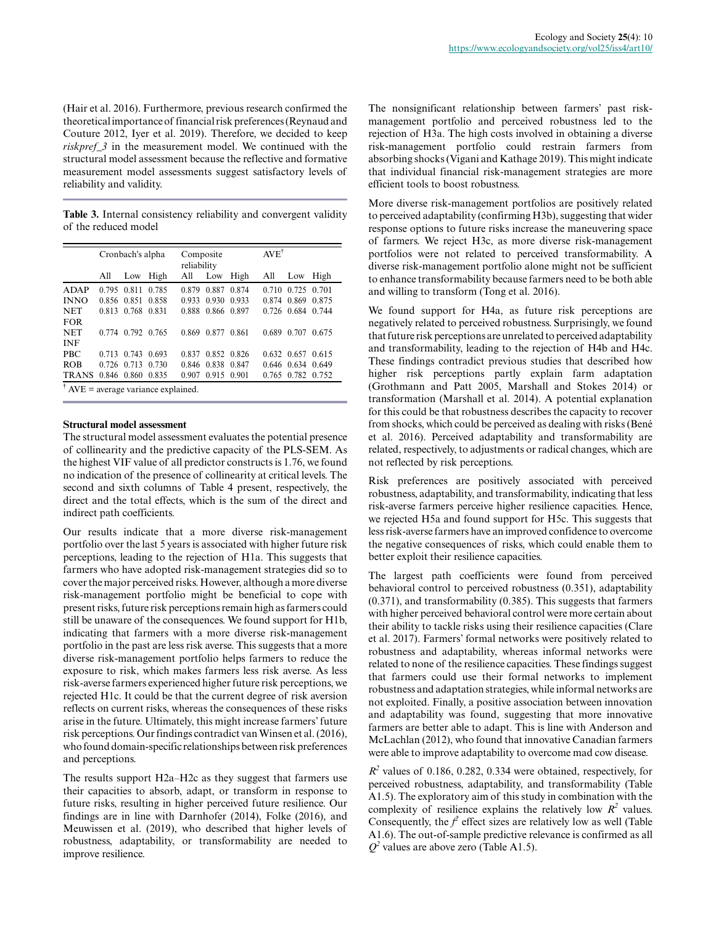(Hair et al. 2016). Furthermore, previous research confirmed the theoretical importance of financial risk preferences (Reynaud and Couture 2012, Iyer et al. 2019). Therefore, we decided to keep *riskpref\_3* in the measurement model. We continued with the structural model assessment because the reflective and formative measurement model assessments suggest satisfactory levels of reliability and validity.

**Table 3.** Internal consistency reliability and convergent validity of the reduced model

|                                       | Cronbach's alpha |             |       | Composite<br>reliability |             |       |       | $AVE^{\dagger}$ |       |  |  |  |
|---------------------------------------|------------------|-------------|-------|--------------------------|-------------|-------|-------|-----------------|-------|--|--|--|
|                                       | All              | Low         | High  | All                      | Low         | High  | All   | Low             | High  |  |  |  |
| <b>ADAP</b>                           | 0.795            | 0.811       | 0.785 | 0.879                    | 0.887       | 0.874 | 0.710 | 0.725 0.701     |       |  |  |  |
| <b>INNO</b>                           | 0.856 0.851      |             | 0.858 | 0.933                    | 0.930       | 0.933 | 0.874 | 0.869           | 0.875 |  |  |  |
| <b>NET</b>                            | 0.813            | 0.768       | 0.831 | 0.888                    | 0.866 0.897 |       | 0.726 | 0.684           | 0.744 |  |  |  |
| <b>FOR</b>                            |                  |             |       |                          |             |       |       |                 |       |  |  |  |
| <b>NET</b>                            | 0.774            | 0.792       | 0.765 | 0.869                    | 0.877       | 0.861 | 0.689 | 0.707           | 0.675 |  |  |  |
| <b>INF</b>                            |                  |             |       |                          |             |       |       |                 |       |  |  |  |
| <b>PBC</b>                            | 0.713            | 0.743       | 0.693 | 0.837                    | 0.852       | 0.826 | 0.632 | 0.657           | 0.615 |  |  |  |
| <b>ROB</b>                            |                  | 0.726 0.713 | 0.730 | 0.846                    | 0.838       | 0.847 | 0.646 | 0.634           | 0.649 |  |  |  |
| <b>TRANS</b>                          |                  | 0.846 0.860 | 0.835 | 0.907                    | 0.915       | 0.901 | 0.765 | 0.782           | 0.752 |  |  |  |
| $*$ AVE = average variance explained. |                  |             |       |                          |             |       |       |                 |       |  |  |  |

### **Structural model assessment**

The structural model assessment evaluates the potential presence of collinearity and the predictive capacity of the PLS-SEM. As the highest VIF value of all predictor constructs is 1.76, we found no indication of the presence of collinearity at critical levels. The second and sixth columns of Table 4 present, respectively, the direct and the total effects, which is the sum of the direct and indirect path coefficients.

Our results indicate that a more diverse risk-management portfolio over the last 5 years is associated with higher future risk perceptions, leading to the rejection of H1a. This suggests that farmers who have adopted risk-management strategies did so to cover the major perceived risks. However, although a more diverse risk-management portfolio might be beneficial to cope with present risks, future risk perceptions remain high as farmers could still be unaware of the consequences. We found support for H1b, indicating that farmers with a more diverse risk-management portfolio in the past are less risk averse. This suggests that a more diverse risk-management portfolio helps farmers to reduce the exposure to risk, which makes farmers less risk averse. As less risk-averse farmers experienced higher future risk perceptions, we rejected H1c. It could be that the current degree of risk aversion reflects on current risks, whereas the consequences of these risks arise in the future. Ultimately, this might increase farmers' future risk perceptions. Our findings contradict van Winsen et al. (2016), who found domain-specific relationships between risk preferences and perceptions.

The results support H2a–H2c as they suggest that farmers use their capacities to absorb, adapt, or transform in response to future risks, resulting in higher perceived future resilience. Our findings are in line with Darnhofer (2014), Folke (2016), and Meuwissen et al. (2019), who described that higher levels of robustness, adaptability, or transformability are needed to improve resilience.

The nonsignificant relationship between farmers' past riskmanagement portfolio and perceived robustness led to the rejection of H3a. The high costs involved in obtaining a diverse risk-management portfolio could restrain farmers from absorbing shocks (Vigani and Kathage 2019). This might indicate that individual financial risk-management strategies are more efficient tools to boost robustness.

More diverse risk-management portfolios are positively related to perceived adaptability (confirming H3b), suggesting that wider response options to future risks increase the maneuvering space of farmers. We reject H3c, as more diverse risk-management portfolios were not related to perceived transformability. A diverse risk-management portfolio alone might not be sufficient to enhance transformability because farmers need to be both able and willing to transform (Tong et al. 2016).

We found support for H4a, as future risk perceptions are negatively related to perceived robustness. Surprisingly, we found that future risk perceptions are unrelated to perceived adaptability and transformability, leading to the rejection of H4b and H4c. These findings contradict previous studies that described how higher risk perceptions partly explain farm adaptation (Grothmann and Patt 2005, Marshall and Stokes 2014) or transformation (Marshall et al. 2014). A potential explanation for this could be that robustness describes the capacity to recover from shocks, which could be perceived as dealing with risks (Bené et al. 2016). Perceived adaptability and transformability are related, respectively, to adjustments or radical changes, which are not reflected by risk perceptions.

Risk preferences are positively associated with perceived robustness, adaptability, and transformability, indicating that less risk-averse farmers perceive higher resilience capacities. Hence, we rejected H5a and found support for H5c. This suggests that less risk-averse farmers have an improved confidence to overcome the negative consequences of risks, which could enable them to better exploit their resilience capacities.

The largest path coefficients were found from perceived behavioral control to perceived robustness (0.351), adaptability (0.371), and transformability (0.385). This suggests that farmers with higher perceived behavioral control were more certain about their ability to tackle risks using their resilience capacities (Clare et al. 2017). Farmers' formal networks were positively related to robustness and adaptability, whereas informal networks were related to none of the resilience capacities. These findings suggest that farmers could use their formal networks to implement robustness and adaptation strategies, while informal networks are not exploited. Finally, a positive association between innovation and adaptability was found, suggesting that more innovative farmers are better able to adapt. This is line with Anderson and McLachlan (2012), who found that innovative Canadian farmers were able to improve adaptability to overcome mad cow disease.

 $R<sup>2</sup>$  values of 0.186, 0.282, 0.334 were obtained, respectively, for perceived robustness, adaptability, and transformability (Table A1.5). The exploratory aim of this study in combination with the complexity of resilience explains the relatively low  $R^2$  values. Consequently, the  $f^2$  effect sizes are relatively low as well (Table A1.6). The out-of-sample predictive relevance is confirmed as all  $Q^2$  values are above zero (Table A1.5).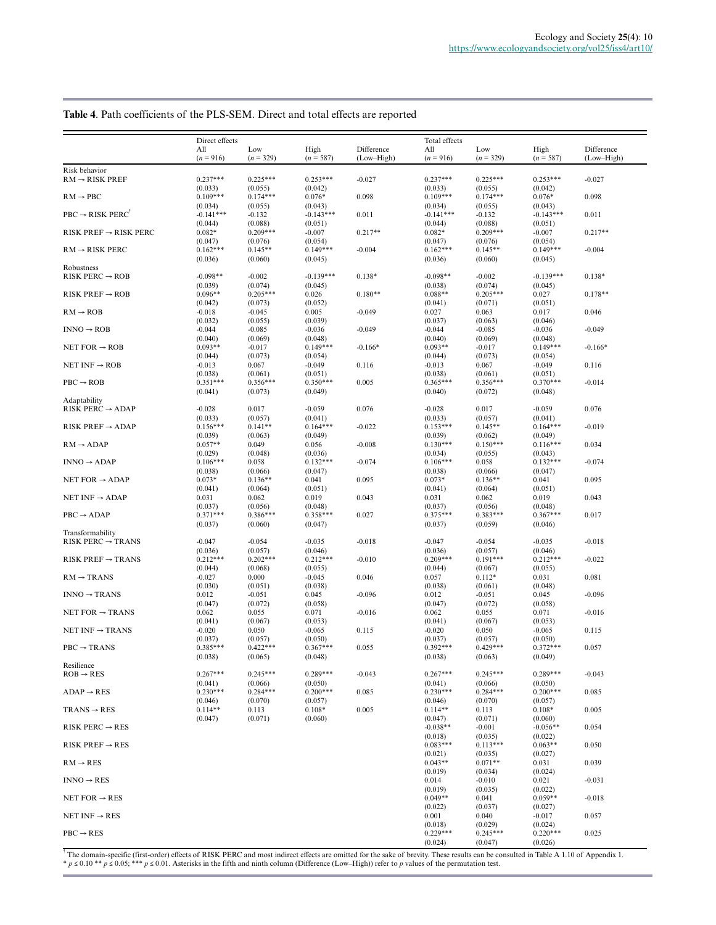#### Direct effects Total effects All  $(n = 916)$ Low  $(n = 329)$ High  $(n = 587)$ **Difference** (Low–High) All  $(n = 916)$ Low  $(n = 329)$ High  $(n = 587)$ **Difference** (Low–High) Risk behavior<br> $RM \rightarrow RISK$  PREF  $\text{RM} \to \text{RISK PREF}$  10.237\*\*\* 0.225\*\*\* 0.225\*\*\* -0.027 0.237\*\*\* 0.225\*\*\* -0.027  $(0.033)$   $(0.055)$   $(0.042)$   $(0.033)$   $(0.055)$   $(0.042)$  $RM \rightarrow PBC$  0.109\*\*\* 0.174\*\*\* 0.076\* 0.098 0.109\*\*\* 0.174\*\*\* 0.076\* 0.098  $(0.034)$   $(0.055)$   $(0.043)$   $(0.034)$   $(0.055)$   $(0.043)$  $PRC \rightarrow RISK$  PERC<sup>†</sup> -0.141\*\*\* -0.132 -0.143\*\*\* 0.011 -0.141\*\*\* -0.132 -0.143\*\*\* 0.011  $(0.044)$   $(0.088)$   $(0.051)$   $(0.044)$   $(0.088)$   $(0.051)$ RISK PREF → RISK PERC  $0.082*$   $0.209***$   $0.007$   $0.217**$   $0.082*$   $0.209***$   $0.007$   $0.017**$ <br>  $(0.047)$   $(0.076)$   $(0.054)$   $(0.076)$   $(0.076)$   $(0.076)$   $(0.076)$   $(0.076)$  $(0.047)$   $(0.076)$   $(0.054)$   $(0.047)$   $(0.076)$   $(0.054)$  $RM \rightarrow RISK \text{ PERC}$   $0.162*** \qquad 0.145** \qquad 0.149*** \qquad 0.004$   $0.162*** \qquad 0.145** \qquad 0.149*** \qquad 0.004$  $(0.036)$   $(0.060)$   $(0.045)$   $(0.036)$   $(0.060)$   $(0.045)$ Robustness<br>RISK PERC → ROB RISK PERC → ROB -0.098\*\* -0.002 -0.139\*\*\* 0.138\* -0.098\*\* -0.002 -0.139\*\*\* 0.138\*  $(0.039)$   $(0.074)$   $(0.045)$   $(0.038)$   $(0.074)$   $(0.045)$ RISK PREF → ROB  $0.096**$   $0.205***$   $0.026$   $0.180**$   $0.088**$   $0.205***$   $0.027$   $0.178**$  $(0.042)$   $(0.073)$   $(0.052)$   $(0.041)$   $(0.071)$   $(0.051)$  $RM \rightarrow ROB$  -0.018 -0.045 0.005 -0.049 0.027 0.063 0.017 0.046  $(0.032)$   $(0.055)$   $(0.039)$   $(0.037)$   $(0.063)$   $(0.046)$ INNO → ROB -0.044 -0.085 -0.036 -0.049 -0.044 -0.085 -0.036 -0.049  $(0.040)$   $(0.069)$   $(0.048)$   $(0.040)$   $(0.069)$   $(0.048)$ NET FOR → ROB  $0.093**$   $0.093**$   $0.017$   $0.149***$   $0.166*$   $0.093**$   $0.017$   $0.149***$   $0.166*$  $(0.044)$   $(0.073)$   $(0.054)$   $(0.044)$   $(0.073)$   $(0.054)$ NET INF → ROB -0.013 0.067 -0.049 0.116 -0.013 0.067 -0.049 0.116  $(0.038)$   $(0.061)$   $(0.051)$   $(0.051)$   $(0.038)$   $(0.061)$   $(0.051)$  $PBC \rightarrow ROB$  0.351\*\*\* 0.356\*\*\* 0.350\*\*\* 0.005 0.365\*\*\* 0.356\*\*\* 0.370\*\*\* -0.014  $(0.041)$   $(0.073)$   $(0.049)$   $(0.040)$   $(0.072)$   $(0.048)$ Adaptability RISK PERC → ADAP  $-0.028$   $-0.028$   $-0.059$   $-0.059$   $-0.028$   $-0.028$   $-0.028$   $-0.057$   $-0.059$   $-0.059$   $-0.059$   $-0.057$   $-0.059$   $-0.076$   $-0.033$   $-0.057$   $-0.059$   $-0.076$   $-0.033$   $-0.057$   $-0.041$   $-0.059$   $-0.0$  $(0.033)$   $(0.057)$   $(0.041)$   $(0.033)$   $(0.057)$   $(0.041)$ RISK PREF → ADAP  $0.156***$   $0.141**$   $0.164***$   $-0.022$   $0.153***$   $0.145**$   $0.164***$   $-0.019$  $(0.039)$   $(0.063)$   $(0.049)$   $(0.039)$   $(0.062)$   $(0.049)$  $\text{RM} \to \text{ADAP}$  0.057\*\* 0.049 0.056 -0.008 0.130\*\*\* 0.116\*\*\* 0.116\*\*\* 0.034  $(0.029)$   $(0.048)$   $(0.036)$   $(0.034)$   $(0.055)$   $(0.043)$ INNO → ADAP  $0.106***$   $0.058$   $0.132***$   $0.074$   $0.106***$   $0.058$   $0.132***$   $0.074$  $(0.038)$   $(0.066)$   $(0.047)$   $(0.038)$   $(0.066)$   $(0.047)$ NET FOR → ADAP  $0.073*$   $0.136**$   $0.041$   $0.095$   $0.073*$   $0.136**$   $0.041$   $0.095$  $(0.041)$   $(0.064)$   $(0.051)$   $(0.041)$   $(0.064)$   $(0.051)$ NET INF → ADAP  $0.031$   $0.062$  0.019 0.043  $0.031$  0.062 0.019 0.043  $(0.037)$   $(0.056)$   $(0.048)$   $(0.037)$   $(0.056)$   $(0.048)$  $\text{PBC} \rightarrow \text{ADAP}$  0.371\*\*\* 0.386\*\*\* 0.358\*\*\* 0.027 0.375\*\*\* 0.383\*\*\* 0.367\*\*\* 0.017  $(0.037)$   $(0.060)$   $(0.047)$   $(0.037)$   $(0.059)$   $(0.046)$ Transformability RISK PERC → TRANS -0.047 -0.054 -0.055 -0.018 -0.047 -0.054 -0.055 -0.018<br>
RISK PREF → TRANS 0.212\*\*\* 0.202\*\*\* 0.212\*\*\* -0.010 0.209\*\*\* 0.191\*\*\* 0.212\*\*\* -0.022  $(0.036)$   $(0.057)$   $(0.046)$   $(0.036)$   $(0.057)$   $(0.046)$ RISK PREF → TRANS  $0.212***$   $0.202***$   $0.212***$   $0.010$   $0.209***$   $0.191***$   $0.212***$   $0.022$  $(0.044)$   $(0.068)$   $(0.055)$   $(0.044)$   $(0.067)$   $(0.055)$  $RM \rightarrow TRANS$  -0.027 0.000 -0.045 0.046 0.057 0.112\* 0.031 0.081  $(0.030)$   $(0.051)$   $(0.038)$   $(0.038)$   $(0.061)$   $(0.048)$ INNO → TRANS  $0.012$   $-0.051$  0.045  $-0.096$  0.012  $-0.051$  0.045  $-0.096$  $(0.047)$   $(0.072)$   $(0.058)$   $(0.047)$   $(0.072)$   $(0.058)$ NET FOR → TRANS 0.062 0.055 0.071 -0.016 0.062 0.055 0.071 -0.016  $(0.041)$   $(0.067)$   $(0.053)$   $(0.041)$   $(0.067)$   $(0.053)$ NET INF → TRANS -0.020 0.050 -0.065 0.115 -0.020 0.050 -0.065 0.115  $(0.037)$   $(0.057)$   $(0.050)$   $(0.037)$   $(0.050)$   $(0.057)$   $(0.050)$ PBC→TRANS 0.385\*\*\* 0.422\*\*\* 0.367\*\*\* 0.055 0.392\*\*\* 0.429\*\*\* 0.372\*\*\* 0.057  $(0.038)$   $(0.065)$   $(0.048)$   $(0.038)$   $(0.063)$   $(0.049)$  $\frac{Resilience}{ROB \rightarrow RES}$  $ROB \rightarrow RES$  0.267\*\*\* 0.245\*\*\* 0.245\*\*\* 0.289\*\*\* -0.043 0.267\*\*\* 0.245\*\*\* 0.289\*\*\* -0.043  $(0.041)$   $(0.066)$   $(0.050)$   $(0.050)$   $(0.041)$   $(0.066)$   $(0.050)$  $\text{ADAP} \rightarrow \text{RES}$  0.230\*\*\* 0.230\*\*\* 0.284\*\*\* 0.200\*\*\* 0.085 0.230\*\*\* 0.284\*\*\* 0.200\*\*\* 0.085  $(0.046)$   $(0.070)$   $(0.057)$   $(0.046)$   $(0.070)$   $(0.057)$  $\text{TRANS} \rightarrow \text{RES}$  0.114<sup>\*\*</sup> 0.113 0.108<sup>\*</sup> 0.005 0.114<sup>\*\*</sup> 0.113 0.108<sup>\*</sup> 0.005  $(0.047)$   $(0.071)$   $(0.060)$   $(0.047)$   $(0.071)$   $(0.060)$ RISK PERC → RES<br>  $-0.038**$   $-0.0301$   $-0.056**$  0.054<br>  $(0.018)$   $(0.035)$   $(0.022)$  $(0.018)$   $(0.035)$   $(0.022)$ <br> $0.083***$   $0.113***$   $0.063**$ RISK PREF  $\rightarrow$  RES 0.063\*\* 0.113\*\*\* 0.063\*\* 0.063\*\* 0.063\*\* 0.063\*\* 0.063\*\* 0.050  $(0.021)$   $(0.035)$   $(0.027)$ <br> $0.043**$   $0.071**$   $0.031$  $RM \to RES$  0.031 0.039 0.043\*\* 0.071\*\* 0.031 0.039  $(0.019)$   $(0.034)$   $(0.024)$ <br>0.014  $-0.010$   $0.021$ INNO → RES 0.014  $-0.010$   $0.021$   $-0.031$   $-0.031$  $(0.019)$   $(0.035)$   $(0.022)$ <br>0.049<sup>\*\*</sup> 0.041 0.059<sup>\*\*</sup> NET FOR → RES 0.049\*\* 0.041 0.059\*\* -0.018  $\begin{array}{cccc} (0.022) & & (0.037) & & (0.027) \\ 0.001 & & 0.040 & & -0.017 \end{array}$ NET INF  $\rightarrow$  RES 0.017 0.057  $\begin{array}{cccc} (0.018) & & (0.029) & & (0.024) \\ 0.229^{***} & & 0.245^{***} & & 0.220^{***} \end{array}$  $PBC \rightarrow RES$  0.229\*\*\* 0.220\*\*\* 0.220\*\*\* 0.220\*\*\* 0.220\*\*\*  $(0.024)$   $(0.047)$   $(0.026)$

### **Table 4**. Path coefficients of the PLS-SEM. Direct and total effects are reported

The domain-specific (first-order) effects of RISK PERC and most indirect effects are omitted for the sake of brevity. These results can be consulted in Table A 1.10 of Appendix 1.  $p \le 0.10$  \*\*  $p \le 0.05$ ; \*\*\*  $p \le 0.01$ . Asterisks in the fifth and ninth column (Difference (Low–High)) refer to *p* values of the permutation test.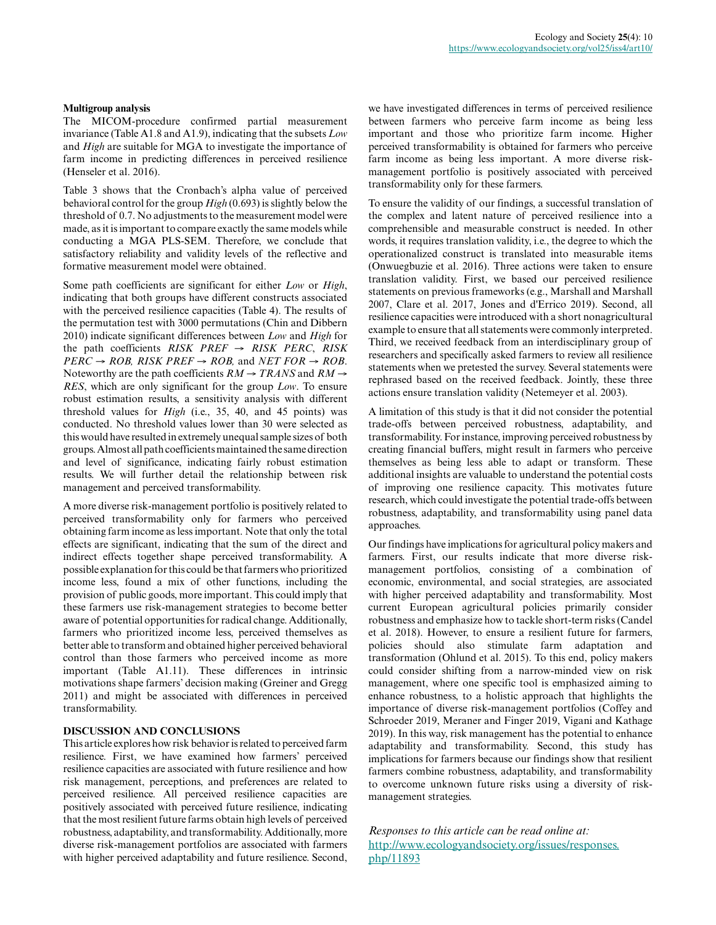### **Multigroup analysis**

The MICOM-procedure confirmed partial measurement invariance (Table A1.8 and A1.9), indicating that the subsets *Low* and *High* are suitable for MGA to investigate the importance of farm income in predicting differences in perceived resilience (Henseler et al. 2016).

Table 3 shows that the Cronbach's alpha value of perceived behavioral control for the group *High* (0.693) is slightly below the threshold of 0.7. No adjustments to the measurement model were made, as it is important to compare exactly the same models while conducting a MGA PLS-SEM. Therefore, we conclude that satisfactory reliability and validity levels of the reflective and formative measurement model were obtained.

Some path coefficients are significant for either *Low* or *High*, indicating that both groups have different constructs associated with the perceived resilience capacities (Table 4). The results of the permutation test with 3000 permutations (Chin and Dibbern 2010) indicate significant differences between *Low* and *High* for the path coefficients *RISK PREF* → *RISK PERC*, *RISK*  $PERC \rightarrow ROB$ , *RISK PREF*  $\rightarrow ROB$ , and *NET FOR*  $\rightarrow ROB$ . Noteworthy are the path coefficients *RM* → *TRANS* and *RM* → *RES*, which are only significant for the group *Low*. To ensure robust estimation results, a sensitivity analysis with different threshold values for *High* (i.e., 35, 40, and 45 points) was conducted. No threshold values lower than 30 were selected as this would have resulted in extremely unequal sample sizes of both groups. Almost all path coefficients maintained the same direction and level of significance, indicating fairly robust estimation results. We will further detail the relationship between risk management and perceived transformability.

A more diverse risk-management portfolio is positively related to perceived transformability only for farmers who perceived obtaining farm income as less important. Note that only the total effects are significant, indicating that the sum of the direct and indirect effects together shape perceived transformability. A possible explanation for this could be that farmers who prioritized income less, found a mix of other functions, including the provision of public goods, more important. This could imply that these farmers use risk-management strategies to become better aware of potential opportunities for radical change. Additionally, farmers who prioritized income less, perceived themselves as better able to transform and obtained higher perceived behavioral control than those farmers who perceived income as more important (Table A1.11). These differences in intrinsic motivations shape farmers' decision making (Greiner and Gregg 2011) and might be associated with differences in perceived transformability.

### **DISCUSSION AND CONCLUSIONS**

This article explores how risk behavior is related to perceived farm resilience. First, we have examined how farmers' perceived resilience capacities are associated with future resilience and how risk management, perceptions, and preferences are related to perceived resilience. All perceived resilience capacities are positively associated with perceived future resilience, indicating that the most resilient future farms obtain high levels of perceived robustness, adaptability, and transformability. Additionally, more diverse risk-management portfolios are associated with farmers with higher perceived adaptability and future resilience. Second,

we have investigated differences in terms of perceived resilience between farmers who perceive farm income as being less important and those who prioritize farm income. Higher perceived transformability is obtained for farmers who perceive farm income as being less important. A more diverse riskmanagement portfolio is positively associated with perceived transformability only for these farmers.

To ensure the validity of our findings, a successful translation of the complex and latent nature of perceived resilience into a comprehensible and measurable construct is needed. In other words, it requires translation validity, i.e., the degree to which the operationalized construct is translated into measurable items (Onwuegbuzie et al. 2016). Three actions were taken to ensure translation validity. First, we based our perceived resilience statements on previous frameworks (e.g., Marshall and Marshall 2007, Clare et al. 2017, Jones and d'Errico 2019). Second, all resilience capacities were introduced with a short nonagricultural example to ensure that all statements were commonly interpreted. Third, we received feedback from an interdisciplinary group of researchers and specifically asked farmers to review all resilience statements when we pretested the survey. Several statements were rephrased based on the received feedback. Jointly, these three actions ensure translation validity (Netemeyer et al. 2003).

A limitation of this study is that it did not consider the potential trade-offs between perceived robustness, adaptability, and transformability. For instance, improving perceived robustness by creating financial buffers, might result in farmers who perceive themselves as being less able to adapt or transform. These additional insights are valuable to understand the potential costs of improving one resilience capacity. This motivates future research, which could investigate the potential trade-offs between robustness, adaptability, and transformability using panel data approaches.

Our findings have implications for agricultural policy makers and farmers. First, our results indicate that more diverse riskmanagement portfolios, consisting of a combination of economic, environmental, and social strategies, are associated with higher perceived adaptability and transformability. Most current European agricultural policies primarily consider robustness and emphasize how to tackle short-term risks (Candel et al. 2018). However, to ensure a resilient future for farmers, policies should also stimulate farm adaptation and transformation (Ohlund et al. 2015). To this end, policy makers could consider shifting from a narrow-minded view on risk management, where one specific tool is emphasized aiming to enhance robustness, to a holistic approach that highlights the importance of diverse risk-management portfolios (Coffey and Schroeder 2019, Meraner and Finger 2019, Vigani and Kathage 2019). In this way, risk management has the potential to enhance adaptability and transformability. Second, this study has implications for farmers because our findings show that resilient farmers combine robustness, adaptability, and transformability to overcome unknown future risks using a diversity of riskmanagement strategies.

*Responses to this article can be read online at:* [http://www.ecologyandsociety.org/issues/responses.](http://www.ecologyandsociety.org/issues/responses.php/11893) [php/11893](http://www.ecologyandsociety.org/issues/responses.php/11893)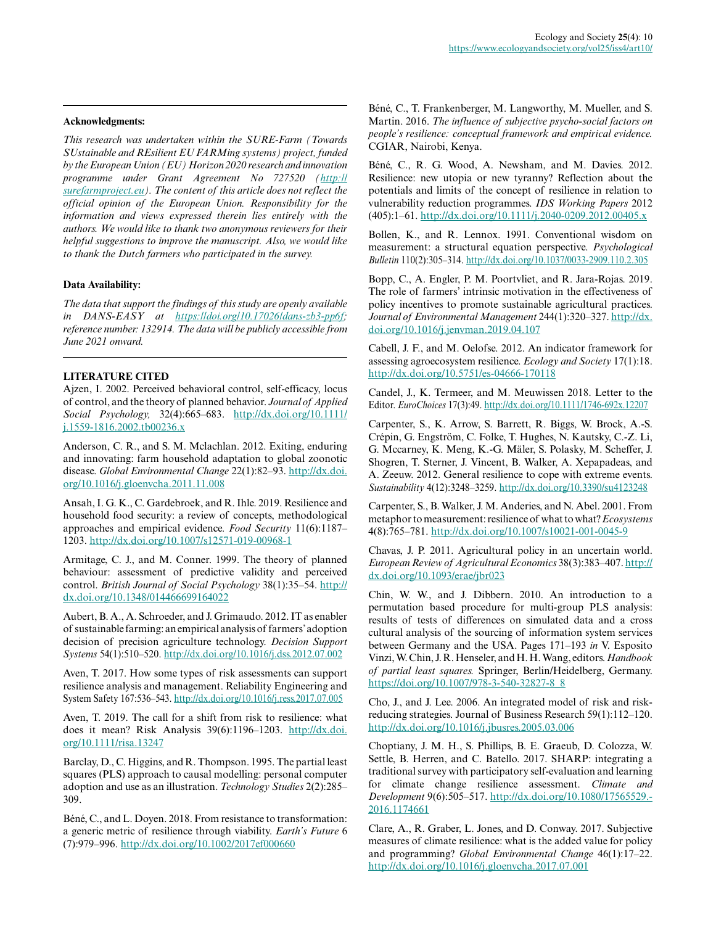### **Acknowledgments:**

*This research was undertaken within the SURE-Farm (Towards SUstainable and REsilient EU FARMing systems) project, funded by the European Union (EU) Horizon 2020 research and innovation programme under Grant Agreement No 727520 ([http://](http://surefarmproject.eu) [surefarmproject.eu](http://surefarmproject.eu)). The content of this article does not reflect the official opinion of the European Union. Responsibility for the information and views expressed therein lies entirely with the authors. We would like to thank two anonymous reviewers for their helpful suggestions to improve the manuscript. Also, we would like to thank the Dutch farmers who participated in the survey.*

### **Data Availability:**

*The data that support the findings of this study are openly available in DANS-EASY at <https://doi.org/10.17026/dans-zb3-pp6f>; reference number: 132914. The data will be publicly accessible from June 2021 onward.*

### **LITERATURE CITED**

Ajzen, I. 2002. Perceived behavioral control, self-efficacy, locus of control, and the theory of planned behavior. *Journal of Applied Social Psychology,* 32(4):665–683. [http://dx.doi.org/10.1111/](http://dx.doi.org/10.1111/j.1559-1816.2002.tb00236.x) [j.1559-1816.2002.tb00236.x](http://dx.doi.org/10.1111/j.1559-1816.2002.tb00236.x)

Anderson, C. R., and S. M. Mclachlan. 2012. Exiting, enduring and innovating: farm household adaptation to global zoonotic disease. *Global Environmental Change* 22(1):82-93. [http://dx.doi.](http://dx.doi.org/10.1016/j.gloenvcha.2011.11.008) [org/10.1016/j.gloenvcha.2011.11.008](http://dx.doi.org/10.1016/j.gloenvcha.2011.11.008)

Ansah, I. G. K., C. Gardebroek, and R. Ihle. 2019. Resilience and household food security: a review of concepts, methodological approaches and empirical evidence. *Food Security* 11(6):1187– 1203. <http://dx.doi.org/10.1007/s12571-019-00968-1>

Armitage, C. J., and M. Conner. 1999. The theory of planned behaviour: assessment of predictive validity and perceived control. *British Journal of Social Psychology* 38(1):35–54. [http://](http://dx.doi.org/10.1348/014466699164022) [dx.doi.org/10.1348/014466699164022](http://dx.doi.org/10.1348/014466699164022)

Aubert, B. A., A. Schroeder, and J. Grimaudo. 2012. IT as enabler of sustainable farming: an empirical analysis of farmers' adoption decision of precision agriculture technology. *Decision Support Systems* 54(1):510–520.<http://dx.doi.org/10.1016/j.dss.2012.07.002>

Aven, T. 2017. How some types of risk assessments can support resilience analysis and management. Reliability Engineering and System Safety 167:536–543. <http://dx.doi.org/10.1016/j.ress.2017.07.005>

Aven, T. 2019. The call for a shift from risk to resilience: what does it mean? Risk Analysis 39(6):1196–1203. [http://dx.doi.](http://dx.doi.org/10.1111/risa.13247) [org/10.1111/risa.13247](http://dx.doi.org/10.1111/risa.13247) 

Barclay, D., C. Higgins, and R. Thompson. 1995. The partial least squares (PLS) approach to causal modelling: personal computer adoption and use as an illustration. *Technology Studies* 2(2):285– 309.

Béné, C., and L. Doyen. 2018. From resistance to transformation: a generic metric of resilience through viability. *Earth's Future* 6 (7):979–996.<http://dx.doi.org/10.1002/2017ef000660>

Béné, C., T. Frankenberger, M. Langworthy, M. Mueller, and S. Martin. 2016. *The influence of subjective psycho-social factors on people's resilience: conceptual framework and empirical evidence.* CGIAR, Nairobi, Kenya.

Béné, C., R. G. Wood, A. Newsham, and M. Davies. 2012. Resilience: new utopia or new tyranny? Reflection about the potentials and limits of the concept of resilience in relation to vulnerability reduction programmes. *IDS Working Papers* 2012 (405):1–61. <http://dx.doi.org/10.1111/j.2040-0209.2012.00405.x>

Bollen, K., and R. Lennox. 1991. Conventional wisdom on measurement: a structural equation perspective. *Psychological Bulletin* 110(2):305–314. <http://dx.doi.org/10.1037/0033-2909.110.2.305>

Bopp, C., A. Engler, P. M. Poortvliet, and R. Jara-Rojas. 2019. The role of farmers' intrinsic motivation in the effectiveness of policy incentives to promote sustainable agricultural practices. *Journal of Environmental Management* 244(1):320–327. [http://dx.](http://dx.doi.org/10.1016/j.jenvman.2019.04.107) [doi.org/10.1016/j.jenvman.2019.04.107](http://dx.doi.org/10.1016/j.jenvman.2019.04.107)

Cabell, J. F., and M. Oelofse. 2012. An indicator framework for assessing agroecosystem resilience. *Ecology and Society* 17(1):18. <http://dx.doi.org/10.5751/es-04666-170118>

Candel, J., K. Termeer, and M. Meuwissen 2018. Letter to the Editor. *EuroChoices* 17(3):49.<http://dx.doi.org/10.1111/1746-692x.12207>

Carpenter, S., K. Arrow, S. Barrett, R. Biggs, W. Brock, A.-S. Crépin, G. Engström, C. Folke, T. Hughes, N. Kautsky, C.-Z. Li, G. Mccarney, K. Meng, K.-G. Mäler, S. Polasky, M. Scheffer, J. Shogren, T. Sterner, J. Vincent, B. Walker, A. Xepapadeas, and A. Zeeuw. 2012. General resilience to cope with extreme events. *Sustainability* 4(12):3248–3259. <http://dx.doi.org/10.3390/su4123248>

Carpenter, S., B. Walker, J. M. Anderies, and N. Abel. 2001. From metaphor to measurement: resilience of what to what? *Ecosystems* 4(8):765–781. <http://dx.doi.org/10.1007/s10021-001-0045-9>

Chavas, J. P. 2011. Agricultural policy in an uncertain world. *European Review of Agricultural Economics* 38(3):383–407. [http://](http://dx.doi.org/10.1093/erae/jbr023) [dx.doi.org/10.1093/erae/jbr023](http://dx.doi.org/10.1093/erae/jbr023) 

Chin, W. W., and J. Dibbern. 2010. An introduction to a permutation based procedure for multi-group PLS analysis: results of tests of differences on simulated data and a cross cultural analysis of the sourcing of information system services between Germany and the USA. Pages 171–193 *in* V. Esposito Vinzi, W. Chin, J. R. Henseler, and H. H. Wang, editors. *Handbook of partial least squares.* Springer, Berlin/Heidelberg, Germany. [https://doi.org/10.1007/978-3-540-32827-8\\_8](https://doi.org/10.1007/978-3-540-32827-8_8)

Cho, J., and J. Lee. 2006. An integrated model of risk and riskreducing strategies. Journal of Business Research 59(1):112–120. <http://dx.doi.org/10.1016/j.jbusres.2005.03.006>

Choptiany, J. M. H., S. Phillips, B. E. Graeub, D. Colozza, W. Settle, B. Herren, and C. Batello. 2017. SHARP: integrating a traditional survey with participatory self-evaluation and learning for climate change resilience assessment. *Climate and Development* 9(6):505–517. [http://dx.doi.org/10.1080/17565529.](http://dx.doi.org/10.1080/17565529.2016.1174661) [2016.1174661](http://dx.doi.org/10.1080/17565529.2016.1174661) 

Clare, A., R. Graber, L. Jones, and D. Conway. 2017. Subjective measures of climate resilience: what is the added value for policy and programming? *Global Environmental Change* 46(1):17–22. <http://dx.doi.org/10.1016/j.gloenvcha.2017.07.001>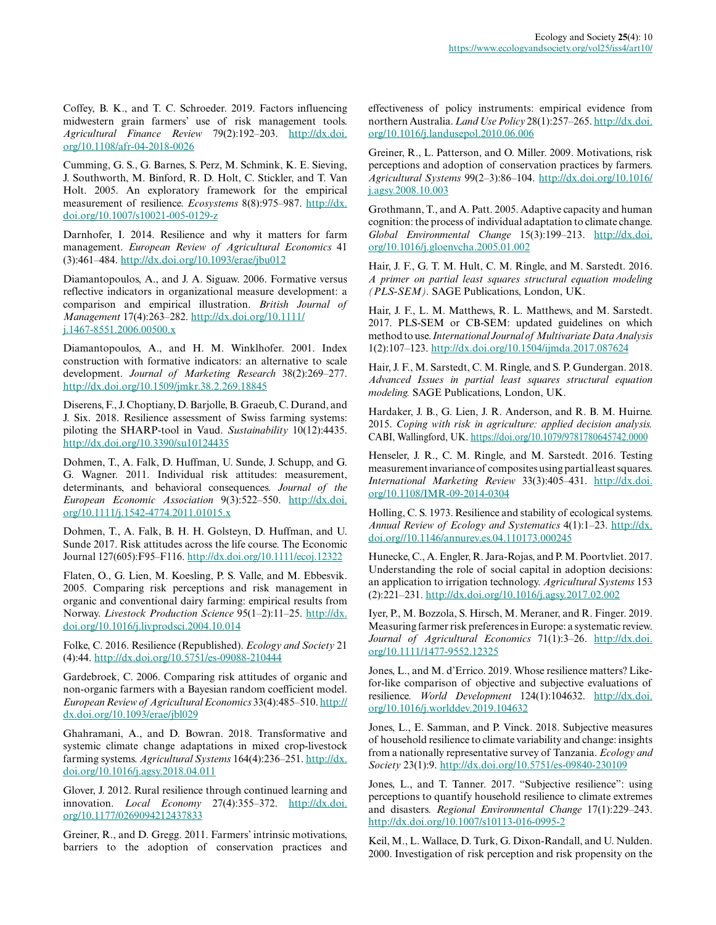Coffey, B. K., and T. C. Schroeder. 2019. Factors influencing midwestern grain farmers' use of risk management tools. *Agricultural Finance Review* 79(2):192–203. [http://dx.doi.](http://dx.doi.org/10.1108/afr-04-2018-0026) [org/10.1108/afr-04-2018-0026](http://dx.doi.org/10.1108/afr-04-2018-0026) 

Cumming, G. S., G. Barnes, S. Perz, M. Schmink, K. E. Sieving, J. Southworth, M. Binford, R. D. Holt, C. Stickler, and T. Van Holt. 2005. An exploratory framework for the empirical measurement of resilience. *Ecosystems* 8(8):975–987. [http://dx.](http://dx.doi.org/10.1007/s10021-005-0129-z) [doi.org/10.1007/s10021-005-0129-z](http://dx.doi.org/10.1007/s10021-005-0129-z)

Darnhofer, I. 2014. Resilience and why it matters for farm management. *European Review of Agricultural Economics* 41 (3):461–484.<http://dx.doi.org/10.1093/erae/jbu012>

Diamantopoulos, A., and J. A. Siguaw. 2006. Formative versus reflective indicators in organizational measure development: a comparison and empirical illustration. *British Journal of Management* 17(4):263–282. [http://dx.doi.org/10.1111/](http://dx.doi.org/10.1111/j.1467-8551.2006.00500.x) [j.1467-8551.2006.00500.x](http://dx.doi.org/10.1111/j.1467-8551.2006.00500.x)

Diamantopoulos, A., and H. M. Winklhofer. 2001. Index construction with formative indicators: an alternative to scale development. *Journal of Marketing Research* 38(2):269–277. <http://dx.doi.org/10.1509/jmkr.38.2.269.18845>

Diserens, F., J. Choptiany, D. Barjolle, B. Graeub, C. Durand, and J. Six. 2018. Resilience assessment of Swiss farming systems: piloting the SHARP-tool in Vaud. *Sustainability* 10(12):4435. <http://dx.doi.org/10.3390/su10124435>

Dohmen, T., A. Falk, D. Huffman, U. Sunde, J. Schupp, and G. G. Wagner. 2011. Individual risk attitudes: measurement, determinants, and behavioral consequences. *Journal of the European Economic Association* 9(3):522–550. [http://dx.doi.](http://dx.doi.org/10.1111/j.1542-4774.2011.01015.x) [org/10.1111/j.1542-4774.2011.01015.x](http://dx.doi.org/10.1111/j.1542-4774.2011.01015.x)

Dohmen, T., A. Falk, B. H. H. Golsteyn, D. Huffman, and U. Sunde 2017. Risk attitudes across the life course. The Economic Journal 127(605):F95–F116.<http://dx.doi.org/10.1111/ecoj.12322>

Flaten, O., G. Lien, M. Koesling, P. S. Valle, and M. Ebbesvik. 2005. Comparing risk perceptions and risk management in organic and conventional dairy farming: empirical results from Norway. *Livestock Production Science* 95(1–2):11–25. [http://dx.](http://dx.doi.org/10.1016/j.livprodsci.2004.10.014) [doi.org/10.1016/j.livprodsci.2004.10.014](http://dx.doi.org/10.1016/j.livprodsci.2004.10.014) 

Folke, C. 2016. Resilience (Republished). *Ecology and Society* 21 (4):44. <http://dx.doi.org/10.5751/es-09088-210444>

Gardebroek, C. 2006. Comparing risk attitudes of organic and non-organic farmers with a Bayesian random coefficient model. *European Review of Agricultural Economics* 33(4):485–510. [http://](http://dx.doi.org/10.1093/erae/jbl029) [dx.doi.org/10.1093/erae/jbl029](http://dx.doi.org/10.1093/erae/jbl029)

Ghahramani, A., and D. Bowran. 2018. Transformative and systemic climate change adaptations in mixed crop-livestock farming systems. *Agricultural Systems* 164(4):236–251. [http://dx.](http://dx.doi.org/10.1016/j.agsy.2018.04.011) [doi.org/10.1016/j.agsy.2018.04.011](http://dx.doi.org/10.1016/j.agsy.2018.04.011)

Glover, J. 2012. Rural resilience through continued learning and innovation. *Local Economy* 27(4):355–372. [http://dx.doi.](http://dx.doi.org/10.1177/0269094212437833) [org/10.1177/0269094212437833](http://dx.doi.org/10.1177/0269094212437833)

Greiner, R., and D. Gregg. 2011. Farmers' intrinsic motivations, barriers to the adoption of conservation practices and effectiveness of policy instruments: empirical evidence from northern Australia. *Land Use Policy* 28(1):257–265. [http://dx.doi.](http://dx.doi.org/10.1016/j.landusepol.2010.06.006) [org/10.1016/j.landusepol.2010.06.006](http://dx.doi.org/10.1016/j.landusepol.2010.06.006) 

Greiner, R., L. Patterson, and O. Miller. 2009. Motivations, risk perceptions and adoption of conservation practices by farmers. *Agricultural Systems* 99(2–3):86–104. [http://dx.doi.org/10.1016/](http://dx.doi.org/10.1016/j.agsy.2008.10.003) [j.agsy.2008.10.003](http://dx.doi.org/10.1016/j.agsy.2008.10.003)

Grothmann, T., and A. Patt. 2005. Adaptive capacity and human cognition: the process of individual adaptation to climate change. *Global Environmental Change* 15(3):199–213. [http://dx.doi.](http://dx.doi.org/10.1016/j.gloenvcha.2005.01.002) [org/10.1016/j.gloenvcha.2005.01.002](http://dx.doi.org/10.1016/j.gloenvcha.2005.01.002)

Hair, J. F., G. T. M. Hult, C. M. Ringle, and M. Sarstedt. 2016. *A primer on partial least squares structural equation modeling (PLS-SEM).* SAGE Publications, London, UK.

Hair, J. F., L. M. Matthews, R. L. Matthews, and M. Sarstedt. 2017. PLS-SEM or CB-SEM: updated guidelines on which method to use. *International Journal of Multivariate Data Analysis* 1(2):107–123. <http://dx.doi.org/10.1504/ijmda.2017.087624>

Hair, J. F., M. Sarstedt, C. M. Ringle, and S. P. Gundergan. 2018. *Advanced Issues in partial least squares structural equation modeling.* SAGE Publications, London, UK.

Hardaker, J. B., G. Lien, J. R. Anderson, and R. B. M. Huirne. 2015. *Coping with risk in agriculture: applied decision analysis.* CABI, Wallingford, UK. <https://doi.org/10.1079/9781780645742.0000>

Henseler, J. R., C. M. Ringle, and M. Sarstedt. 2016. Testing measurement invariance of composites using partial least squares. *International Marketing Review* 33(3):405–431. [http://dx.doi.](http://dx.doi.org/10.1108/IMR-09-2014-0304) [org/10.1108/IMR-09-2014-0304](http://dx.doi.org/10.1108/IMR-09-2014-0304)

Holling, C. S. 1973. Resilience and stability of ecological systems. *Annual Review of Ecology and Systematics* 4(1):1–23. [http://dx.](http://dx.doi.org//10.1146/annurev.es.04.110173.000245) [doi.org//10.1146/annurev.es.04.110173.000245](http://dx.doi.org//10.1146/annurev.es.04.110173.000245)

Hunecke, C., A. Engler, R. Jara-Rojas, and P. M. Poortvliet. 2017. Understanding the role of social capital in adoption decisions: an application to irrigation technology. *Agricultural Systems* 153 (2):221–231.<http://dx.doi.org/10.1016/j.agsy.2017.02.002>

Iyer, P., M. Bozzola, S. Hirsch, M. Meraner, and R. Finger. 2019. Measuring farmer risk preferences in Europe: a systematic review. *Journal of Agricultural Economics* 71(1):3–26. [http://dx.doi.](http://dx.doi.org/10.1111/1477-9552.12325) [org/10.1111/1477-9552.12325](http://dx.doi.org/10.1111/1477-9552.12325)

Jones, L., and M. d'Errico. 2019. Whose resilience matters? Likefor-like comparison of objective and subjective evaluations of resilience. *World Development* 124(1):104632. [http://dx.doi.](http://dx.doi.org/10.1016/j.worlddev.2019.104632) [org/10.1016/j.worlddev.2019.104632](http://dx.doi.org/10.1016/j.worlddev.2019.104632)

Jones, L., E. Samman, and P. Vinck. 2018. Subjective measures of household resilience to climate variability and change: insights from a nationally representative survey of Tanzania. *Ecology and Society* 23(1):9.<http://dx.doi.org/10.5751/es-09840-230109>

Jones, L., and T. Tanner. 2017. "Subjective resilience": using perceptions to quantify household resilience to climate extremes and disasters. *Regional Environmental Change* 17(1):229–243. <http://dx.doi.org/10.1007/s10113-016-0995-2>

Keil, M., L. Wallace, D. Turk, G. Dixon-Randall, and U. Nulden. 2000. Investigation of risk perception and risk propensity on the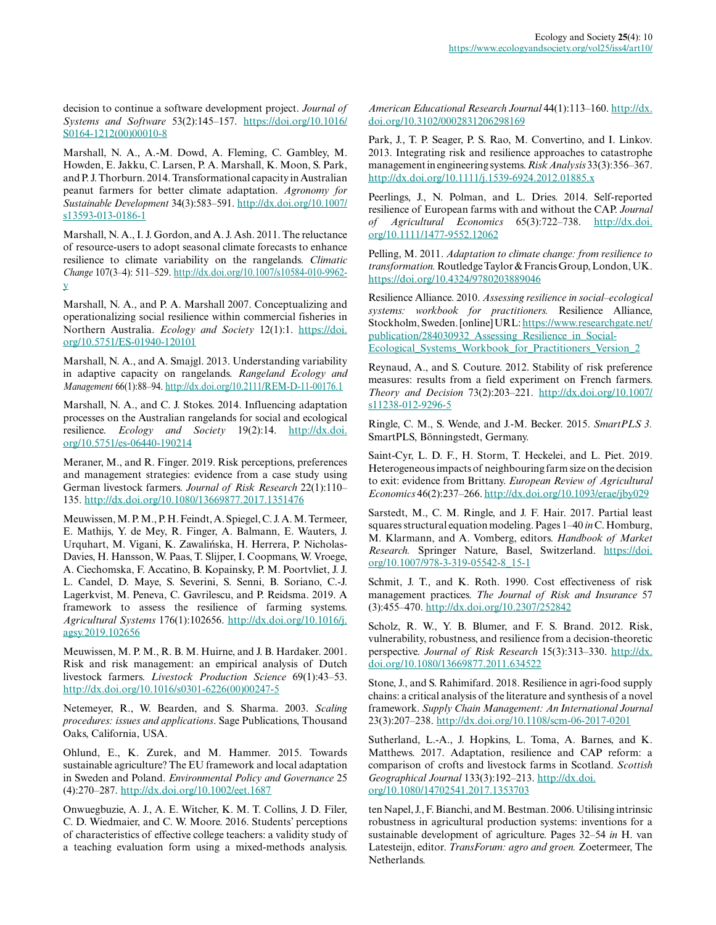decision to continue a software development project. *Journal of Systems and Software* 53(2):145–157. [https://doi.org/10.1016/](https://doi.org/10.1016/S0164-1212(00)00010-8) [S0164-1212\(00\)00010-8](https://doi.org/10.1016/S0164-1212(00)00010-8) 

Marshall, N. A., A.-M. Dowd, A. Fleming, C. Gambley, M. Howden, E. Jakku, C. Larsen, P. A. Marshall, K. Moon, S. Park, and P. J. Thorburn. 2014. Transformational capacity in Australian peanut farmers for better climate adaptation. *Agronomy for Sustainable Development* 34(3):583–591. [http://dx.doi.org/10.1007/](http://dx.doi.org/10.1007/s13593-013-0186-1) [s13593-013-0186-1](http://dx.doi.org/10.1007/s13593-013-0186-1) 

Marshall, N. A., I. J. Gordon, and A. J. Ash. 2011. The reluctance of resource-users to adopt seasonal climate forecasts to enhance resilience to climate variability on the rangelands. *Climatic Change* 107(3–4): 511–529. [http://dx.doi.org/10.1007/s10584-010-9962](http://dx.doi.org/10.1007/s10584-010-9962-y) [y](http://dx.doi.org/10.1007/s10584-010-9962-y)

Marshall, N. A., and P. A. Marshall 2007. Conceptualizing and operationalizing social resilience within commercial fisheries in Northern Australia. *Ecology and Society* 12(1):1. [https://doi.](https://doi.org/10.5751/ES-01940-120101) [org/10.5751/ES-01940-120101](https://doi.org/10.5751/ES-01940-120101) 

Marshall, N. A., and A. Smajgl. 2013. Understanding variability in adaptive capacity on rangelands. *Rangeland Ecology and Management* 66(1):88–94.<http://dx.doi.org/10.2111/REM-D-11-00176.1>

Marshall, N. A., and C. J. Stokes. 2014. Influencing adaptation processes on the Australian rangelands for social and ecological resilience. *Ecology and Society* 19(2):14. [http://dx.doi.](http://dx.doi.org/10.5751/es-06440-190214) [org/10.5751/es-06440-190214](http://dx.doi.org/10.5751/es-06440-190214)

Meraner, M., and R. Finger. 2019. Risk perceptions, preferences and management strategies: evidence from a case study using German livestock farmers. *Journal of Risk Research* 22(1):110– 135.<http://dx.doi.org/10.1080/13669877.2017.1351476>

Meuwissen, M. P. M., P. H. Feindt, A. Spiegel, C. J. A. M. Termeer, E. Mathijs, Y. de Mey, R. Finger, A. Balmann, E. Wauters, J. Urquhart, M. Vigani, K. Zawalińska, H. Herrera, P. Nicholas-Davies, H. Hansson, W. Paas, T. Slijper, I. Coopmans, W. Vroege, A. Ciechomska, F. Accatino, B. Kopainsky, P. M. Poortvliet, J. J. L. Candel, D. Maye, S. Severini, S. Senni, B. Soriano, C.-J. Lagerkvist, M. Peneva, C. Gavrilescu, and P. Reidsma. 2019. A framework to assess the resilience of farming systems. *Agricultural Systems* 176(1):102656. [http://dx.doi.org/10.1016/j.](http://dx.doi.org/10.1016/j.agsy.2019.102656) [agsy.2019.102656](http://dx.doi.org/10.1016/j.agsy.2019.102656) 

Meuwissen, M. P. M., R. B. M. Huirne, and J. B. Hardaker. 2001. Risk and risk management: an empirical analysis of Dutch livestock farmers. *Livestock Production Science* 69(1):43–53. [http://dx.doi.org/10.1016/s0301-6226\(00\)00247-5](http://dx.doi.org/10.1016/s0301-6226(00)00247-5) 

Netemeyer, R., W. Bearden, and S. Sharma. 2003. *Scaling procedures: issues and applications*. Sage Publications, Thousand Oaks, California, USA.

Ohlund, E., K. Zurek, and M. Hammer. 2015. Towards sustainable agriculture? The EU framework and local adaptation in Sweden and Poland. *Environmental Policy and Governance* 25 (4):270–287.<http://dx.doi.org/10.1002/eet.1687>

Onwuegbuzie, A. J., A. E. Witcher, K. M. T. Collins, J. D. Filer, C. D. Wiedmaier, and C. W. Moore. 2016. Students' perceptions of characteristics of effective college teachers: a validity study of a teaching evaluation form using a mixed-methods analysis.

*American Educational Research Journal* 44(1):113–160. [http://dx.](http://dx.doi.org/10.3102/0002831206298169) [doi.org/10.3102/0002831206298169](http://dx.doi.org/10.3102/0002831206298169)

Park, J., T. P. Seager, P. S. Rao, M. Convertino, and I. Linkov. 2013. Integrating risk and resilience approaches to catastrophe management in engineering systems. *Risk Analysis* 33(3):356–367. <http://dx.doi.org/10.1111/j.1539-6924.2012.01885.x>

Peerlings, J., N. Polman, and L. Dries. 2014. Self-reported resilience of European farms with and without the CAP. *Journal of Agricultural Economics* 65(3):722–738. [http://dx.doi.](http://dx.doi.org/10.1111/1477-9552.12062) [org/10.1111/1477-9552.12062](http://dx.doi.org/10.1111/1477-9552.12062)

Pelling, M. 2011. *Adaptation to climate change: from resilience to transformation.* Routledge Taylor & Francis Group, London, UK. <https://doi.org/10.4324/9780203889046>

Resilience Alliance. 2010. *Assessing resilience in social–ecological systems: workbook for practitioners.* Resilience Alliance, Stockholm, Sweden. [online] URL: [https://www.researchgate.net/](https://www.researchgate.net/publication/284030932_Assessing_Resilience_in_Social-Ecological_Systems_Workbook_for_Practitioners_Version_2) [publication/284030932\\_Assessing\\_Resilience\\_in\\_Social-](https://www.researchgate.net/publication/284030932_Assessing_Resilience_in_Social-Ecological_Systems_Workbook_for_Practitioners_Version_2)[Ecological\\_Systems\\_Workbook\\_for\\_Practitioners\\_Version\\_2](https://www.researchgate.net/publication/284030932_Assessing_Resilience_in_Social-Ecological_Systems_Workbook_for_Practitioners_Version_2)

Reynaud, A., and S. Couture. 2012. Stability of risk preference measures: results from a field experiment on French farmers. *Theory and Decision* 73(2):203–221. [http://dx.doi.org/10.1007/](http://dx.doi.org/10.1007/s11238-012-9296-5) [s11238-012-9296-5](http://dx.doi.org/10.1007/s11238-012-9296-5) 

Ringle, C. M., S. Wende, and J.-M. Becker. 2015. *SmartPLS 3.* SmartPLS, Bönningstedt, Germany.

Saint-Cyr, L. D. F., H. Storm, T. Heckelei, and L. Piet. 2019. Heterogeneous impacts of neighbouring farm size on the decision to exit: evidence from Brittany. *European Review of Agricultural Economics* 46(2):237–266.<http://dx.doi.org/10.1093/erae/jby029>

Sarstedt, M., C. M. Ringle, and J. F. Hair. 2017. Partial least squares structural equation modeling. Pages 1–40 *in* C. Homburg, M. Klarmann, and A. Vomberg, editors. *Handbook of Market Research.* Springer Nature, Basel, Switzerland. [https://doi.](https://doi.org/10.1007/978-3-319-05542-8_15-1) [org/10.1007/978-3-319-05542-8\\_15-1](https://doi.org/10.1007/978-3-319-05542-8_15-1) 

Schmit, J. T., and K. Roth. 1990. Cost effectiveness of risk management practices. *The Journal of Risk and Insurance* 57 (3):455–470.<http://dx.doi.org/10.2307/252842>

Scholz, R. W., Y. B. Blumer, and F. S. Brand. 2012. Risk, vulnerability, robustness, and resilience from a decision-theoretic perspective. *Journal of Risk Research* 15(3):313–330. [http://dx.](http://dx.doi.org/10.1080/13669877.2011.634522) [doi.org/10.1080/13669877.2011.634522](http://dx.doi.org/10.1080/13669877.2011.634522) 

Stone, J., and S. Rahimifard. 2018. Resilience in agri-food supply chains: a critical analysis of the literature and synthesis of a novel framework. *Supply Chain Management: An International Journal* 23(3):207–238.<http://dx.doi.org/10.1108/scm-06-2017-0201>

Sutherland, L.-A., J. Hopkins, L. Toma, A. Barnes, and K. Matthews. 2017. Adaptation, resilience and CAP reform: a comparison of crofts and livestock farms in Scotland. *Scottish Geographical Journal* 133(3):192–213. [http://dx.doi.](http://dx.doi.org/10.1080/14702541.2017.1353703) [org/10.1080/14702541.2017.1353703](http://dx.doi.org/10.1080/14702541.2017.1353703) 

ten Napel, J., F. Bianchi, and M. Bestman. 2006. Utilising intrinsic robustness in agricultural production systems: inventions for a sustainable development of agriculture. Pages 32–54 *in* H. van Latesteijn, editor. *TransForum: agro and groen.* Zoetermeer, The Netherlands.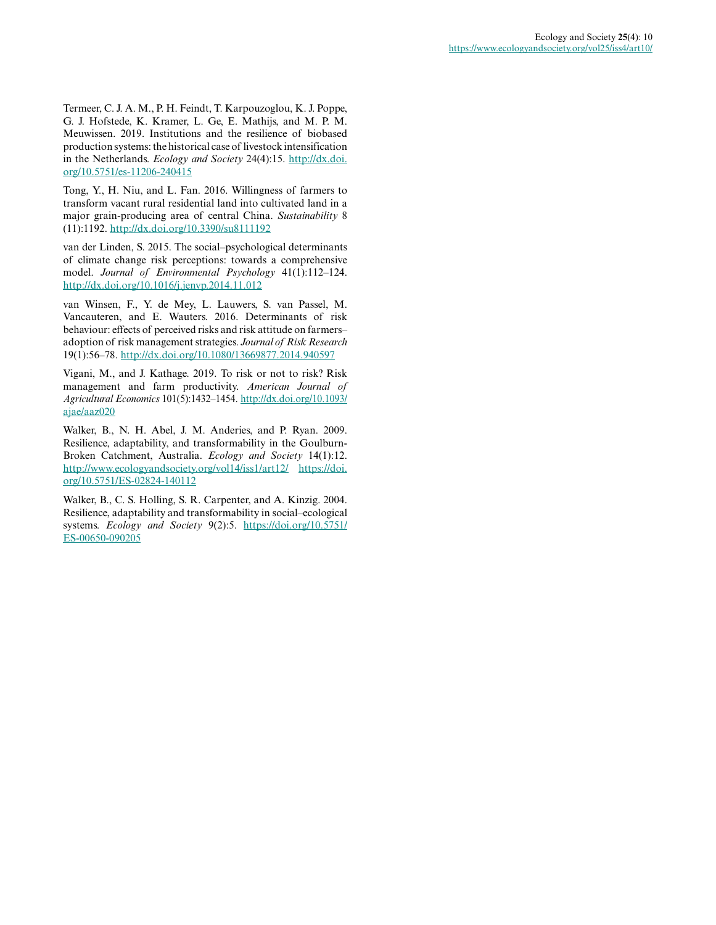Termeer, C. J. A. M., P. H. Feindt, T. Karpouzoglou, K. J. Poppe, G. J. Hofstede, K. Kramer, L. Ge, E. Mathijs, and M. P. M. Meuwissen. 2019. Institutions and the resilience of biobased production systems: the historical case of livestock intensification in the Netherlands. *Ecology and Society* 24(4):15. [http://dx.doi.](http://dx.doi.org/10.5751/es-11206-240415) [org/10.5751/es-11206-240415](http://dx.doi.org/10.5751/es-11206-240415)

Tong, Y., H. Niu, and L. Fan. 2016. Willingness of farmers to transform vacant rural residential land into cultivated land in a major grain-producing area of central China. *Sustainability* 8 (11):1192.<http://dx.doi.org/10.3390/su8111192>

van der Linden, S. 2015. The social–psychological determinants of climate change risk perceptions: towards a comprehensive model. *Journal of Environmental Psychology* 41(1):112–124. <http://dx.doi.org/10.1016/j.jenvp.2014.11.012>

van Winsen, F., Y. de Mey, L. Lauwers, S. van Passel, M. Vancauteren, and E. Wauters. 2016. Determinants of risk behaviour: effects of perceived risks and risk attitude on farmers– adoption of risk management strategies. *Journal of Risk Research* 19(1):56–78.<http://dx.doi.org/10.1080/13669877.2014.940597>

Vigani, M., and J. Kathage. 2019. To risk or not to risk? Risk management and farm productivity. *American Journal of Agricultural Economics* 101(5):1432–1454. [http://dx.doi.org/10.1093/](http://dx.doi.org/10.1093/ajae/aaz020) [ajae/aaz020](http://dx.doi.org/10.1093/ajae/aaz020)

Walker, B., N. H. Abel, J. M. Anderies, and P. Ryan. 2009. Resilience, adaptability, and transformability in the Goulburn-Broken Catchment, Australia. *Ecology and Society* 14(1):12. <http://www.ecologyandsociety.org/vol14/iss1/art12/> [https://doi.](https://doi.org/10.5751/ES-02824-140112) [org/10.5751/ES-02824-140112](https://doi.org/10.5751/ES-02824-140112) 

Walker, B., C. S. Holling, S. R. Carpenter, and A. Kinzig. 2004. Resilience, adaptability and transformability in social–ecological systems. *Ecology and Society* 9(2):5. [https://doi.org/10.5751/](https://doi.org/10.5751/ES-00650-090205) [ES-00650-090205](https://doi.org/10.5751/ES-00650-090205)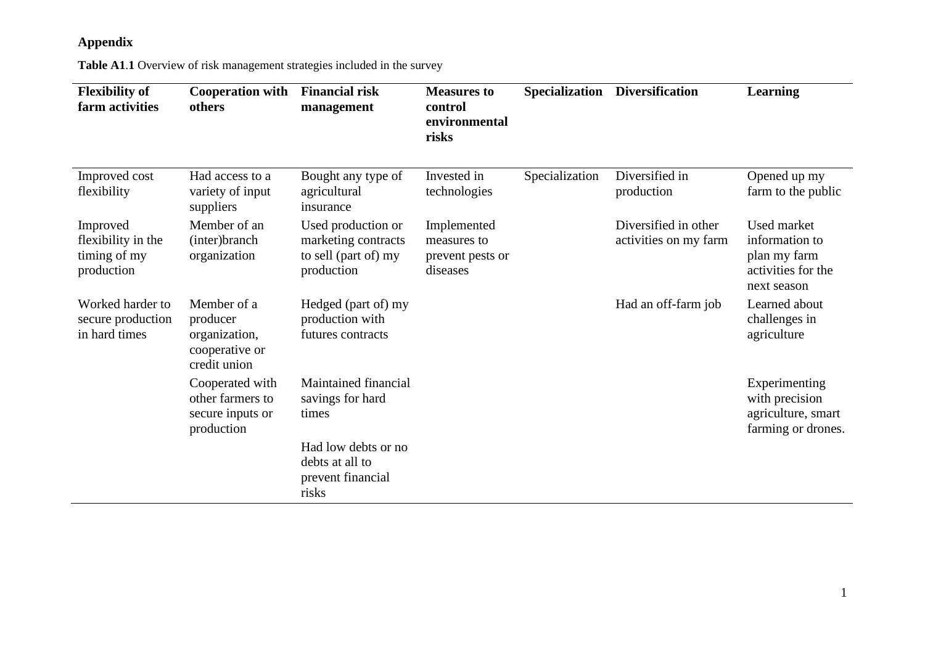# **Appendix**

**Table A1**.**1** Overview of risk management strategies included in the survey

| <b>Flexibility of</b><br>farm activities                     | <b>Cooperation with</b><br>others                                          | <b>Financial risk</b><br>management                                             | <b>Measures to</b><br>control<br>environmental<br>risks    | <b>Specialization</b> | <b>Diversification</b>                        | <b>Learning</b>                                                                    |
|--------------------------------------------------------------|----------------------------------------------------------------------------|---------------------------------------------------------------------------------|------------------------------------------------------------|-----------------------|-----------------------------------------------|------------------------------------------------------------------------------------|
| Improved cost<br>flexibility                                 | Had access to a<br>variety of input<br>suppliers                           | Bought any type of<br>agricultural<br>insurance                                 | Invested in<br>technologies                                | Specialization        | Diversified in<br>production                  | Opened up my<br>farm to the public                                                 |
| Improved<br>flexibility in the<br>timing of my<br>production | Member of an<br>(inter)branch<br>organization                              | Used production or<br>marketing contracts<br>to sell (part of) my<br>production | Implemented<br>measures to<br>prevent pests or<br>diseases |                       | Diversified in other<br>activities on my farm | Used market<br>information to<br>plan my farm<br>activities for the<br>next season |
| Worked harder to<br>secure production<br>in hard times       | Member of a<br>producer<br>organization,<br>cooperative or<br>credit union | Hedged (part of) my<br>production with<br>futures contracts                     |                                                            |                       | Had an off-farm job                           | Learned about<br>challenges in<br>agriculture                                      |
|                                                              | Cooperated with<br>other farmers to<br>secure inputs or<br>production      | Maintained financial<br>savings for hard<br>times                               |                                                            |                       |                                               | Experimenting<br>with precision<br>agriculture, smart<br>farming or drones.        |
|                                                              |                                                                            | Had low debts or no<br>debts at all to<br>prevent financial<br>risks            |                                                            |                       |                                               |                                                                                    |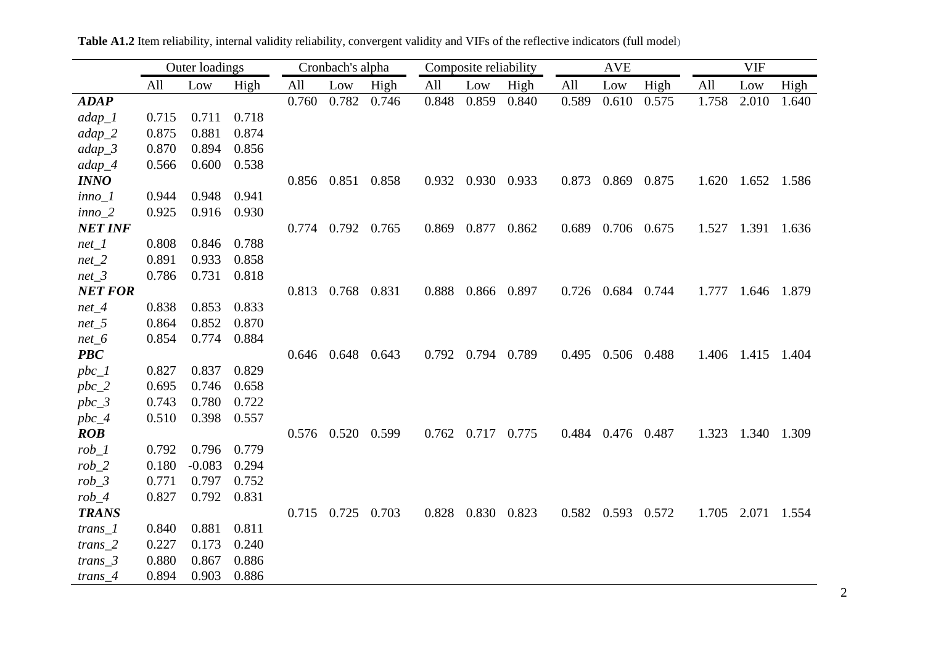|                |       | Outer loadings |       |       | Cronbach's alpha  |       |       | Composite reliability |       |       | <b>AVE</b>        |       |       | <b>VIF</b>  |       |
|----------------|-------|----------------|-------|-------|-------------------|-------|-------|-----------------------|-------|-------|-------------------|-------|-------|-------------|-------|
|                | All   | Low            | High  | All   | Low               | High  | All   | Low                   | High  | All   | Low               | High  | All   | Low         | High  |
| <b>ADAP</b>    |       |                |       | 0.760 | 0.782             | 0.746 | 0.848 | 0.859                 | 0.840 | 0.589 | 0.610             | 0.575 | 1.758 | 2.010       | 1.640 |
| $adap_1$       | 0.715 | 0.711          | 0.718 |       |                   |       |       |                       |       |       |                   |       |       |             |       |
| $adap_2$       | 0.875 | 0.881          | 0.874 |       |                   |       |       |                       |       |       |                   |       |       |             |       |
| $adap_3$       | 0.870 | 0.894          | 0.856 |       |                   |       |       |                       |       |       |                   |       |       |             |       |
| $adap_4$       | 0.566 | 0.600          | 0.538 |       |                   |       |       |                       |       |       |                   |       |       |             |       |
| <b>INNO</b>    |       |                |       |       | 0.856 0.851 0.858 |       |       | 0.932 0.930 0.933     |       |       | 0.873 0.869 0.875 |       | 1.620 | 1.652 1.586 |       |
| $inno_1$       | 0.944 | 0.948          | 0.941 |       |                   |       |       |                       |       |       |                   |       |       |             |       |
| $inno_2$       | 0.925 | 0.916          | 0.930 |       |                   |       |       |                       |       |       |                   |       |       |             |       |
| <b>NET INF</b> |       |                |       | 0.774 | 0.792 0.765       |       | 0.869 | 0.877                 | 0.862 | 0.689 | 0.706 0.675       |       | 1.527 | 1.391       | 1.636 |
| $net_1$        | 0.808 | 0.846          | 0.788 |       |                   |       |       |                       |       |       |                   |       |       |             |       |
| $net_2$        | 0.891 | 0.933          | 0.858 |       |                   |       |       |                       |       |       |                   |       |       |             |       |
| $net_3$        | 0.786 | 0.731          | 0.818 |       |                   |       |       |                       |       |       |                   |       |       |             |       |
| <b>NET FOR</b> |       |                |       | 0.813 | 0.768 0.831       |       | 0.888 | 0.866 0.897           |       |       | 0.726 0.684 0.744 |       | 1.777 | 1.646       | 1.879 |
| $net_4$        | 0.838 | 0.853          | 0.833 |       |                   |       |       |                       |       |       |                   |       |       |             |       |
| $net_5$        | 0.864 | 0.852          | 0.870 |       |                   |       |       |                       |       |       |                   |       |       |             |       |
| $net_6$        | 0.854 | 0.774          | 0.884 |       |                   |       |       |                       |       |       |                   |       |       |             |       |
| PBC            |       |                |       | 0.646 | 0.648             | 0.643 | 0.792 | 0.794                 | 0.789 | 0.495 | 0.506 0.488       |       | 1.406 | 1.415       | 1.404 |
| $pbc\_1$       | 0.827 | 0.837          | 0.829 |       |                   |       |       |                       |       |       |                   |       |       |             |       |
| $pbc_2$        | 0.695 | 0.746          | 0.658 |       |                   |       |       |                       |       |       |                   |       |       |             |       |
| $pbc_3$        | 0.743 | 0.780          | 0.722 |       |                   |       |       |                       |       |       |                   |       |       |             |       |
| $pbc_4$        | 0.510 | 0.398          | 0.557 |       |                   |       |       |                       |       |       |                   |       |       |             |       |
| ROB            |       |                |       | 0.576 | 0.520 0.599       |       |       | 0.762 0.717 0.775     |       |       | 0.484 0.476       | 0.487 | 1.323 | 1.340       | 1.309 |
| $rob_1$        | 0.792 | 0.796          | 0.779 |       |                   |       |       |                       |       |       |                   |       |       |             |       |
| $rob_2$        | 0.180 | $-0.083$       | 0.294 |       |                   |       |       |                       |       |       |                   |       |       |             |       |
| $rob_3$        | 0.771 | 0.797          | 0.752 |       |                   |       |       |                       |       |       |                   |       |       |             |       |
| $rob_4$        | 0.827 | 0.792          | 0.831 |       |                   |       |       |                       |       |       |                   |       |       |             |       |
| <b>TRANS</b>   |       |                |       | 0.715 | 0.725 0.703       |       | 0.828 | 0.830 0.823           |       |       | 0.582 0.593 0.572 |       | 1.705 | 2.071       | 1.554 |
| $trans_l$      | 0.840 | 0.881          | 0.811 |       |                   |       |       |                       |       |       |                   |       |       |             |       |
| $trans_2$      | 0.227 | 0.173          | 0.240 |       |                   |       |       |                       |       |       |                   |       |       |             |       |
| $trans_3$      | 0.880 | 0.867          | 0.886 |       |                   |       |       |                       |       |       |                   |       |       |             |       |
| $trans\_4$     | 0.894 | 0.903          | 0.886 |       |                   |       |       |                       |       |       |                   |       |       |             |       |

**Table A1.2** Item reliability, internal validity reliability, convergent validity and VIFs of the reflective indicators (full model)

2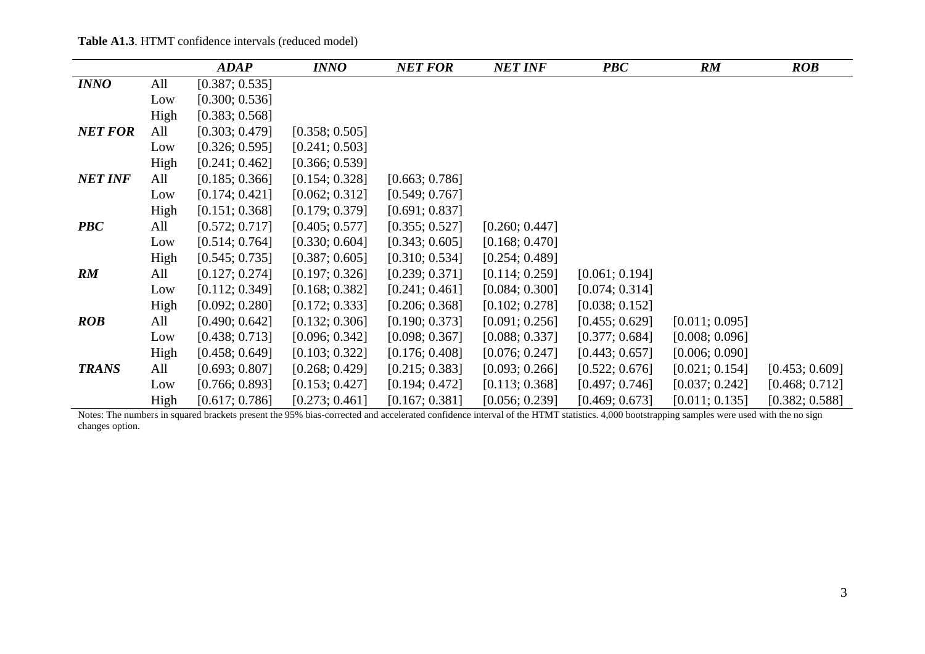|                    |      | <b>ADAP</b>    | <b>INNO</b>    | <b>NET FOR</b> | <b>NET INF</b> | <b>PBC</b>     | <b>RM</b>      | <b>ROB</b>     |
|--------------------|------|----------------|----------------|----------------|----------------|----------------|----------------|----------------|
| <b>INNO</b>        | All  | [0.387; 0.535] |                |                |                |                |                |                |
|                    | Low  | [0.300; 0.536] |                |                |                |                |                |                |
|                    | High | [0.383; 0.568] |                |                |                |                |                |                |
| <b>NET FOR</b>     | All  | [0.303; 0.479] | [0.358; 0.505] |                |                |                |                |                |
|                    | Low  | [0.326; 0.595] | [0.241; 0.503] |                |                |                |                |                |
|                    | High | [0.241; 0.462] | [0.366; 0.539] |                |                |                |                |                |
| <b>NET INF</b>     | All  | [0.185; 0.366] | [0.154; 0.328] | [0.663; 0.786] |                |                |                |                |
|                    | Low  | [0.174; 0.421] | [0.062; 0.312] | [0.549; 0.767] |                |                |                |                |
|                    | High | [0.151; 0.368] | [0.179; 0.379] | [0.691; 0.837] |                |                |                |                |
| $\boldsymbol{PBC}$ | All  | [0.572; 0.717] | [0.405; 0.577] | [0.355; 0.527] | [0.260; 0.447] |                |                |                |
|                    | Low  | [0.514; 0.764] | [0.330; 0.604] | [0.343; 0.605] | [0.168; 0.470] |                |                |                |
|                    | High | [0.545; 0.735] | [0.387; 0.605] | [0.310; 0.534] | [0.254; 0.489] |                |                |                |
| RM                 | All  | [0.127; 0.274] | [0.197; 0.326] | [0.239; 0.371] | [0.114; 0.259] | [0.061; 0.194] |                |                |
|                    | Low  | [0.112; 0.349] | [0.168; 0.382] | [0.241; 0.461] | [0.084; 0.300] | [0.074; 0.314] |                |                |
|                    | High | [0.092; 0.280] | [0.172; 0.333] | [0.206; 0.368] | [0.102; 0.278] | [0.038; 0.152] |                |                |
| <b>ROB</b>         | All  | [0.490; 0.642] | [0.132; 0.306] | [0.190; 0.373] | [0.091; 0.256] | [0.455; 0.629] | [0.011; 0.095] |                |
|                    | Low  | [0.438; 0.713] | [0.096; 0.342] | [0.098; 0.367] | [0.088; 0.337] | [0.377; 0.684] | [0.008; 0.096] |                |
|                    | High | [0.458; 0.649] | [0.103; 0.322] | [0.176; 0.408] | [0.076; 0.247] | [0.443; 0.657] | [0.006; 0.090] |                |
| <b>TRANS</b>       | All  | [0.693; 0.807] | [0.268; 0.429] | [0.215; 0.383] | [0.093; 0.266] | [0.522; 0.676] | [0.021; 0.154] | [0.453; 0.609] |
|                    | Low  | [0.766; 0.893] | [0.153; 0.427] | [0.194; 0.472] | [0.113; 0.368] | [0.497; 0.746] | [0.037; 0.242] | [0.468; 0.712] |
|                    | High | [0.617; 0.786] | [0.273; 0.461] | [0.167; 0.381] | [0.056; 0.239] | [0.469; 0.673] | [0.011; 0.135] | [0.382; 0.588] |

Notes: The numbers in squared brackets present the 95% bias-corrected and accelerated confidence interval of the HTMT statistics. 4,000 bootstrapping samples were used with the no sign changes option.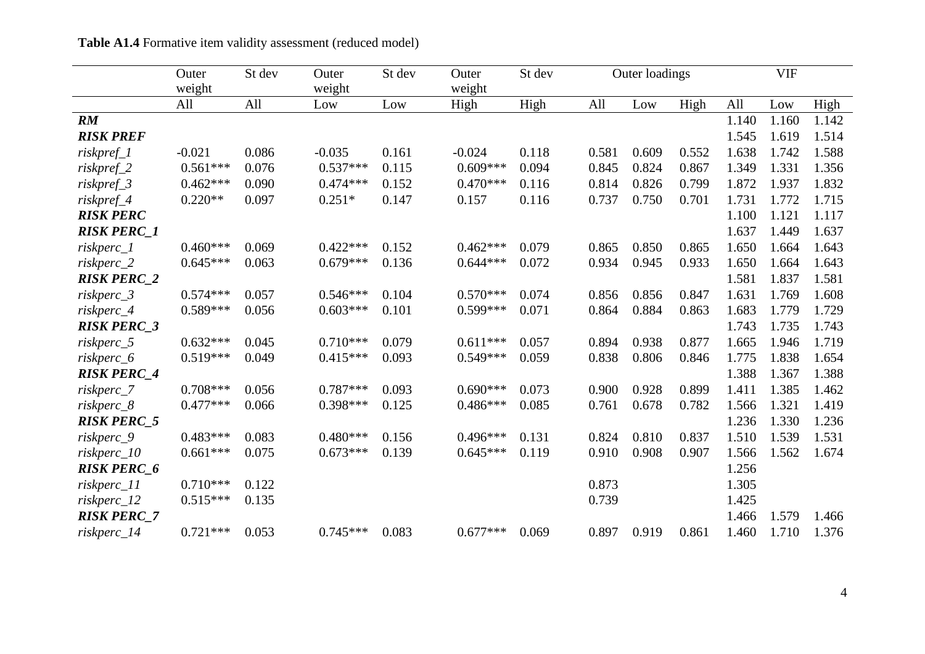|                    | Outer      | St dev | Outer      | St dev | Outer      | St dev |       | Outer loadings |       |       | <b>VIF</b> |       |
|--------------------|------------|--------|------------|--------|------------|--------|-------|----------------|-------|-------|------------|-------|
|                    | weight     |        | weight     |        | weight     |        |       |                |       |       |            |       |
|                    | All        | All    | Low        | Low    | High       | High   | All   | Low            | High  | All   | Low        | High  |
| RM                 |            |        |            |        |            |        |       |                |       | 1.140 | 1.160      | 1.142 |
| <b>RISK PREF</b>   |            |        |            |        |            |        |       |                |       | 1.545 | 1.619      | 1.514 |
| $riskpref_1$       | $-0.021$   | 0.086  | $-0.035$   | 0.161  | $-0.024$   | 0.118  | 0.581 | 0.609          | 0.552 | 1.638 | 1.742      | 1.588 |
| $riskpref_2$       | $0.561***$ | 0.076  | $0.537***$ | 0.115  | $0.609***$ | 0.094  | 0.845 | 0.824          | 0.867 | 1.349 | 1.331      | 1.356 |
| riskpref_3         | $0.462***$ | 0.090  | $0.474***$ | 0.152  | $0.470***$ | 0.116  | 0.814 | 0.826          | 0.799 | 1.872 | 1.937      | 1.832 |
| riskpref_4         | $0.220**$  | 0.097  | $0.251*$   | 0.147  | 0.157      | 0.116  | 0.737 | 0.750          | 0.701 | 1.731 | 1.772      | 1.715 |
| <b>RISK PERC</b>   |            |        |            |        |            |        |       |                |       | 1.100 | 1.121      | 1.117 |
| <b>RISK PERC_1</b> |            |        |            |        |            |        |       |                |       | 1.637 | 1.449      | 1.637 |
| $riskperc_l$       | $0.460***$ | 0.069  | $0.422***$ | 0.152  | $0.462***$ | 0.079  | 0.865 | 0.850          | 0.865 | 1.650 | 1.664      | 1.643 |
| $riskperc_2$       | $0.645***$ | 0.063  | $0.679***$ | 0.136  | $0.644***$ | 0.072  | 0.934 | 0.945          | 0.933 | 1.650 | 1.664      | 1.643 |
| <b>RISK PERC_2</b> |            |        |            |        |            |        |       |                |       | 1.581 | 1.837      | 1.581 |
| $riskperc_3$       | $0.574***$ | 0.057  | $0.546***$ | 0.104  | $0.570***$ | 0.074  | 0.856 | 0.856          | 0.847 | 1.631 | 1.769      | 1.608 |
| $riskperc_4$       | $0.589***$ | 0.056  | $0.603***$ | 0.101  | $0.599***$ | 0.071  | 0.864 | 0.884          | 0.863 | 1.683 | 1.779      | 1.729 |
| <b>RISK PERC_3</b> |            |        |            |        |            |        |       |                |       | 1.743 | 1.735      | 1.743 |
| $riskperc_5$       | $0.632***$ | 0.045  | $0.710***$ | 0.079  | $0.611***$ | 0.057  | 0.894 | 0.938          | 0.877 | 1.665 | 1.946      | 1.719 |
| $riskperc_6$       | $0.519***$ | 0.049  | $0.415***$ | 0.093  | $0.549***$ | 0.059  | 0.838 | 0.806          | 0.846 | 1.775 | 1.838      | 1.654 |
| <b>RISK PERC_4</b> |            |        |            |        |            |        |       |                |       | 1.388 | 1.367      | 1.388 |
| riskperc_7         | $0.708***$ | 0.056  | $0.787***$ | 0.093  | $0.690***$ | 0.073  | 0.900 | 0.928          | 0.899 | 1.411 | 1.385      | 1.462 |
| riskperc_8         | $0.477***$ | 0.066  | $0.398***$ | 0.125  | $0.486***$ | 0.085  | 0.761 | 0.678          | 0.782 | 1.566 | 1.321      | 1.419 |
| <b>RISK PERC_5</b> |            |        |            |        |            |        |       |                |       | 1.236 | 1.330      | 1.236 |
| riskperc_9         | $0.483***$ | 0.083  | $0.480***$ | 0.156  | $0.496***$ | 0.131  | 0.824 | 0.810          | 0.837 | 1.510 | 1.539      | 1.531 |
| $riskperc_10$      | $0.661***$ | 0.075  | $0.673***$ | 0.139  | $0.645***$ | 0.119  | 0.910 | 0.908          | 0.907 | 1.566 | 1.562      | 1.674 |
| <b>RISK PERC_6</b> |            |        |            |        |            |        |       |                |       | 1.256 |            |       |
| riskperc_11        | $0.710***$ | 0.122  |            |        |            |        | 0.873 |                |       | 1.305 |            |       |
| $riskperc_12$      | $0.515***$ | 0.135  |            |        |            |        | 0.739 |                |       | 1.425 |            |       |
| <b>RISK PERC_7</b> |            |        |            |        |            |        |       |                |       | 1.466 | 1.579      | 1.466 |
| $riskperc_14$      | $0.721***$ | 0.053  | $0.745***$ | 0.083  | $0.677***$ | 0.069  | 0.897 | 0.919          | 0.861 | 1.460 | 1.710      | 1.376 |

**Table A1.4** Formative item validity assessment (reduced model)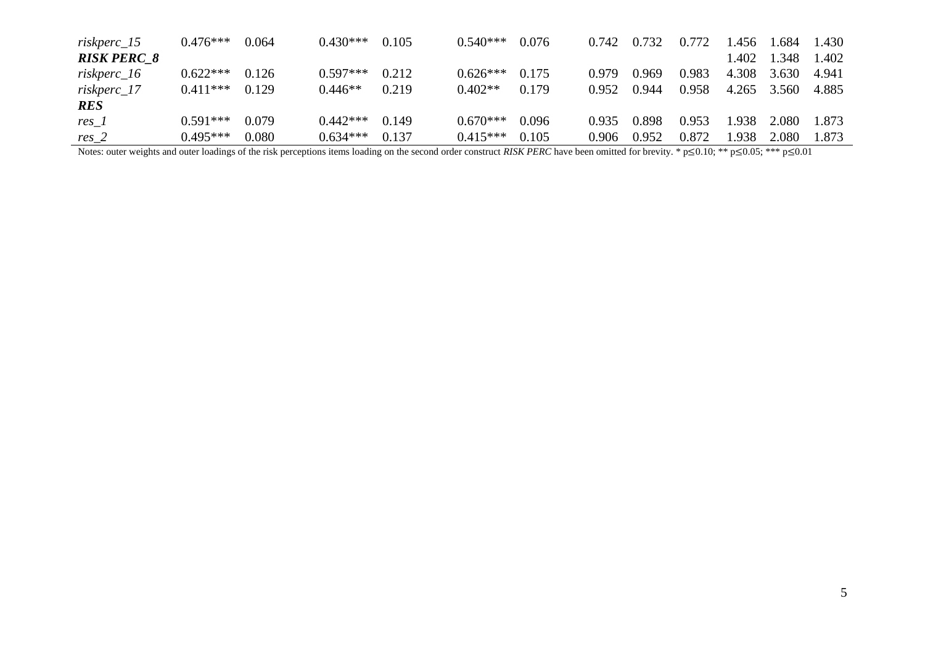| $riskperc\_15$     | $0.476***$ | 0.064 | $0.430***$ | 0.105 | $0.540***$ | 0.076 | 0.742 | 0.732 | 0.772 | .456  | .684  | 1.430 |
|--------------------|------------|-------|------------|-------|------------|-------|-------|-------|-------|-------|-------|-------|
| <b>RISK PERC 8</b> |            |       |            |       |            |       |       |       |       | .402  | 1.348 | 1.402 |
| riskperc_16        | $0.622***$ | 0.126 | $0.597***$ | 0.212 | $0.626***$ | 0.175 | 0.979 | 0.969 | 0.983 | 4.308 | 3.630 | 4.941 |
| $riskperc_17$      | $0.411***$ | 0.129 | $0.446**$  | 0.219 | $0.402**$  | 0.179 | 0.952 | 0.944 | 0.958 | 4.265 | 3.560 | 4.885 |
| <b>RES</b>         |            |       |            |       |            |       |       |       |       |       |       |       |
| $res_l$            | $0.591***$ | 0.079 | $0.442***$ | 0.149 | $0.670***$ | 0.096 | 0.935 | 0.898 | 0.953 | .938  | 2.080 | 1.873 |
| $res_2$            | $0.495***$ | 0.080 | $0.634***$ | 0.137 | $0.415***$ | 0.105 | 0.906 | 0.952 | 0.872 | .938  | 2.080 | 1.873 |

Notes: outer weights and outer loadings of the risk perceptions items loading on the second order construct *RISK PERC* have been omitted for brevity. \* p≤0.10; \*\* p≤0.05; \*\*\* p≤0.01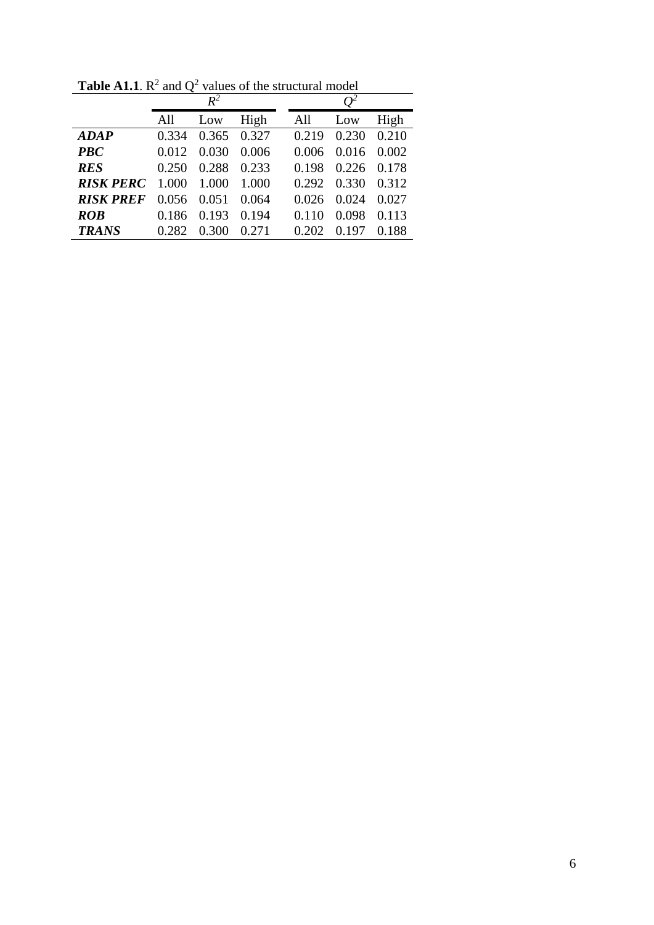|                  |       | $R^2$ |       |       |       |       |  |  |  |
|------------------|-------|-------|-------|-------|-------|-------|--|--|--|
|                  | All   | Low   | High  | All   | Low   | High  |  |  |  |
| <b>ADAP</b>      | 0.334 | 0.365 | 0.327 | 0.219 | 0.230 | 0.210 |  |  |  |
| <b>PBC</b>       | 0.012 | 0.030 | 0.006 | 0.006 | 0.016 | 0.002 |  |  |  |
| <b>RES</b>       | 0.250 | 0.288 | 0.233 | 0.198 | 0.226 | 0.178 |  |  |  |
| <b>RISK PERC</b> | 1.000 | 1.000 | 1.000 | 0.292 | 0.330 | 0.312 |  |  |  |
| <b>RISK PREF</b> | 0.056 | 0.051 | 0.064 | 0.026 | 0.024 | 0.027 |  |  |  |
| <b>ROB</b>       | 0.186 | 0.193 | 0.194 | 0.110 | 0.098 | 0.113 |  |  |  |
| <b>TRANS</b>     | 0.282 | 0.300 | 0.271 | 0.202 | 0.197 | 0.188 |  |  |  |
|                  |       |       |       |       |       |       |  |  |  |

**Table A1.1**.  $\mathbb{R}^2$  and  $\mathbb{Q}^2$  values of the structural model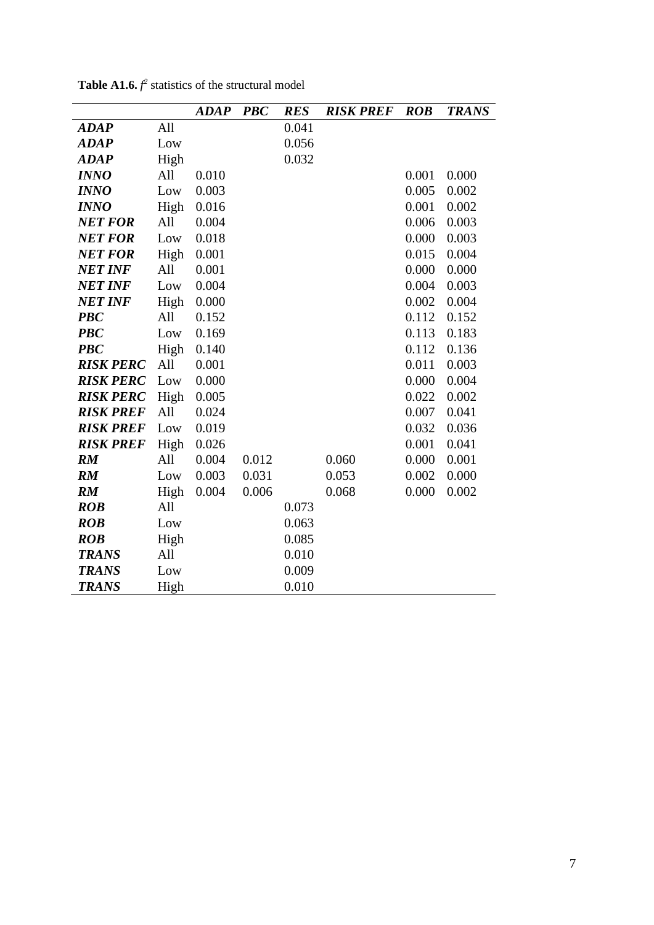|                  |      | <b>ADAP</b> | <b>PBC</b> | <b>RES</b> | <b>RISK PREF</b> | <b>ROB</b> | <b>TRANS</b> |
|------------------|------|-------------|------------|------------|------------------|------------|--------------|
| <b>ADAP</b>      | All  |             |            | 0.041      |                  |            |              |
| <b>ADAP</b>      | Low  |             |            | 0.056      |                  |            |              |
| <b>ADAP</b>      | High |             |            | 0.032      |                  |            |              |
| <b>INNO</b>      | All  | 0.010       |            |            |                  | 0.001      | 0.000        |
| <b>INNO</b>      | Low  | 0.003       |            |            |                  | 0.005      | 0.002        |
| <b>INNO</b>      | High | 0.016       |            |            |                  | 0.001      | 0.002        |
| <b>NET FOR</b>   | All  | 0.004       |            |            |                  | 0.006      | 0.003        |
| <b>NET FOR</b>   | Low  | 0.018       |            |            |                  | 0.000      | 0.003        |
| <b>NET FOR</b>   | High | 0.001       |            |            |                  | 0.015      | 0.004        |
| <b>NET INF</b>   | All  | 0.001       |            |            |                  | 0.000      | 0.000        |
| <b>NET INF</b>   | Low  | 0.004       |            |            |                  | 0.004      | 0.003        |
| <b>NET INF</b>   | High | 0.000       |            |            |                  | 0.002      | 0.004        |
| <b>PBC</b>       | All  | 0.152       |            |            |                  | 0.112      | 0.152        |
| <b>PBC</b>       | Low  | 0.169       |            |            |                  | 0.113      | 0.183        |
| <b>PBC</b>       | High | 0.140       |            |            |                  | 0.112      | 0.136        |
| <b>RISK PERC</b> | All  | 0.001       |            |            |                  | 0.011      | 0.003        |
| <b>RISK PERC</b> | Low  | 0.000       |            |            |                  | 0.000      | 0.004        |
| <b>RISK PERC</b> | High | 0.005       |            |            |                  | 0.022      | 0.002        |
| <b>RISK PREF</b> | All  | 0.024       |            |            |                  | 0.007      | 0.041        |
| <b>RISK PREF</b> | Low  | 0.019       |            |            |                  | 0.032      | 0.036        |
| <b>RISK PREF</b> | High | 0.026       |            |            |                  | 0.001      | 0.041        |
| RM               | All  | 0.004       | 0.012      |            | 0.060            | 0.000      | 0.001        |
| RM               | Low  | 0.003       | 0.031      |            | 0.053            | 0.002      | 0.000        |
| RM               | High | 0.004       | 0.006      |            | 0.068            | 0.000      | 0.002        |
| <b>ROB</b>       | All  |             |            | 0.073      |                  |            |              |
| ROB              | Low  |             |            | 0.063      |                  |            |              |
| <b>ROB</b>       | High |             |            | 0.085      |                  |            |              |
| <b>TRANS</b>     | All  |             |            | 0.010      |                  |            |              |
| <b>TRANS</b>     | Low  |             |            | 0.009      |                  |            |              |
| <b>TRANS</b>     | High |             |            | 0.010      |                  |            |              |

**Table A1.6.**  $f^2$  statistics of the structural model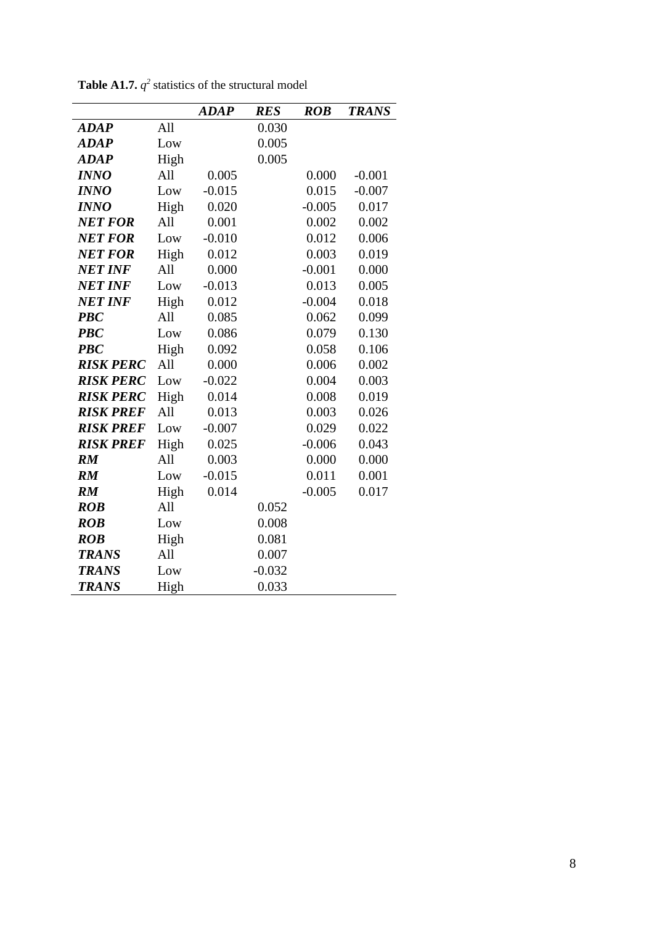|                  |      | <b>ADAP</b> | <b>RES</b> | <b>ROB</b> | <b>TRANS</b> |
|------------------|------|-------------|------------|------------|--------------|
| <b>ADAP</b>      | All  |             | 0.030      |            |              |
| <b>ADAP</b>      | Low  |             | 0.005      |            |              |
| <b>ADAP</b>      | High |             | 0.005      |            |              |
| <b>INNO</b>      | All  | 0.005       |            | 0.000      | $-0.001$     |
| <b>INNO</b>      | Low  | $-0.015$    |            | 0.015      | $-0.007$     |
| <b>INNO</b>      | High | 0.020       |            | $-0.005$   | 0.017        |
| <b>NET FOR</b>   | All  | 0.001       |            | 0.002      | 0.002        |
| <b>NET FOR</b>   | Low  | $-0.010$    |            | 0.012      | 0.006        |
| <b>NET FOR</b>   | High | 0.012       |            | 0.003      | 0.019        |
| <b>NET INF</b>   | All  | 0.000       |            | $-0.001$   | 0.000        |
| <b>NET INF</b>   | Low  | $-0.013$    |            | 0.013      | 0.005        |
| <b>NET INF</b>   | High | 0.012       |            | $-0.004$   | 0.018        |
| <b>PBC</b>       | All  | 0.085       |            | 0.062      | 0.099        |
| <b>PBC</b>       | Low  | 0.086       |            | 0.079      | 0.130        |
| <b>PBC</b>       | High | 0.092       |            | 0.058      | 0.106        |
| <b>RISK PERC</b> | All  | 0.000       |            | 0.006      | 0.002        |
| <b>RISK PERC</b> | Low  | $-0.022$    |            | 0.004      | 0.003        |
| <b>RISK PERC</b> | High | 0.014       |            | 0.008      | 0.019        |
| <b>RISK PREF</b> | All  | 0.013       |            | 0.003      | 0.026        |
| <b>RISK PREF</b> | Low  | $-0.007$    |            | 0.029      | 0.022        |
| <b>RISK PREF</b> | High | 0.025       |            | $-0.006$   | 0.043        |
| <b>RM</b>        | All  | 0.003       |            | 0.000      | 0.000        |
| RM               | Low  | $-0.015$    |            | 0.011      | 0.001        |
| RM               | High | 0.014       |            | $-0.005$   | 0.017        |
| <b>ROB</b>       | All  |             | 0.052      |            |              |
| <b>ROB</b>       | Low  |             | 0.008      |            |              |
| <b>ROB</b>       | High |             | 0.081      |            |              |
| <b>TRANS</b>     | All  |             | 0.007      |            |              |
| <b>TRANS</b>     | Low  |             | $-0.032$   |            |              |
| <b>TRANS</b>     | High |             | 0.033      |            |              |

**Table A1.7.**  $q^2$  statistics of the structural model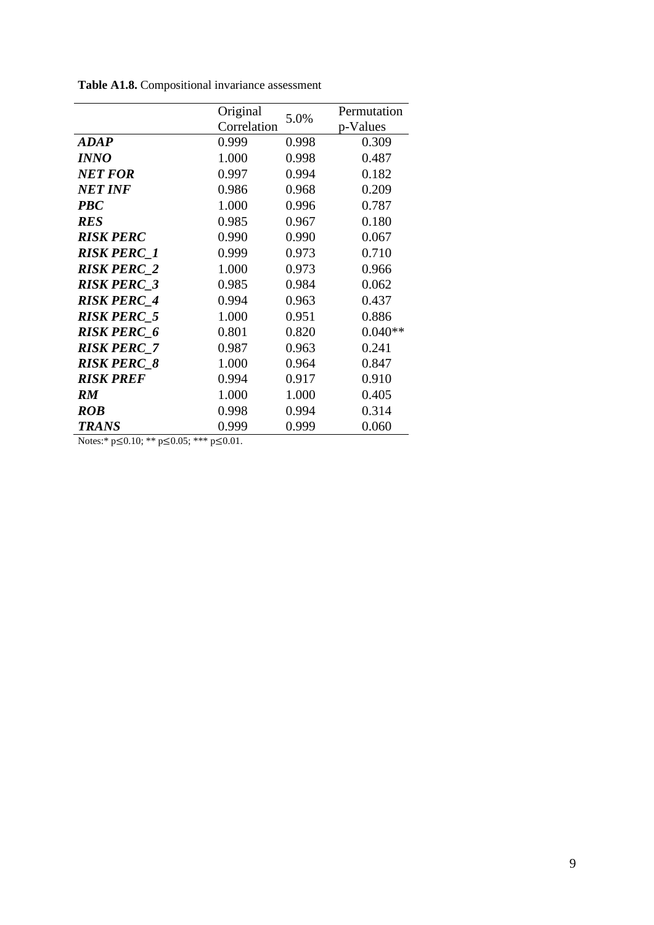**Table A1.8.** Compositional invariance assessment

|                    | Original    | 5.0%  | Permutation |
|--------------------|-------------|-------|-------------|
|                    | Correlation |       | p-Values    |
| <b>ADAP</b>        | 0.999       | 0.998 | 0.309       |
| <i><b>INNO</b></i> | 1.000       | 0.998 | 0.487       |
| <b>NET FOR</b>     | 0.997       | 0.994 | 0.182       |
| <b>NET INF</b>     | 0.986       | 0.968 | 0.209       |
| <b>PBC</b>         | 1.000       | 0.996 | 0.787       |
| <b>RES</b>         | 0.985       | 0.967 | 0.180       |
| <b>RISK PERC</b>   | 0.990       | 0.990 | 0.067       |
| <b>RISK PERC_1</b> | 0.999       | 0.973 | 0.710       |
| <b>RISK PERC 2</b> | 1.000       | 0.973 | 0.966       |
| <b>RISK PERC 3</b> | 0.985       | 0.984 | 0.062       |
| <b>RISK PERC 4</b> | 0.994       | 0.963 | 0.437       |
| <b>RISK PERC 5</b> | 1.000       | 0.951 | 0.886       |
| <b>RISK PERC 6</b> | 0.801       | 0.820 | $0.040**$   |
| <b>RISK PERC 7</b> | 0.987       | 0.963 | 0.241       |
| <b>RISK PERC 8</b> | 1.000       | 0.964 | 0.847       |
| <b>RISK PREF</b>   | 0.994       | 0.917 | 0.910       |
| <b>RM</b>          | 1.000       | 1.000 | 0.405       |
| <b>ROB</b>         | 0.998       | 0.994 | 0.314       |
| <b>TRANS</b>       | 0.999       | 0.999 | 0.060       |

Notes:\* p≤0.10; \*\* p≤0.05; \*\*\* p≤0.01.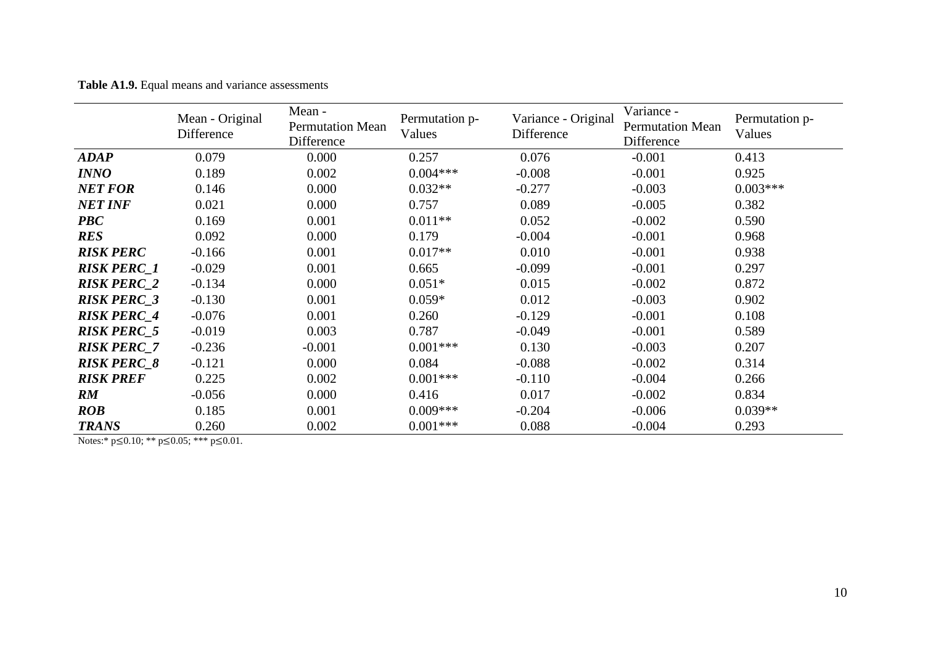|                    | Mean - Original<br>Difference | Mean -<br><b>Permutation Mean</b><br>Difference | Permutation p-<br>Values | Variance - Original<br>Difference | Variance -<br><b>Permutation Mean</b><br>Difference | Permutation p-<br>Values |
|--------------------|-------------------------------|-------------------------------------------------|--------------------------|-----------------------------------|-----------------------------------------------------|--------------------------|
| <b>ADAP</b>        | 0.079                         | 0.000                                           | 0.257                    | 0.076                             | $-0.001$                                            | 0.413                    |
| <b>INNO</b>        | 0.189                         | 0.002                                           | $0.004***$               | $-0.008$                          | $-0.001$                                            | 0.925                    |
| <b>NET FOR</b>     | 0.146                         | 0.000                                           | $0.032**$                | $-0.277$                          | $-0.003$                                            | $0.003***$               |
| <b>NET INF</b>     | 0.021                         | 0.000                                           | 0.757                    | 0.089                             | $-0.005$                                            | 0.382                    |
| <b>PBC</b>         | 0.169                         | 0.001                                           | $0.011**$                | 0.052                             | $-0.002$                                            | 0.590                    |
| <b>RES</b>         | 0.092                         | 0.000                                           | 0.179                    | $-0.004$                          | $-0.001$                                            | 0.968                    |
| <b>RISK PERC</b>   | $-0.166$                      | 0.001                                           | $0.017**$                | 0.010                             | $-0.001$                                            | 0.938                    |
| <b>RISK PERC_1</b> | $-0.029$                      | 0.001                                           | 0.665                    | $-0.099$                          | $-0.001$                                            | 0.297                    |
| <b>RISK PERC 2</b> | $-0.134$                      | 0.000                                           | $0.051*$                 | 0.015                             | $-0.002$                                            | 0.872                    |
| <b>RISK PERC_3</b> | $-0.130$                      | 0.001                                           | $0.059*$                 | 0.012                             | $-0.003$                                            | 0.902                    |
| <b>RISK PERC 4</b> | $-0.076$                      | 0.001                                           | 0.260                    | $-0.129$                          | $-0.001$                                            | 0.108                    |
| <b>RISK PERC_5</b> | $-0.019$                      | 0.003                                           | 0.787                    | $-0.049$                          | $-0.001$                                            | 0.589                    |
| <b>RISK PERC 7</b> | $-0.236$                      | $-0.001$                                        | $0.001***$               | 0.130                             | $-0.003$                                            | 0.207                    |
| <b>RISK PERC 8</b> | $-0.121$                      | 0.000                                           | 0.084                    | $-0.088$                          | $-0.002$                                            | 0.314                    |
| <b>RISK PREF</b>   | 0.225                         | 0.002                                           | $0.001***$               | $-0.110$                          | $-0.004$                                            | 0.266                    |
| RM                 | $-0.056$                      | 0.000                                           | 0.416                    | 0.017                             | $-0.002$                                            | 0.834                    |
| <b>ROB</b>         | 0.185                         | 0.001                                           | $0.009***$               | $-0.204$                          | $-0.006$                                            | $0.039**$                |
| <b>TRANS</b>       | 0.260                         | 0.002                                           | $0.001***$               | 0.088                             | $-0.004$                                            | 0.293                    |

**Table A1.9.** Equal means and variance assessments

Notes:\* p≤0.10; \*\* p≤0.05; \*\*\* p≤0.01.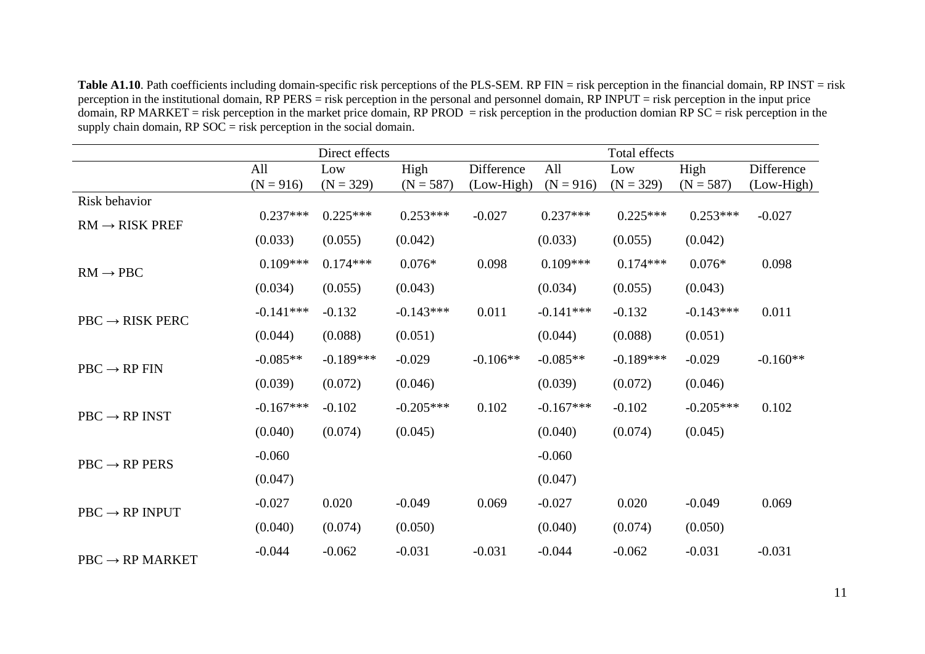Table A1.10. Path coefficients including domain-specific risk perceptions of the PLS-SEM. RP FIN = risk perception in the financial domain, RP INST = risk perception in the institutional domain,  $\overline{RP}$  PERS = risk perception in the personal and personnel domain,  $\overline{RP}$  INPUT = risk perception in the input price domain, RP MARKET = risk perception in the market price domain, RP PROD = risk perception in the production domian RP SC = risk perception in the supply chain domain, RP  $SOC =$  risk perception in the social domain.

|                             |             | Direct effects |             |            |             | Total effects |             |            |
|-----------------------------|-------------|----------------|-------------|------------|-------------|---------------|-------------|------------|
|                             | All         | Low            | High        | Difference | All         | Low           | High        | Difference |
|                             | $(N = 916)$ | $(N = 329)$    | $(N = 587)$ | (Low-High) | $(N = 916)$ | $(N = 329)$   | $(N = 587)$ | (Low-High) |
| Risk behavior               |             |                |             |            |             |               |             |            |
| $RM \rightarrow RISK PREF$  | $0.237***$  | $0.225***$     | $0.253***$  | $-0.027$   | $0.237***$  | $0.225***$    | $0.253***$  | $-0.027$   |
|                             | (0.033)     | (0.055)        | (0.042)     |            | (0.033)     | (0.055)       | (0.042)     |            |
| $RM \rightarrow PBC$        | $0.109***$  | $0.174***$     | $0.076*$    | 0.098      | $0.109***$  | $0.174***$    | $0.076*$    | 0.098      |
|                             | (0.034)     | (0.055)        | (0.043)     |            | (0.034)     | (0.055)       | (0.043)     |            |
| $PBC \rightarrow RISK$ PERC | $-0.141***$ | $-0.132$       | $-0.143***$ | 0.011      | $-0.141***$ | $-0.132$      | $-0.143***$ | 0.011      |
|                             | (0.044)     | (0.088)        | (0.051)     |            | (0.044)     | (0.088)       | (0.051)     |            |
| $PBC \rightarrow RPFIN$     | $-0.085**$  | $-0.189***$    | $-0.029$    | $-0.106**$ | $-0.085**$  | $-0.189***$   | $-0.029$    | $-0.160**$ |
|                             | (0.039)     | (0.072)        | (0.046)     |            | (0.039)     | (0.072)       | (0.046)     |            |
| $PBC \rightarrow RP$ INST   | $-0.167***$ | $-0.102$       | $-0.205***$ | 0.102      | $-0.167***$ | $-0.102$      | $-0.205***$ | 0.102      |
|                             | (0.040)     | (0.074)        | (0.045)     |            | (0.040)     | (0.074)       | (0.045)     |            |
| $PBC \rightarrow RP$ PERS   | $-0.060$    |                |             |            | $-0.060$    |               |             |            |
|                             | (0.047)     |                |             |            | (0.047)     |               |             |            |
| $PBC \rightarrow RP$ INPUT  | $-0.027$    | 0.020          | $-0.049$    | 0.069      | $-0.027$    | 0.020         | $-0.049$    | 0.069      |
|                             | (0.040)     | (0.074)        | (0.050)     |            | (0.040)     | (0.074)       | (0.050)     |            |
| $PBC \rightarrow RP$ MARKET | $-0.044$    | $-0.062$       | $-0.031$    | $-0.031$   | $-0.044$    | $-0.062$      | $-0.031$    | $-0.031$   |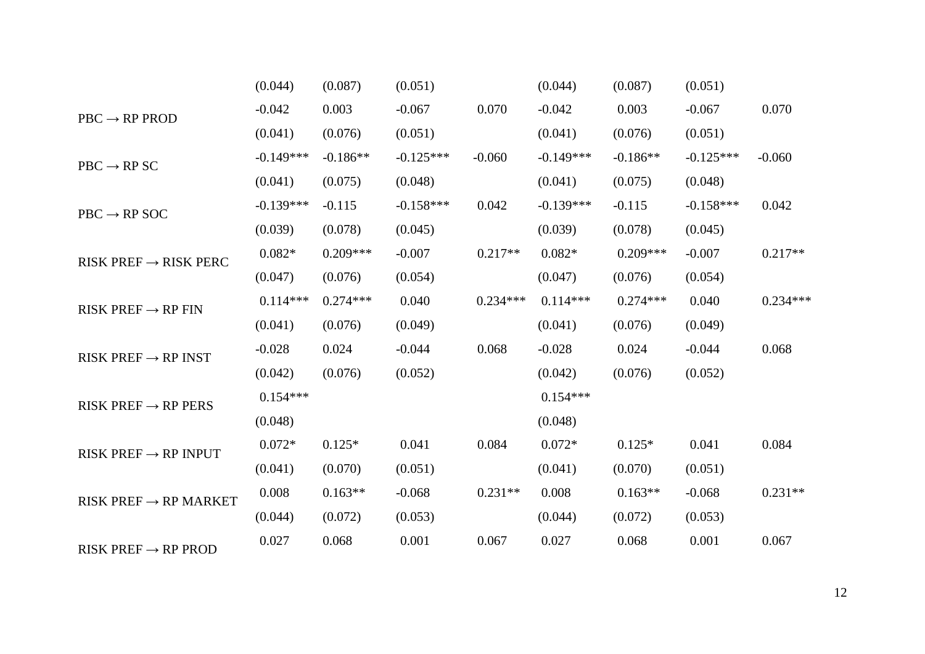|                                   | (0.044)     | (0.087)    | (0.051)     |            | (0.044)     | (0.087)    | (0.051)     |            |
|-----------------------------------|-------------|------------|-------------|------------|-------------|------------|-------------|------------|
| $PBC \rightarrow RP$ PROD         | $-0.042$    | 0.003      | $-0.067$    | 0.070      | $-0.042$    | 0.003      | $-0.067$    | 0.070      |
|                                   | (0.041)     | (0.076)    | (0.051)     |            | (0.041)     | (0.076)    | (0.051)     |            |
| $PBC \rightarrow RPSC$            | $-0.149***$ | $-0.186**$ | $-0.125***$ | $-0.060$   | $-0.149***$ | $-0.186**$ | $-0.125***$ | $-0.060$   |
|                                   | (0.041)     | (0.075)    | (0.048)     |            | (0.041)     | (0.075)    | (0.048)     |            |
| $PBC \rightarrow RP$ SOC          | $-0.139***$ | $-0.115$   | $-0.158***$ | 0.042      | $-0.139***$ | $-0.115$   | $-0.158***$ | 0.042      |
|                                   | (0.039)     | (0.078)    | (0.045)     |            | (0.039)     | (0.078)    | (0.045)     |            |
| RISK PREF $\rightarrow$ RISK PERC | $0.082*$    | $0.209***$ | $-0.007$    | $0.217**$  | $0.082*$    | $0.209***$ | $-0.007$    | $0.217**$  |
|                                   | (0.047)     | (0.076)    | (0.054)     |            | (0.047)     | (0.076)    | (0.054)     |            |
| RISK PREF $\rightarrow$ RP FIN    | $0.114***$  | $0.274***$ | 0.040       | $0.234***$ | $0.114***$  | $0.274***$ | 0.040       | $0.234***$ |
|                                   | (0.041)     | (0.076)    | (0.049)     |            | (0.041)     | (0.076)    | (0.049)     |            |
| RISK PREF $\rightarrow$ RP INST   | $-0.028$    | 0.024      | $-0.044$    | 0.068      | $-0.028$    | 0.024      | $-0.044$    | 0.068      |
|                                   | (0.042)     | (0.076)    | (0.052)     |            | (0.042)     | (0.076)    | (0.052)     |            |
| RISK PREF $\rightarrow$ RP PERS   | $0.154***$  |            |             |            | $0.154***$  |            |             |            |
|                                   | (0.048)     |            |             |            | (0.048)     |            |             |            |
| RISK PREF $\rightarrow$ RP INPUT  | $0.072*$    | $0.125*$   | 0.041       | 0.084      | $0.072*$    | $0.125*$   | 0.041       | 0.084      |
|                                   | (0.041)     | (0.070)    | (0.051)     |            | (0.041)     | (0.070)    | (0.051)     |            |
| RISK PREF $\rightarrow$ RP MARKET | 0.008       | $0.163**$  | $-0.068$    | $0.231**$  | 0.008       | $0.163**$  | $-0.068$    | $0.231**$  |
|                                   | (0.044)     | (0.072)    | (0.053)     |            | (0.044)     | (0.072)    | (0.053)     |            |
| RISK PREF $\rightarrow$ RP PROD   | 0.027       | 0.068      | 0.001       | 0.067      | 0.027       | 0.068      | 0.001       | 0.067      |
|                                   |             |            |             |            |             |            |             |            |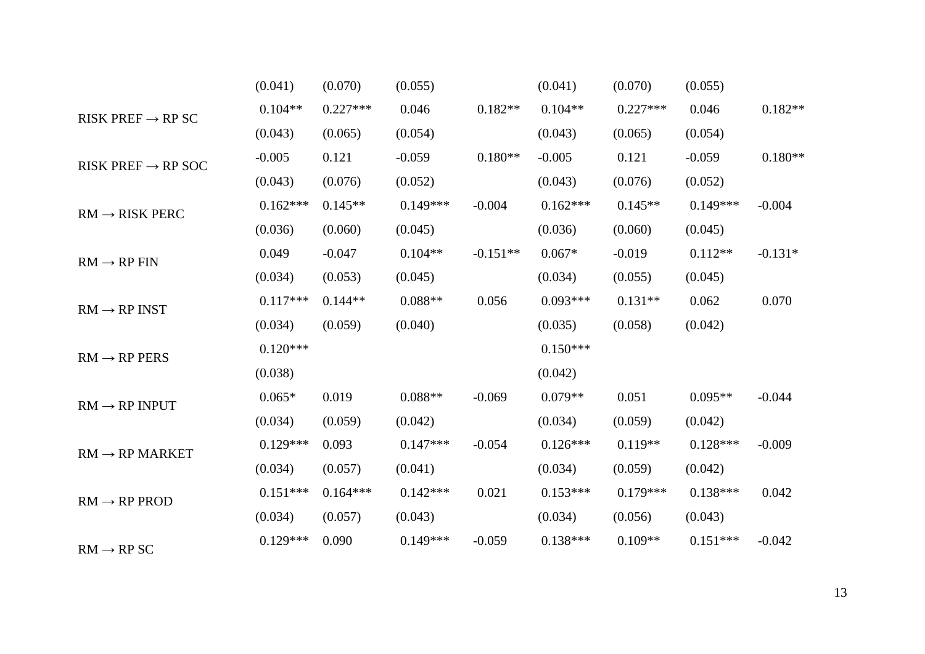|                                | (0.041)    | (0.070)    | (0.055)    |            | (0.041)    | (0.070)    | (0.055)    |           |
|--------------------------------|------------|------------|------------|------------|------------|------------|------------|-----------|
| RISK PREF $\rightarrow$ RP SC  | $0.104**$  | $0.227***$ | 0.046      | $0.182**$  | $0.104**$  | $0.227***$ | 0.046      | $0.182**$ |
|                                | (0.043)    | (0.065)    | (0.054)    |            | (0.043)    | (0.065)    | (0.054)    |           |
| RISK PREF $\rightarrow$ RP SOC | $-0.005$   | 0.121      | $-0.059$   | $0.180**$  | $-0.005$   | 0.121      | $-0.059$   | $0.180**$ |
|                                | (0.043)    | (0.076)    | (0.052)    |            | (0.043)    | (0.076)    | (0.052)    |           |
| $RM \rightarrow RISK$ PERC     | $0.162***$ | $0.145**$  | $0.149***$ | $-0.004$   | $0.162***$ | $0.145**$  | $0.149***$ | $-0.004$  |
|                                | (0.036)    | (0.060)    | (0.045)    |            | (0.036)    | (0.060)    | (0.045)    |           |
| $RM \rightarrow RP$ FIN        | 0.049      | $-0.047$   | $0.104**$  | $-0.151**$ | $0.067*$   | $-0.019$   | $0.112**$  | $-0.131*$ |
|                                | (0.034)    | (0.053)    | (0.045)    |            | (0.034)    | (0.055)    | (0.045)    |           |
| $RM \rightarrow RP$ INST       | $0.117***$ | $0.144**$  | $0.088**$  | 0.056      | $0.093***$ | $0.131**$  | 0.062      | 0.070     |
|                                | (0.034)    | (0.059)    | (0.040)    |            | (0.035)    | (0.058)    | (0.042)    |           |
| $RM \rightarrow RP$ PERS       | $0.120***$ |            |            |            | $0.150***$ |            |            |           |
|                                | (0.038)    |            |            |            | (0.042)    |            |            |           |
| $RM \rightarrow RP$ INPUT      | $0.065*$   | 0.019      | $0.088**$  | $-0.069$   | $0.079**$  | 0.051      | $0.095**$  | $-0.044$  |
|                                | (0.034)    | (0.059)    | (0.042)    |            | (0.034)    | (0.059)    | (0.042)    |           |
| $RM \rightarrow RP$ MARKET     | $0.129***$ | 0.093      | $0.147***$ | $-0.054$   | $0.126***$ | $0.119**$  | $0.128***$ | $-0.009$  |
|                                | (0.034)    | (0.057)    | (0.041)    |            | (0.034)    | (0.059)    | (0.042)    |           |
| $RM \rightarrow RP$ PROD       | $0.151***$ | $0.164***$ | $0.142***$ | 0.021      | $0.153***$ | $0.179***$ | $0.138***$ | 0.042     |
|                                | (0.034)    | (0.057)    | (0.043)    |            | (0.034)    | (0.056)    | (0.043)    |           |
| $RM \rightarrow RP SC$         | $0.129***$ | 0.090      | $0.149***$ | $-0.059$   | $0.138***$ | $0.109**$  | $0.151***$ | $-0.042$  |
|                                |            |            |            |            |            |            |            |           |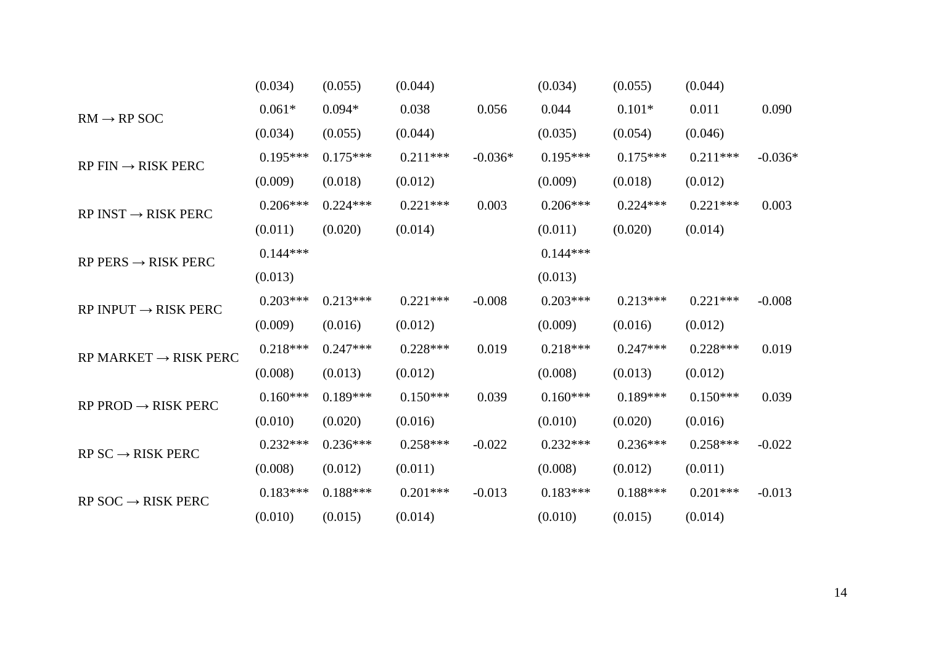|                                    | (0.034)    | (0.055)    | (0.044)    |           | (0.034)    | (0.055)    | (0.044)    |           |
|------------------------------------|------------|------------|------------|-----------|------------|------------|------------|-----------|
| $RM \rightarrow RP$ SOC            | $0.061*$   | $0.094*$   | 0.038      | 0.056     | 0.044      | $0.101*$   | 0.011      | 0.090     |
|                                    | (0.034)    | (0.055)    | (0.044)    |           | (0.035)    | (0.054)    | (0.046)    |           |
| $RP FIN \rightarrow RISK PERC$     | $0.195***$ | $0.175***$ | $0.211***$ | $-0.036*$ | $0.195***$ | $0.175***$ | $0.211***$ | $-0.036*$ |
|                                    | (0.009)    | (0.018)    | (0.012)    |           | (0.009)    | (0.018)    | (0.012)    |           |
| RP INST $\rightarrow$ RISK PERC    | $0.206***$ | $0.224***$ | $0.221***$ | 0.003     | $0.206***$ | $0.224***$ | $0.221***$ | 0.003     |
|                                    | (0.011)    | (0.020)    | (0.014)    |           | (0.011)    | (0.020)    | (0.014)    |           |
| $RP$ PERS $\rightarrow$ RISK PERC  | $0.144***$ |            |            |           | $0.144***$ |            |            |           |
|                                    | (0.013)    |            |            |           | (0.013)    |            |            |           |
| $RP$ INPUT $\rightarrow$ RISK PERC | $0.203***$ | $0.213***$ | $0.221***$ | $-0.008$  | $0.203***$ | $0.213***$ | $0.221***$ | $-0.008$  |
|                                    | (0.009)    | (0.016)    | (0.012)    |           | (0.009)    | (0.016)    | (0.012)    |           |
| RP MARKET $\rightarrow$ RISK PERC  | $0.218***$ | $0.247***$ | $0.228***$ | 0.019     | $0.218***$ | $0.247***$ | $0.228***$ | 0.019     |
|                                    | (0.008)    | (0.013)    | (0.012)    |           | (0.008)    | (0.013)    | (0.012)    |           |
| $RP$ PROD $\rightarrow$ RISK PERC  | $0.160***$ | $0.189***$ | $0.150***$ | 0.039     | $0.160***$ | $0.189***$ | $0.150***$ | 0.039     |
|                                    | (0.010)    | (0.020)    | (0.016)    |           | (0.010)    | (0.020)    | (0.016)    |           |
| $RP SC \rightarrow RISK PERC$      | $0.232***$ | $0.236***$ | $0.258***$ | $-0.022$  | $0.232***$ | $0.236***$ | $0.258***$ | $-0.022$  |
|                                    | (0.008)    | (0.012)    | (0.011)    |           | (0.008)    | (0.012)    | (0.011)    |           |
| $RP$ SOC $\rightarrow$ RISK PERC   | $0.183***$ | $0.188***$ | $0.201***$ | $-0.013$  | $0.183***$ | $0.188***$ | $0.201***$ | $-0.013$  |
|                                    | (0.010)    | (0.015)    | (0.014)    |           | (0.010)    | (0.015)    | (0.014)    |           |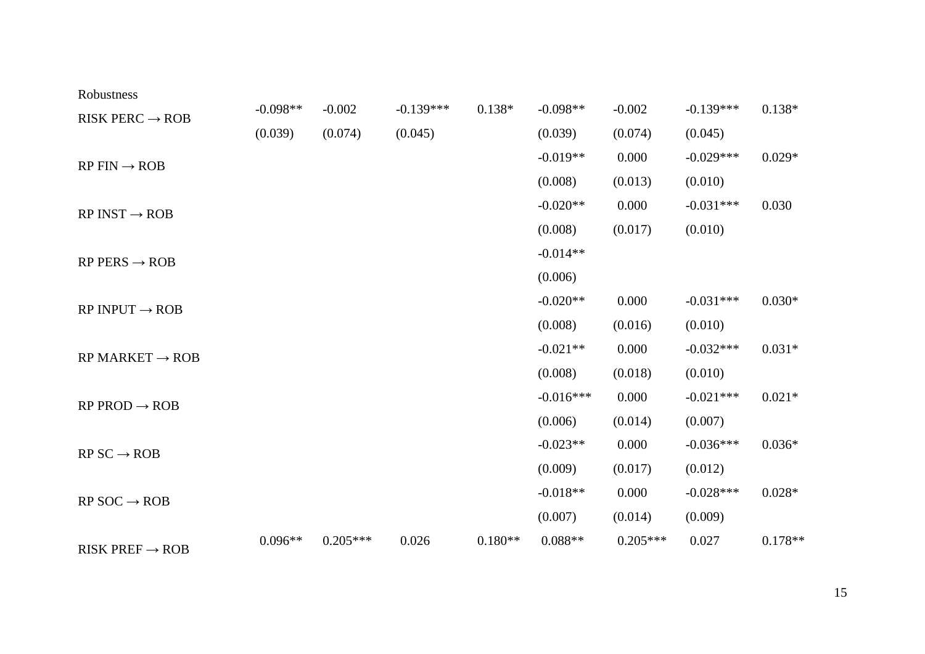| Robustness                    |            |            |             |           |             |            |             |           |
|-------------------------------|------------|------------|-------------|-----------|-------------|------------|-------------|-----------|
| RISK PERC $\rightarrow$ ROB   | $-0.098**$ | $-0.002$   | $-0.139***$ | $0.138*$  | $-0.098**$  | $-0.002$   | $-0.139***$ | $0.138*$  |
|                               | (0.039)    | (0.074)    | (0.045)     |           | (0.039)     | (0.074)    | (0.045)     |           |
| $RP FIN \rightarrow ROB$      |            |            |             |           | $-0.019**$  | 0.000      | $-0.029***$ | $0.029*$  |
|                               |            |            |             |           | (0.008)     | (0.013)    | (0.010)     |           |
| $RP$ INST $\rightarrow$ ROB   |            |            |             |           | $-0.020**$  | 0.000      | $-0.031***$ | 0.030     |
|                               |            |            |             |           | (0.008)     | (0.017)    | (0.010)     |           |
| $RP$ PERS $\rightarrow$ ROB   |            |            |             |           | $-0.014**$  |            |             |           |
|                               |            |            |             |           | (0.006)     |            |             |           |
| $RP$ INPUT $\rightarrow$ ROB  |            |            |             |           | $-0.020**$  | 0.000      | $-0.031***$ | $0.030*$  |
|                               |            |            |             |           | (0.008)     | (0.016)    | (0.010)     |           |
| $RP$ MARKET $\rightarrow$ ROB |            |            |             |           | $-0.021**$  | 0.000      | $-0.032***$ | $0.031*$  |
|                               |            |            |             |           | (0.008)     | (0.018)    | (0.010)     |           |
| $RP$ PROD $\rightarrow$ ROB   |            |            |             |           | $-0.016***$ | 0.000      | $-0.021***$ | $0.021*$  |
|                               |            |            |             |           | (0.006)     | (0.014)    | (0.007)     |           |
| $RP SC \rightarrow ROB$       |            |            |             |           | $-0.023**$  | 0.000      | $-0.036***$ | $0.036*$  |
|                               |            |            |             |           | (0.009)     | (0.017)    | (0.012)     |           |
| $RP$ SOC $\rightarrow$ ROB    |            |            |             |           | $-0.018**$  | 0.000      | $-0.028***$ | $0.028*$  |
|                               |            |            |             |           | (0.007)     | (0.014)    | (0.009)     |           |
| RISK PREF $\rightarrow$ ROB   | $0.096**$  | $0.205***$ | 0.026       | $0.180**$ | $0.088**$   | $0.205***$ | 0.027       | $0.178**$ |
|                               |            |            |             |           |             |            |             |           |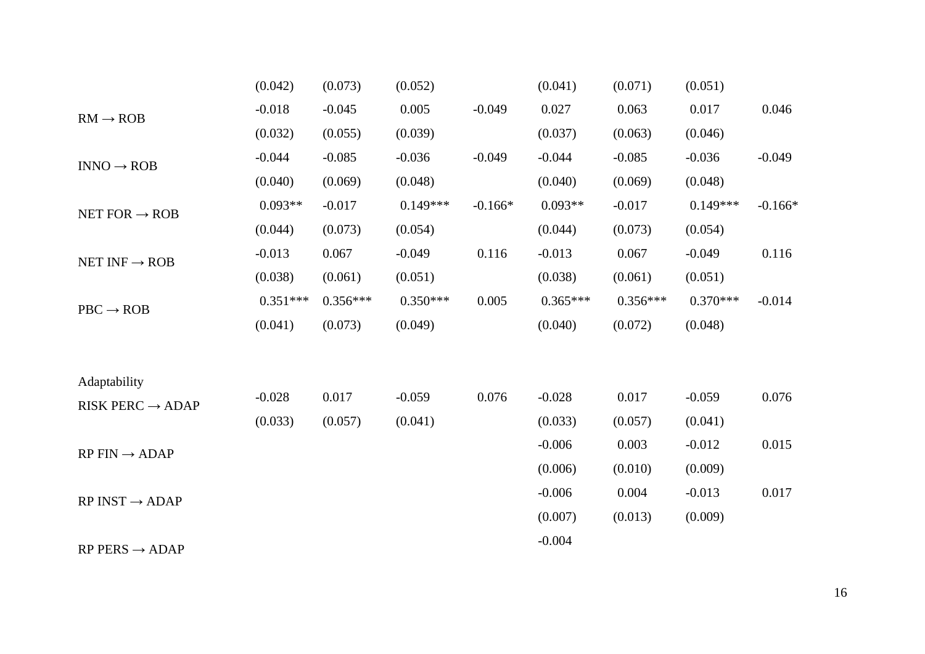|                              | (0.042)    | (0.073)    | (0.052)    |           | (0.041)    | (0.071)    | (0.051)    |           |
|------------------------------|------------|------------|------------|-----------|------------|------------|------------|-----------|
| $RM \rightarrow ROB$         | $-0.018$   | $-0.045$   | 0.005      | $-0.049$  | 0.027      | 0.063      | 0.017      | 0.046     |
|                              | (0.032)    | (0.055)    | (0.039)    |           | (0.037)    | (0.063)    | (0.046)    |           |
| $INNO \rightarrow ROB$       | $-0.044$   | $-0.085$   | $-0.036$   | $-0.049$  | $-0.044$   | $-0.085$   | $-0.036$   | $-0.049$  |
|                              | (0.040)    | (0.069)    | (0.048)    |           | (0.040)    | (0.069)    | (0.048)    |           |
| NET FOR $\rightarrow$ ROB    | $0.093**$  | $-0.017$   | $0.149***$ | $-0.166*$ | $0.093**$  | $-0.017$   | $0.149***$ | $-0.166*$ |
|                              | (0.044)    | (0.073)    | (0.054)    |           | (0.044)    | (0.073)    | (0.054)    |           |
| NET INF $\rightarrow$ ROB    | $-0.013$   | 0.067      | $-0.049$   | 0.116     | $-0.013$   | 0.067      | $-0.049$   | 0.116     |
|                              | (0.038)    | (0.061)    | (0.051)    |           | (0.038)    | (0.061)    | (0.051)    |           |
| $PBC \rightarrow ROB$        | $0.351***$ | $0.356***$ | $0.350***$ | 0.005     | $0.365***$ | $0.356***$ | $0.370***$ | $-0.014$  |
|                              | (0.041)    | (0.073)    | (0.049)    |           | (0.040)    | (0.072)    | (0.048)    |           |
| Adaptability                 |            |            |            |           |            |            |            |           |
| RISK PERC $\rightarrow$ ADAP | $-0.028$   | 0.017      | $-0.059$   | 0.076     | $-0.028$   | 0.017      | $-0.059$   | 0.076     |
|                              | (0.033)    | (0.057)    | (0.041)    |           | (0.033)    | (0.057)    | (0.041)    |           |
| $RP FIN \rightarrow ADAP$    |            |            |            |           | $-0.006$   | 0.003      | $-0.012$   | 0.015     |
|                              |            |            |            |           | (0.006)    | (0.010)    | (0.009)    |           |
| $RP$ INST $\rightarrow$ ADAP |            |            |            |           | $-0.006$   | 0.004      | $-0.013$   | 0.017     |
|                              |            |            |            |           | (0.007)    | (0.013)    | (0.009)    |           |
| $RP$ PERS $\rightarrow$ ADAP |            |            |            |           | $-0.004$   |            |            |           |
|                              |            |            |            |           |            |            |            |           |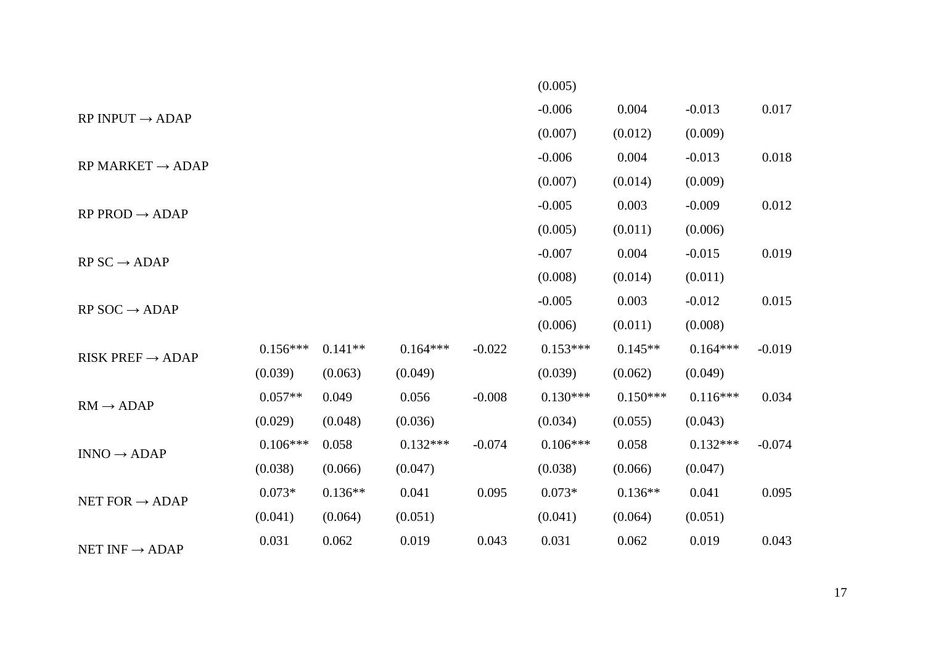|                                |            |           |            |          | (0.005)    |            |            |          |
|--------------------------------|------------|-----------|------------|----------|------------|------------|------------|----------|
| $RP$ INPUT $\rightarrow$ ADAP  |            |           |            |          | $-0.006$   | 0.004      | $-0.013$   | 0.017    |
|                                |            |           |            |          | (0.007)    | (0.012)    | (0.009)    |          |
| $RP$ MARKET $\rightarrow$ ADAP |            |           |            |          | $-0.006$   | 0.004      | $-0.013$   | 0.018    |
|                                |            |           |            |          | (0.007)    | (0.014)    | (0.009)    |          |
| $RP$ PROD $\rightarrow$ ADAP   |            |           |            |          | $-0.005$   | 0.003      | $-0.009$   | 0.012    |
|                                |            |           |            |          | (0.005)    | (0.011)    | (0.006)    |          |
| $RP SC \rightarrow ADAP$       |            |           |            |          | $-0.007$   | 0.004      | $-0.015$   | 0.019    |
|                                |            |           |            |          | (0.008)    | (0.014)    | (0.011)    |          |
| $RP$ SOC $\rightarrow$ ADAP    |            |           |            |          | $-0.005$   | 0.003      | $-0.012$   | 0.015    |
|                                |            |           |            |          | (0.006)    | (0.011)    | (0.008)    |          |
| RISK PREF $\rightarrow$ ADAP   | $0.156***$ | $0.141**$ | $0.164***$ | $-0.022$ | $0.153***$ | $0.145**$  | $0.164***$ | $-0.019$ |
|                                | (0.039)    | (0.063)   | (0.049)    |          | (0.039)    | (0.062)    | (0.049)    |          |
| $RM \rightarrow ADAP$          | $0.057**$  | 0.049     | 0.056      | $-0.008$ | $0.130***$ | $0.150***$ | $0.116***$ | 0.034    |
|                                | (0.029)    | (0.048)   | (0.036)    |          | (0.034)    | (0.055)    | (0.043)    |          |
| $INNO \rightarrow ADAP$        | $0.106***$ | 0.058     | $0.132***$ | $-0.074$ | $0.106***$ | 0.058      | $0.132***$ | $-0.074$ |
|                                | (0.038)    | (0.066)   | (0.047)    |          | (0.038)    | (0.066)    | (0.047)    |          |
| NET FOR $\rightarrow$ ADAP     | $0.073*$   | $0.136**$ | 0.041      | 0.095    | $0.073*$   | $0.136**$  | 0.041      | 0.095    |
|                                | (0.041)    | (0.064)   | (0.051)    |          | (0.041)    | (0.064)    | (0.051)    |          |
| NET INF $\rightarrow$ ADAP     | 0.031      | 0.062     | 0.019      | 0.043    | 0.031      | 0.062      | 0.019      | 0.043    |
|                                |            |           |            |          |            |            |            |          |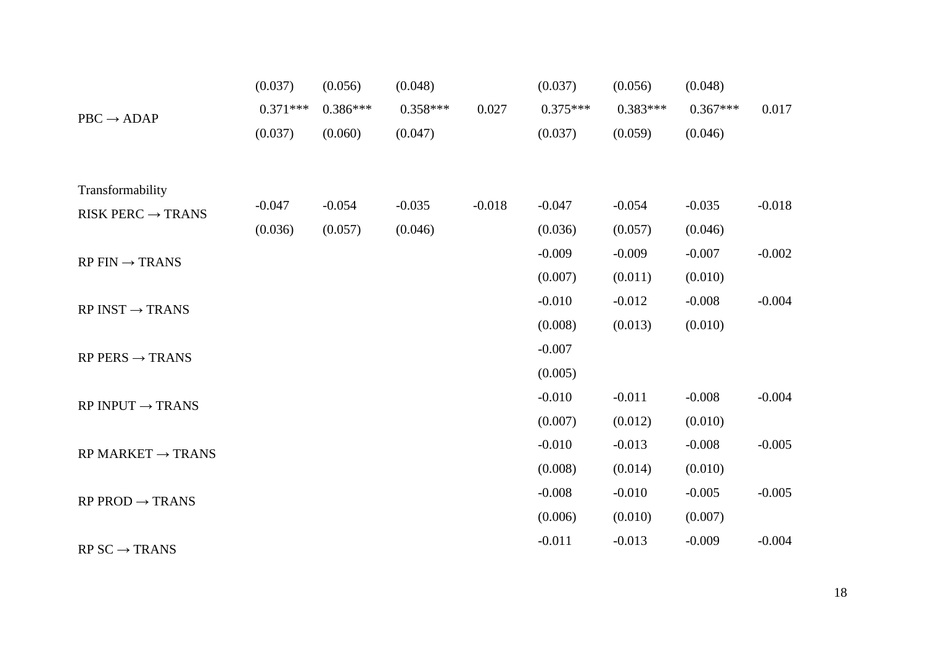|                                 | (0.037)    | (0.056)    | (0.048)    |          | (0.037)    | (0.056)    | (0.048)    |          |
|---------------------------------|------------|------------|------------|----------|------------|------------|------------|----------|
| $PBC \rightarrow ADAP$          | $0.371***$ | $0.386***$ | $0.358***$ | 0.027    | $0.375***$ | $0.383***$ | $0.367***$ | 0.017    |
|                                 | (0.037)    | (0.060)    | (0.047)    |          | (0.037)    | (0.059)    | (0.046)    |          |
|                                 |            |            |            |          |            |            |            |          |
| Transformability                |            |            |            |          |            |            |            |          |
| RISK PERC $\rightarrow$ TRANS   | $-0.047$   | $-0.054$   | $-0.035$   | $-0.018$ | $-0.047$   | $-0.054$   | $-0.035$   | $-0.018$ |
|                                 | (0.036)    | (0.057)    | (0.046)    |          | (0.036)    | (0.057)    | (0.046)    |          |
| $RP$ FIN $\rightarrow$ TRANS    |            |            |            |          | $-0.009$   | $-0.009$   | $-0.007$   | $-0.002$ |
|                                 |            |            |            |          | (0.007)    | (0.011)    | (0.010)    |          |
| $RP$ INST $\rightarrow$ TRANS   |            |            |            |          | $-0.010$   | $-0.012$   | $-0.008$   | $-0.004$ |
|                                 |            |            |            |          | (0.008)    | (0.013)    | (0.010)    |          |
| RP PERS $\rightarrow$ TRANS     |            |            |            |          | $-0.007$   |            |            |          |
|                                 |            |            |            |          | (0.005)    |            |            |          |
| $RP$ INPUT $\rightarrow$ TRANS  |            |            |            |          | $-0.010$   | $-0.011$   | $-0.008$   | $-0.004$ |
|                                 |            |            |            |          | (0.007)    | (0.012)    | (0.010)    |          |
| $RP$ MARKET $\rightarrow$ TRANS |            |            |            |          | $-0.010$   | $-0.013$   | $-0.008$   | $-0.005$ |
|                                 |            |            |            |          | (0.008)    | (0.014)    | (0.010)    |          |
| $RP$ PROD $\rightarrow$ TRANS   |            |            |            |          | $-0.008$   | $-0.010$   | $-0.005$   | $-0.005$ |
|                                 |            |            |            |          | (0.006)    | (0.010)    | (0.007)    |          |
| $RP SC \rightarrow TRANS$       |            |            |            |          | $-0.011$   | $-0.013$   | $-0.009$   | $-0.004$ |
|                                 |            |            |            |          |            |            |            |          |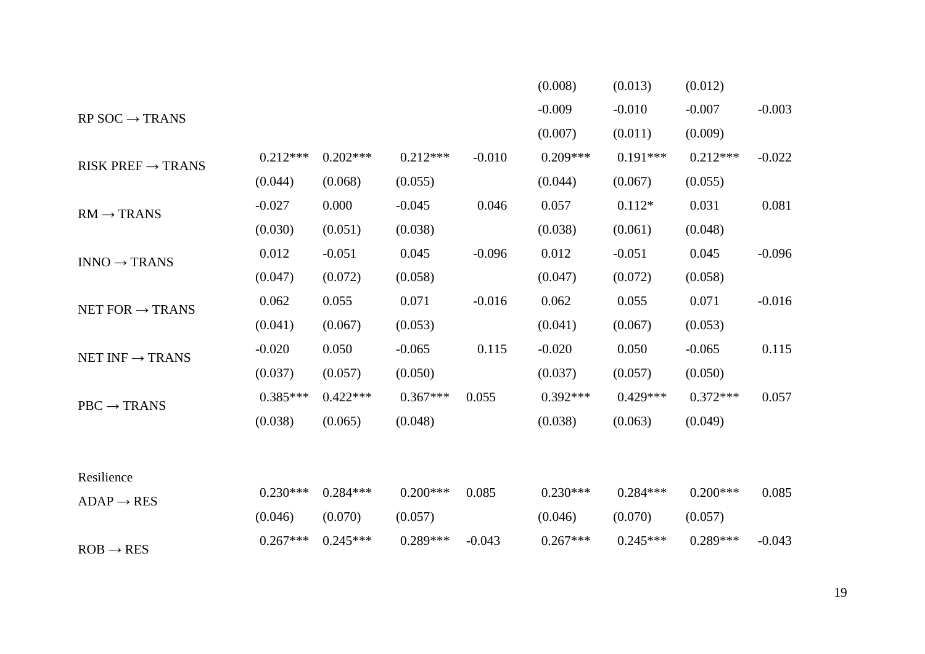|                               |            |            |            |          | (0.008)    | (0.013)    | (0.012)    |          |
|-------------------------------|------------|------------|------------|----------|------------|------------|------------|----------|
| $RP$ SOC $\rightarrow$ TRANS  |            |            |            |          | $-0.009$   | $-0.010$   | $-0.007$   | $-0.003$ |
|                               |            |            |            |          | (0.007)    | (0.011)    | (0.009)    |          |
| RISK PREF $\rightarrow$ TRANS | $0.212***$ | $0.202***$ | $0.212***$ | $-0.010$ | $0.209***$ | $0.191***$ | $0.212***$ | $-0.022$ |
|                               | (0.044)    | (0.068)    | (0.055)    |          | (0.044)    | (0.067)    | (0.055)    |          |
| $RM \rightarrow TRANS$        | $-0.027$   | 0.000      | $-0.045$   | 0.046    | 0.057      | $0.112*$   | 0.031      | 0.081    |
|                               | (0.030)    | (0.051)    | (0.038)    |          | (0.038)    | (0.061)    | (0.048)    |          |
| $INNO \rightarrow TRANS$      | 0.012      | $-0.051$   | 0.045      | $-0.096$ | 0.012      | $-0.051$   | 0.045      | $-0.096$ |
|                               | (0.047)    | (0.072)    | (0.058)    |          | (0.047)    | (0.072)    | (0.058)    |          |
| NET FOR $\rightarrow$ TRANS   | 0.062      | 0.055      | 0.071      | $-0.016$ | 0.062      | 0.055      | 0.071      | $-0.016$ |
|                               | (0.041)    | (0.067)    | (0.053)    |          | (0.041)    | (0.067)    | (0.053)    |          |
| NET INF $\rightarrow$ TRANS   | $-0.020$   | 0.050      | $-0.065$   | 0.115    | $-0.020$   | 0.050      | $-0.065$   | 0.115    |
|                               | (0.037)    | (0.057)    | (0.050)    |          | (0.037)    | (0.057)    | (0.050)    |          |
| $PBC \rightarrow TRANS$       | $0.385***$ | $0.422***$ | $0.367***$ | 0.055    | $0.392***$ | $0.429***$ | $0.372***$ | 0.057    |
|                               | (0.038)    | (0.065)    | (0.048)    |          | (0.038)    | (0.063)    | (0.049)    |          |
|                               |            |            |            |          |            |            |            |          |
| Resilience                    |            |            |            |          |            |            |            |          |
| $ADAP \rightarrow RES$        | $0.230***$ | $0.284***$ | $0.200***$ | 0.085    | $0.230***$ | $0.284***$ | $0.200***$ | 0.085    |
|                               | (0.046)    | (0.070)    | (0.057)    |          | (0.046)    | (0.070)    | (0.057)    |          |
| $ROB \rightarrow RES$         | $0.267***$ | $0.245***$ | $0.289***$ | $-0.043$ | $0.267***$ | $0.245***$ | $0.289***$ | $-0.043$ |
|                               |            |            |            |          |            |            |            |          |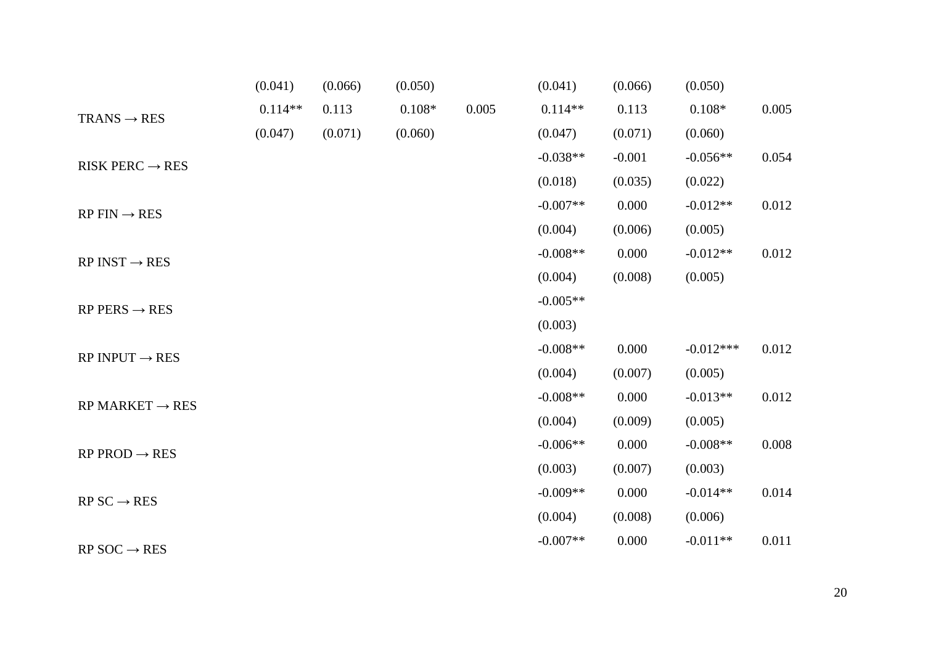|                             | (0.041)   | (0.066) | (0.050)  |       | (0.041)    | (0.066)  | (0.050)     |       |
|-----------------------------|-----------|---------|----------|-------|------------|----------|-------------|-------|
| $TRANS \rightarrow RES$     | $0.114**$ | 0.113   | $0.108*$ | 0.005 | $0.114**$  | 0.113    | $0.108*$    | 0.005 |
|                             | (0.047)   | (0.071) | (0.060)  |       | (0.047)    | (0.071)  | (0.060)     |       |
| RISK PERC $\rightarrow$ RES |           |         |          |       | $-0.038**$ | $-0.001$ | $-0.056**$  | 0.054 |
|                             |           |         |          |       | (0.018)    | (0.035)  | (0.022)     |       |
| $RP FIN \rightarrow RES$    |           |         |          |       | $-0.007**$ | 0.000    | $-0.012**$  | 0.012 |
|                             |           |         |          |       | (0.004)    | (0.006)  | (0.005)     |       |
| $RP$ INST $\rightarrow$ RES |           |         |          |       | $-0.008**$ | 0.000    | $-0.012**$  | 0.012 |
|                             |           |         |          |       | (0.004)    | (0.008)  | (0.005)     |       |
| $RP$ PERS $\rightarrow$ RES |           |         |          |       | $-0.005**$ |          |             |       |
|                             |           |         |          |       | (0.003)    |          |             |       |
| RP INPUT $\rightarrow$ RES  |           |         |          |       | $-0.008**$ | 0.000    | $-0.012***$ | 0.012 |
|                             |           |         |          |       | (0.004)    | (0.007)  | (0.005)     |       |
| RP MARKET $\rightarrow$ RES |           |         |          |       | $-0.008**$ | 0.000    | $-0.013**$  | 0.012 |
|                             |           |         |          |       | (0.004)    | (0.009)  | (0.005)     |       |
| $RP$ PROD $\rightarrow$ RES |           |         |          |       | $-0.006**$ | 0.000    | $-0.008**$  | 0.008 |
|                             |           |         |          |       | (0.003)    | (0.007)  | (0.003)     |       |
| $RP SC \rightarrow RES$     |           |         |          |       | $-0.009**$ | 0.000    | $-0.014**$  | 0.014 |
|                             |           |         |          |       | (0.004)    | (0.008)  | (0.006)     |       |
| $RP$ SOC $\rightarrow$ RES  |           |         |          |       | $-0.007**$ | 0.000    | $-0.011**$  | 0.011 |
|                             |           |         |          |       |            |          |             |       |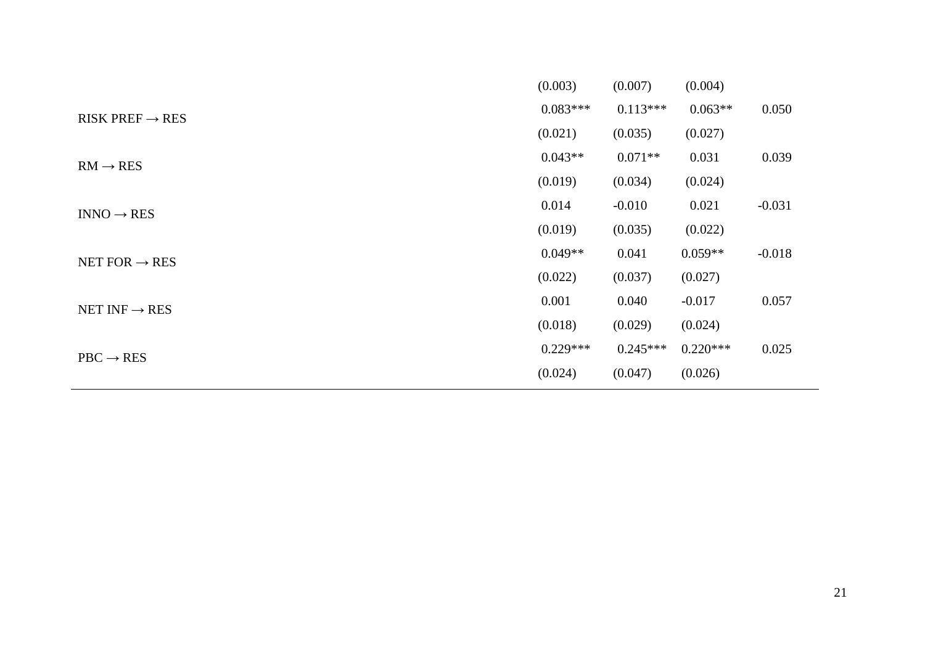| (0.003)    | (0.007)    | (0.004)    |          |
|------------|------------|------------|----------|
| $0.083***$ | $0.113***$ | $0.063**$  | 0.050    |
| (0.021)    | (0.035)    | (0.027)    |          |
| $0.043**$  | $0.071**$  | 0.031      | 0.039    |
| (0.019)    | (0.034)    | (0.024)    |          |
| 0.014      | $-0.010$   | 0.021      | $-0.031$ |
| (0.019)    | (0.035)    | (0.022)    |          |
| $0.049**$  | 0.041      | $0.059**$  | $-0.018$ |
| (0.022)    | (0.037)    | (0.027)    |          |
| 0.001      | 0.040      | $-0.017$   | 0.057    |
| (0.018)    | (0.029)    | (0.024)    |          |
| $0.229***$ | $0.245***$ | $0.220***$ | 0.025    |
| (0.024)    | (0.047)    | (0.026)    |          |
|            |            |            |          |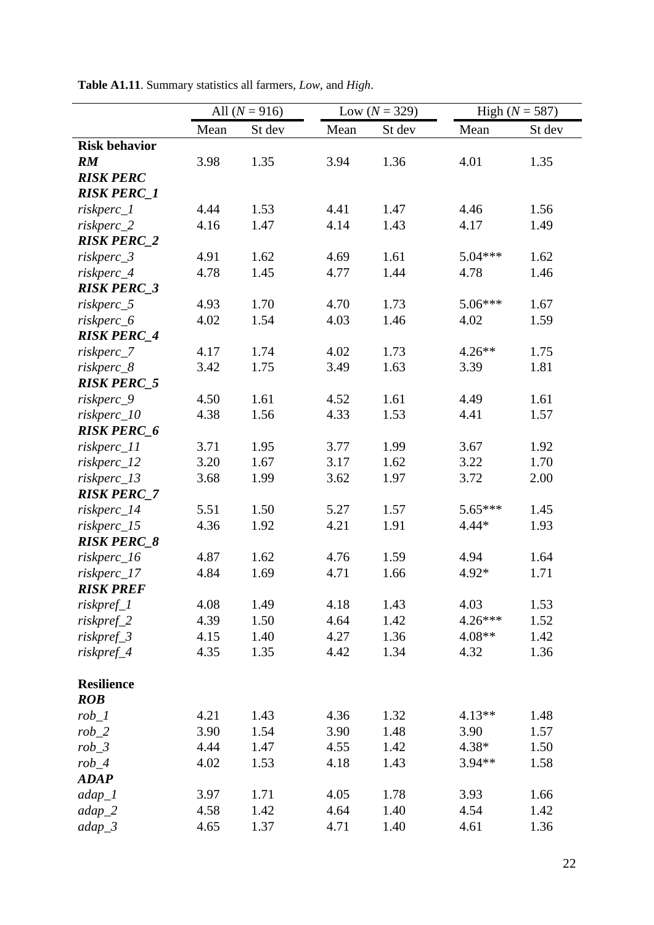|                              | All $(N = 916)$ |        | Low $(N = 329)$ |        | High $(N = 587)$ |              |
|------------------------------|-----------------|--------|-----------------|--------|------------------|--------------|
|                              | Mean            | St dev | Mean            | St dev | Mean             | St dev       |
| <b>Risk behavior</b>         |                 |        |                 |        |                  |              |
| RM                           | 3.98            | 1.35   | 3.94            | 1.36   | 4.01             | 1.35         |
| <b>RISK PERC</b>             |                 |        |                 |        |                  |              |
| <b>RISK PERC_1</b>           |                 |        |                 |        |                  |              |
| $riskperc_1$                 | 4.44            | 1.53   | 4.41            | 1.47   | 4.46             | 1.56         |
| $riskperc_2$                 | 4.16            | 1.47   | 4.14            | 1.43   | 4.17             | 1.49         |
| <b>RISK PERC_2</b>           |                 |        |                 |        |                  |              |
| $riskperc_3$                 | 4.91            | 1.62   | 4.69            | 1.61   | 5.04***          | 1.62         |
| riskperc_4                   | 4.78            | 1.45   | 4.77            | 1.44   | 4.78             | 1.46         |
| <b>RISK PERC_3</b>           |                 |        |                 |        |                  |              |
| riskperc_5                   | 4.93            | 1.70   | 4.70            | 1.73   | 5.06***          | 1.67         |
| riskperc_6                   | 4.02            | 1.54   | 4.03            | 1.46   | 4.02             | 1.59         |
| <b>RISK PERC_4</b>           |                 |        |                 |        |                  |              |
| riskperc_7                   | 4.17            | 1.74   | 4.02            | 1.73   | $4.26**$         | 1.75         |
| riskperc_8                   | 3.42            | 1.75   | 3.49            | 1.63   | 3.39             | 1.81         |
| <b>RISK PERC_5</b>           |                 |        |                 |        |                  |              |
| riskperc_9                   | 4.50            | 1.61   | 4.52            | 1.61   | 4.49             | 1.61         |
| riskperc_10                  | 4.38            | 1.56   | 4.33            | 1.53   | 4.41             | 1.57         |
| <b>RISK PERC_6</b>           |                 |        |                 |        |                  |              |
| riskperc_11                  | 3.71            | 1.95   | 3.77            | 1.99   | 3.67             | 1.92         |
| riskperc_12                  | 3.20            | 1.67   | 3.17            | 1.62   | 3.22             | 1.70         |
| riskperc_13                  | 3.68            | 1.99   | 3.62            | 1.97   | 3.72             | 2.00         |
| <b>RISK PERC_7</b>           | 5.51            | 1.50   | 5.27            | 1.57   | 5.65***          |              |
| riskperc_14<br>$riskperc_15$ | 4.36            | 1.92   | 4.21            | 1.91   | $4.44*$          | 1.45<br>1.93 |
| <b>RISK PERC_8</b>           |                 |        |                 |        |                  |              |
| riskperc_16                  | 4.87            | 1.62   | 4.76            | 1.59   | 4.94             | 1.64         |
| riskperc_17                  | 4.84            | 1.69   | 4.71            | 1.66   | 4.92*            | 1.71         |
| <b>RISK PREF</b>             |                 |        |                 |        |                  |              |
| riskpref_1                   | 4.08            | 1.49   | 4.18            | 1.43   | 4.03             | 1.53         |
| $riskpref_2$                 | 4.39            | 1.50   | 4.64            | 1.42   | 4.26***          | 1.52         |
| $riskpref_3$                 | 4.15            | 1.40   | 4.27            | 1.36   | 4.08**           | 1.42         |
| riskpref_4                   | 4.35            | 1.35   | 4.42            | 1.34   | 4.32             | 1.36         |
|                              |                 |        |                 |        |                  |              |
| <b>Resilience</b>            |                 |        |                 |        |                  |              |
| <b>ROB</b>                   |                 |        |                 |        |                  |              |
| $rob_1$                      | 4.21            | 1.43   | 4.36            | 1.32   | $4.13**$         | 1.48         |
| $rob_2$                      | 3.90            | 1.54   | 3.90            | 1.48   | 3.90             | 1.57         |
| $rob_3$                      | 4.44            | 1.47   | 4.55            | 1.42   | 4.38*            | 1.50         |
| $rob_4$                      | 4.02            | 1.53   | 4.18            | 1.43   | 3.94**           | 1.58         |
| <b>ADAP</b>                  |                 |        |                 |        |                  |              |
| $adap_1$                     | 3.97            | 1.71   | 4.05            | 1.78   | 3.93             | 1.66         |
| $adap_2$                     | 4.58            | 1.42   | 4.64            | 1.40   | 4.54             | 1.42         |
| $adap_3$                     | 4.65            | 1.37   | 4.71            | 1.40   | 4.61             | 1.36         |

**Table A1.11**. Summary statistics all farmers, *Low*, and *High*.